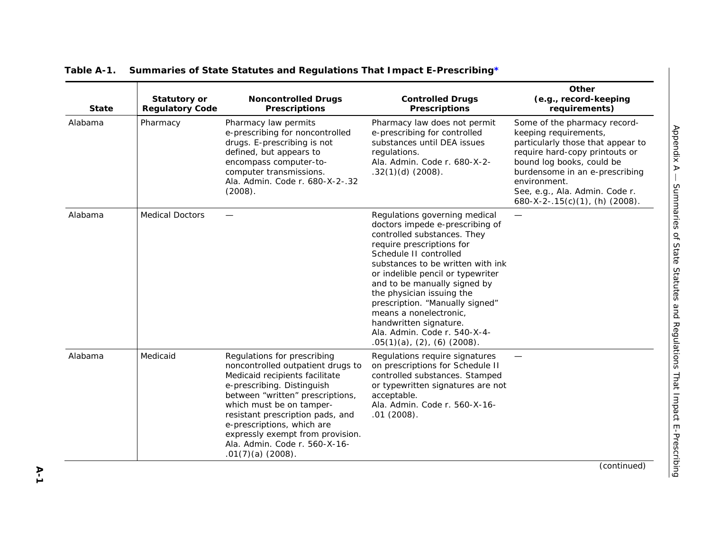| <b>State</b> | <b>Statutory or</b><br><b>Regulatory Code</b> | <b>Noncontrolled Drugs</b><br><b>Prescriptions</b>                                                                                                                                                                                                                                                                                                             | <b>Controlled Drugs</b><br><b>Prescriptions</b>                                                                                                                                                                                                                                                                                                                                                                                                                | Other<br>(e.g., record-keeping<br>requirements)                                                                                                                                                                                                                                 |
|--------------|-----------------------------------------------|----------------------------------------------------------------------------------------------------------------------------------------------------------------------------------------------------------------------------------------------------------------------------------------------------------------------------------------------------------------|----------------------------------------------------------------------------------------------------------------------------------------------------------------------------------------------------------------------------------------------------------------------------------------------------------------------------------------------------------------------------------------------------------------------------------------------------------------|---------------------------------------------------------------------------------------------------------------------------------------------------------------------------------------------------------------------------------------------------------------------------------|
| Alabama      | Pharmacy                                      | Pharmacy law permits<br>e-prescribing for noncontrolled<br>drugs. E-prescribing is not<br>defined, but appears to<br>encompass computer-to-<br>computer transmissions.<br>Ala. Admin. Code r. 680-X-2-.32<br>(2008).                                                                                                                                           | Pharmacy law does not permit<br>e-prescribing for controlled<br>substances until DEA issues<br>regulations.<br>Ala. Admin. Code r. 680-X-2-<br>$.32(1)(d)$ (2008).                                                                                                                                                                                                                                                                                             | Some of the pharmacy record-<br>keeping requirements,<br>particularly those that appear to<br>require hard-copy printouts or<br>bound log books, could be<br>burdensome in an e-prescribing<br>environment.<br>See, e.g., Ala. Admin. Code r.<br>680-X-2-.15(c)(1), (h) (2008). |
| Alabama      | <b>Medical Doctors</b>                        |                                                                                                                                                                                                                                                                                                                                                                | Regulations governing medical<br>doctors impede e-prescribing of<br>controlled substances. They<br>require prescriptions for<br>Schedule II controlled<br>substances to be written with ink<br>or indelible pencil or typewriter<br>and to be manually signed by<br>the physician issuing the<br>prescription. "Manually signed"<br>means a nonelectronic.<br>handwritten signature.<br>Ala. Admin. Code r. 540-X-4-<br>$.05(1)(a)$ , $(2)$ , $(6)$ $(2008)$ . |                                                                                                                                                                                                                                                                                 |
| Alabama      | Medicaid                                      | Regulations for prescribing<br>noncontrolled outpatient drugs to<br>Medicaid recipients facilitate<br>e-prescribing. Distinguish<br>between "written" prescriptions,<br>which must be on tamper-<br>resistant prescription pads, and<br>e-prescriptions, which are<br>expressly exempt from provision.<br>Ala. Admin. Code r. 560-X-16-<br>$.01(7)(a)$ (2008). | Regulations require signatures<br>on prescriptions for Schedule II<br>controlled substances. Stamped<br>or typewritten signatures are not<br>acceptable.<br>Ala. Admin. Code r. 560-X-16-<br>.01(2008).                                                                                                                                                                                                                                                        |                                                                                                                                                                                                                                                                                 |

**A-1** (continued)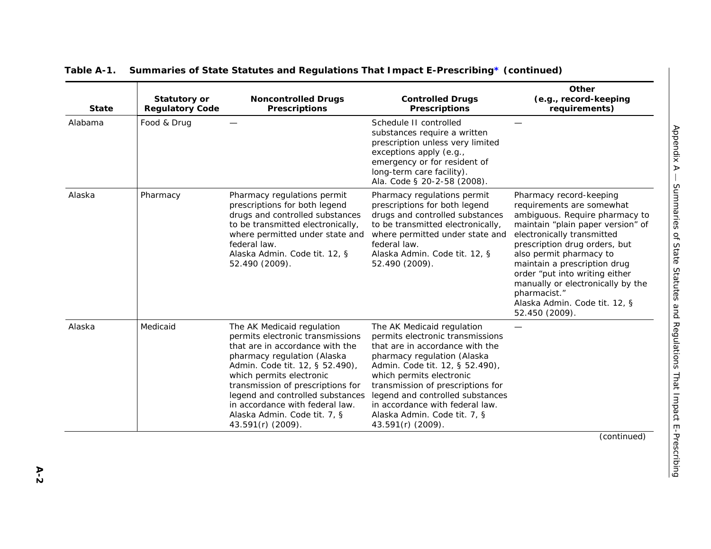| <b>State</b> | <b>Statutory or</b><br><b>Regulatory Code</b> | <b>Noncontrolled Drugs</b><br><b>Prescriptions</b>                                                                                                                                                                                                                                                                                                               | <b>Controlled Drugs</b><br><b>Prescriptions</b>                                                                                                                                                                                                                                                                                                                  | Other<br>(e.g., record-keeping<br>requirements)                                                                                                                                                                                                                                                                                                                                                 |
|--------------|-----------------------------------------------|------------------------------------------------------------------------------------------------------------------------------------------------------------------------------------------------------------------------------------------------------------------------------------------------------------------------------------------------------------------|------------------------------------------------------------------------------------------------------------------------------------------------------------------------------------------------------------------------------------------------------------------------------------------------------------------------------------------------------------------|-------------------------------------------------------------------------------------------------------------------------------------------------------------------------------------------------------------------------------------------------------------------------------------------------------------------------------------------------------------------------------------------------|
| Alabama      | Food & Drug                                   |                                                                                                                                                                                                                                                                                                                                                                  | Schedule II controlled<br>substances require a written<br>prescription unless very limited<br>exceptions apply (e.g.,<br>emergency or for resident of<br>long-term care facility).<br>Ala. Code § 20-2-58 (2008).                                                                                                                                                |                                                                                                                                                                                                                                                                                                                                                                                                 |
| Alaska       | Pharmacy                                      | Pharmacy regulations permit<br>prescriptions for both legend<br>drugs and controlled substances<br>to be transmitted electronically,<br>where permitted under state and<br>federal law.<br>Alaska Admin. Code tit. 12, §<br>52.490 (2009).                                                                                                                       | Pharmacy regulations permit<br>prescriptions for both legend<br>drugs and controlled substances<br>to be transmitted electronically,<br>where permitted under state and<br>federal law.<br>Alaska Admin. Code tit. 12, §<br>52.490 (2009).                                                                                                                       | Pharmacy record-keeping<br>requirements are somewhat<br>ambiguous. Require pharmacy to<br>maintain "plain paper version" of<br>electronically transmitted<br>prescription drug orders, but<br>also permit pharmacy to<br>maintain a prescription drug<br>order "put into writing either<br>manually or electronically by the<br>pharmacist."<br>Alaska Admin. Code tit. 12, §<br>52.450 (2009). |
| Alaska       | Medicaid                                      | The AK Medicaid regulation<br>permits electronic transmissions<br>that are in accordance with the<br>pharmacy regulation (Alaska<br>Admin. Code tit. 12, § 52.490),<br>which permits electronic<br>transmission of prescriptions for<br>legend and controlled substances<br>in accordance with federal law.<br>Alaska Admin. Code tit. 7, §<br>43.591(r) (2009). | The AK Medicaid regulation<br>permits electronic transmissions<br>that are in accordance with the<br>pharmacy regulation (Alaska<br>Admin. Code tit. 12, § 52.490),<br>which permits electronic<br>transmission of prescriptions for<br>legend and controlled substances<br>in accordance with federal law.<br>Alaska Admin. Code tit. 7, §<br>43.591(r) (2009). |                                                                                                                                                                                                                                                                                                                                                                                                 |
|              |                                               |                                                                                                                                                                                                                                                                                                                                                                  |                                                                                                                                                                                                                                                                                                                                                                  | (continued)                                                                                                                                                                                                                                                                                                                                                                                     |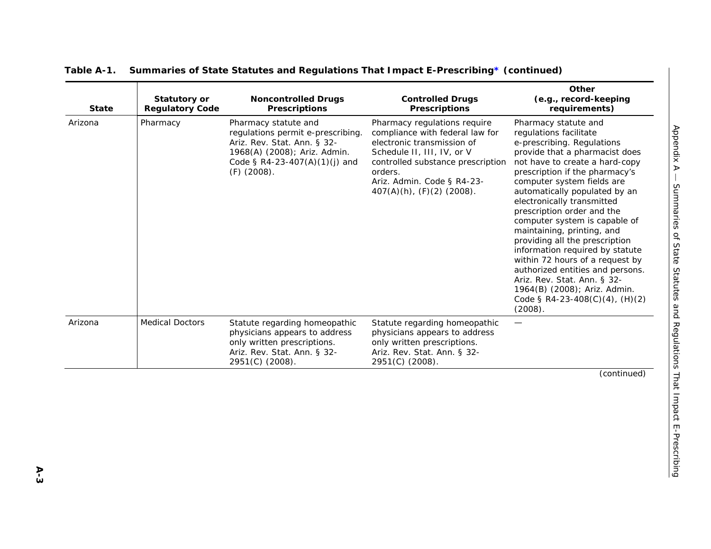| <b>State</b> | <b>Statutory or</b><br><b>Regulatory Code</b> | <b>Noncontrolled Drugs</b><br><b>Prescriptions</b>                                                                                                                         | <b>Controlled Drugs</b><br><b>Prescriptions</b>                                                                                                                                                                                             | Other<br>(e.g., record-keeping<br>requirements)                                                                                                                                                                                                                                                                                                                                                                                                                                                                                                                                                                                      |
|--------------|-----------------------------------------------|----------------------------------------------------------------------------------------------------------------------------------------------------------------------------|---------------------------------------------------------------------------------------------------------------------------------------------------------------------------------------------------------------------------------------------|--------------------------------------------------------------------------------------------------------------------------------------------------------------------------------------------------------------------------------------------------------------------------------------------------------------------------------------------------------------------------------------------------------------------------------------------------------------------------------------------------------------------------------------------------------------------------------------------------------------------------------------|
| Arizona      | Pharmacy                                      | Pharmacy statute and<br>regulations permit e-prescribing.<br>Ariz. Rev. Stat. Ann. § 32-<br>1968(A) (2008); Ariz. Admin.<br>Code § R4-23-407(A)(1)(j) and<br>$(F)$ (2008). | Pharmacy regulations require<br>compliance with federal law for<br>electronic transmission of<br>Schedule II, III, IV, or V<br>controlled substance prescription<br>orders.<br>Ariz. Admin. Code § R4-23-<br>$407(A)(h)$ , $(F)(2)$ (2008). | Pharmacy statute and<br>regulations facilitate<br>e-prescribing. Regulations<br>provide that a pharmacist does<br>not have to create a hard-copy<br>prescription if the pharmacy's<br>computer system fields are<br>automatically populated by an<br>electronically transmitted<br>prescription order and the<br>computer system is capable of<br>maintaining, printing, and<br>providing all the prescription<br>information required by statute<br>within 72 hours of a request by<br>authorized entities and persons.<br>Ariz. Rev. Stat. Ann. § 32-<br>1964(B) (2008); Ariz. Admin.<br>Code § R4-23-408(C)(4), (H)(2)<br>(2008). |
| Arizona      | <b>Medical Doctors</b>                        | Statute regarding homeopathic<br>physicians appears to address<br>only written prescriptions.<br>Ariz. Rev. Stat. Ann. § 32-<br>2951(C) (2008).                            | Statute regarding homeopathic<br>physicians appears to address<br>only written prescriptions.<br>Ariz. Rev. Stat. Ann. § 32-<br>2951(C) (2008).                                                                                             |                                                                                                                                                                                                                                                                                                                                                                                                                                                                                                                                                                                                                                      |
|              |                                               |                                                                                                                                                                            |                                                                                                                                                                                                                                             | (continued)                                                                                                                                                                                                                                                                                                                                                                                                                                                                                                                                                                                                                          |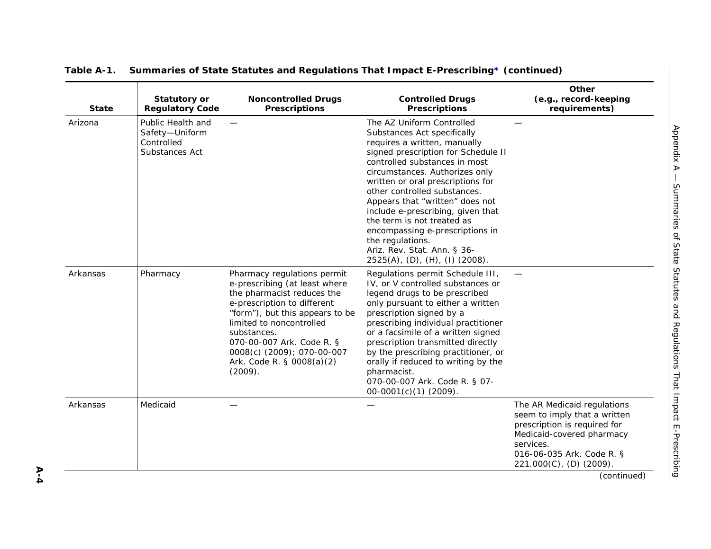| <b>State</b> | <b>Statutory or</b><br><b>Regulatory Code</b>                       | <b>Noncontrolled Drugs</b><br><b>Prescriptions</b>                                                                                                                                                                                                                                                         | <b>Controlled Drugs</b><br><b>Prescriptions</b>                                                                                                                                                                                                                                                                                                                                                                                                                                                       | Other<br>(e.g., record-keeping<br>requirements)                                                                                                                                               |
|--------------|---------------------------------------------------------------------|------------------------------------------------------------------------------------------------------------------------------------------------------------------------------------------------------------------------------------------------------------------------------------------------------------|-------------------------------------------------------------------------------------------------------------------------------------------------------------------------------------------------------------------------------------------------------------------------------------------------------------------------------------------------------------------------------------------------------------------------------------------------------------------------------------------------------|-----------------------------------------------------------------------------------------------------------------------------------------------------------------------------------------------|
| Arizona      | Public Health and<br>Safety-Uniform<br>Controlled<br>Substances Act |                                                                                                                                                                                                                                                                                                            | The AZ Uniform Controlled<br>Substances Act specifically<br>requires a written, manually<br>signed prescription for Schedule II<br>controlled substances in most<br>circumstances. Authorizes only<br>written or oral prescriptions for<br>other controlled substances.<br>Appears that "written" does not<br>include e-prescribing, given that<br>the term is not treated as<br>encompassing e-prescriptions in<br>the regulations.<br>Ariz. Rev. Stat. Ann. § 36-<br>2525(A), (D), (H), (I) (2008). |                                                                                                                                                                                               |
| Arkansas     | Pharmacy                                                            | Pharmacy regulations permit<br>e-prescribing (at least where<br>the pharmacist reduces the<br>e-prescription to different<br>"form"), but this appears to be<br>limited to noncontrolled<br>substances.<br>070-00-007 Ark. Code R. §<br>0008(c) (2009); 070-00-007<br>Ark. Code R. § 0008(a)(2)<br>(2009). | Regulations permit Schedule III,<br>IV, or V controlled substances or<br>legend drugs to be prescribed<br>only pursuant to either a written<br>prescription signed by a<br>prescribing individual practitioner<br>or a facsimile of a written signed<br>prescription transmitted directly<br>by the prescribing practitioner, or<br>orally if reduced to writing by the<br>pharmacist.<br>070-00-007 Ark. Code R. § 07-<br>$00-0001(c)(1)$ (2009).                                                    |                                                                                                                                                                                               |
| Arkansas     | Medicaid                                                            |                                                                                                                                                                                                                                                                                                            |                                                                                                                                                                                                                                                                                                                                                                                                                                                                                                       | The AR Medicaid regulations<br>seem to imply that a written<br>prescription is required for<br>Medicaid-covered pharmacy<br>services.<br>016-06-035 Ark. Code R. §<br>221.000(C), (D) (2009). |
|              |                                                                     |                                                                                                                                                                                                                                                                                                            |                                                                                                                                                                                                                                                                                                                                                                                                                                                                                                       | (continued)                                                                                                                                                                                   |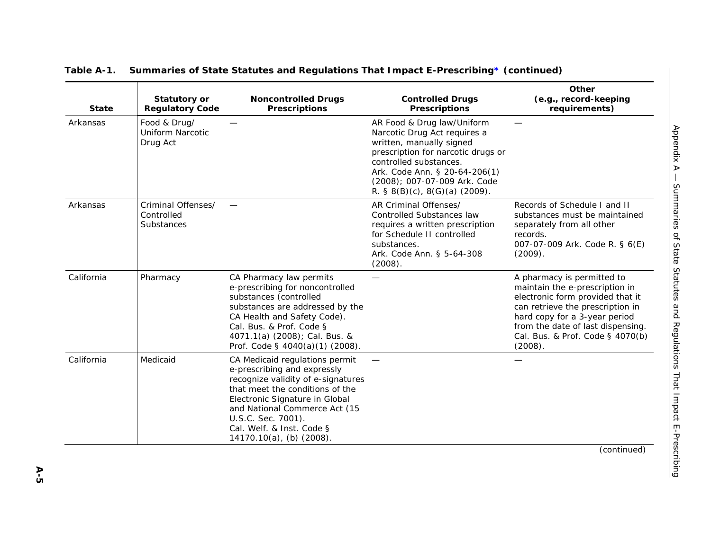| <b>State</b> | <b>Statutory or</b><br><b>Regulatory Code</b>       | <b>Noncontrolled Drugs</b><br><b>Prescriptions</b>                                                                                                                                                                                                                                             | <b>Controlled Drugs</b><br><b>Prescriptions</b>                                                                                                                                                                                                               | Other<br>(e.g., record-keeping<br>requirements)                                                                                                                                                                                                           |
|--------------|-----------------------------------------------------|------------------------------------------------------------------------------------------------------------------------------------------------------------------------------------------------------------------------------------------------------------------------------------------------|---------------------------------------------------------------------------------------------------------------------------------------------------------------------------------------------------------------------------------------------------------------|-----------------------------------------------------------------------------------------------------------------------------------------------------------------------------------------------------------------------------------------------------------|
| Arkansas     | Food & Drug/<br><b>Uniform Narcotic</b><br>Drug Act |                                                                                                                                                                                                                                                                                                | AR Food & Drug law/Uniform<br>Narcotic Drug Act requires a<br>written, manually signed<br>prescription for narcotic drugs or<br>controlled substances.<br>Ark. Code Ann. § 20-64-206(1)<br>(2008); 007-07-009 Ark. Code<br>R. § $8(B)(c)$ , $8(G)(a)$ (2009). |                                                                                                                                                                                                                                                           |
| Arkansas     | Criminal Offenses/<br>Controlled<br>Substances      |                                                                                                                                                                                                                                                                                                | AR Criminal Offenses/<br><b>Controlled Substances law</b><br>requires a written prescription<br>for Schedule II controlled<br>substances.<br>Ark. Code Ann. § 5-64-308<br>(2008).                                                                             | Records of Schedule I and II<br>substances must be maintained<br>separately from all other<br>records.<br>007-07-009 Ark. Code R. § 6(E)<br>(2009).                                                                                                       |
| California   | Pharmacy                                            | CA Pharmacy law permits<br>e-prescribing for noncontrolled<br>substances (controlled<br>substances are addressed by the<br>CA Health and Safety Code).<br>Cal. Bus. & Prof. Code §<br>4071.1(a) (2008); Cal. Bus. &<br>Prof. Code § 4040(a)(1) (2008).                                         |                                                                                                                                                                                                                                                               | A pharmacy is permitted to<br>maintain the e-prescription in<br>electronic form provided that it<br>can retrieve the prescription in<br>hard copy for a 3-year period<br>from the date of last dispensing.<br>Cal. Bus. & Prof. Code § 4070(b)<br>(2008). |
| California   | Medicaid                                            | CA Medicaid regulations permit<br>e-prescribing and expressly<br>recognize validity of e-signatures<br>that meet the conditions of the<br>Electronic Signature in Global<br>and National Commerce Act (15<br>U.S.C. Sec. 7001).<br>Cal. Welf. & Inst. Code §<br>$14170.10(a)$ , (b) $(2008)$ . |                                                                                                                                                                                                                                                               |                                                                                                                                                                                                                                                           |
|              |                                                     |                                                                                                                                                                                                                                                                                                |                                                                                                                                                                                                                                                               | (continued)                                                                                                                                                                                                                                               |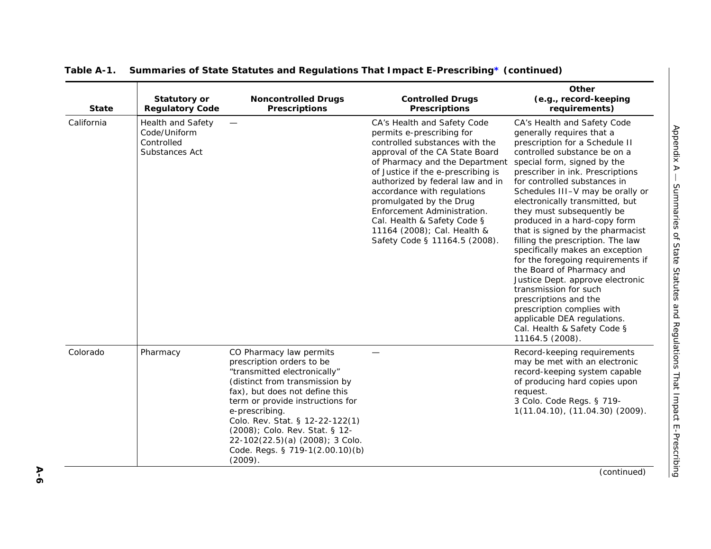| <b>Health and Safety</b><br>Code/Uniform<br>Controlled<br>Substances Act |                                                                                                                                                                                                                                                                                                                                                                      | CA's Health and Safety Code<br>permits e-prescribing for<br>controlled substances with the<br>approval of the CA State Board<br>of Pharmacy and the Department<br>of Justice if the e-prescribing is<br>authorized by federal law and in<br>accordance with regulations<br>promulgated by the Drug<br>Enforcement Administration. | CA's Health and Safety Code<br>generally requires that a<br>prescription for a Schedule II<br>controlled substance be on a<br>special form, signed by the<br>prescriber in ink. Prescriptions<br>for controlled substances in<br>Schedules III-V may be orally or<br>electronically transmitted, but<br>they must subsequently be                                                                               |
|--------------------------------------------------------------------------|----------------------------------------------------------------------------------------------------------------------------------------------------------------------------------------------------------------------------------------------------------------------------------------------------------------------------------------------------------------------|-----------------------------------------------------------------------------------------------------------------------------------------------------------------------------------------------------------------------------------------------------------------------------------------------------------------------------------|-----------------------------------------------------------------------------------------------------------------------------------------------------------------------------------------------------------------------------------------------------------------------------------------------------------------------------------------------------------------------------------------------------------------|
|                                                                          |                                                                                                                                                                                                                                                                                                                                                                      | Cal. Health & Safety Code §<br>11164 (2008); Cal. Health &<br>Safety Code § 11164.5 (2008).                                                                                                                                                                                                                                       | produced in a hard-copy form<br>that is signed by the pharmacist<br>filling the prescription. The law<br>specifically makes an exception<br>for the foregoing requirements if<br>the Board of Pharmacy and<br>Justice Dept. approve electronic<br>transmission for such<br>prescriptions and the<br>prescription complies with<br>applicable DEA regulations.<br>Cal. Health & Safety Code §<br>11164.5 (2008). |
| Pharmacy                                                                 | CO Pharmacy law permits<br>prescription orders to be<br>"transmitted electronically"<br>(distinct from transmission by<br>fax), but does not define this<br>term or provide instructions for<br>e-prescribing.<br>Colo. Rev. Stat. § 12-22-122(1)<br>(2008); Colo. Rev. Stat. § 12-<br>22-102(22.5)(a) (2008); 3 Colo.<br>Code. Regs. § 719-1(2.00.10)(b)<br>(2009). |                                                                                                                                                                                                                                                                                                                                   | Record-keeping requirements<br>may be met with an electronic<br>record-keeping system capable<br>of producing hard copies upon<br>request.<br>3 Colo. Code Regs. § 719-<br>1(11.04.10), (11.04.30) (2009).                                                                                                                                                                                                      |
|                                                                          |                                                                                                                                                                                                                                                                                                                                                                      |                                                                                                                                                                                                                                                                                                                                   |                                                                                                                                                                                                                                                                                                                                                                                                                 |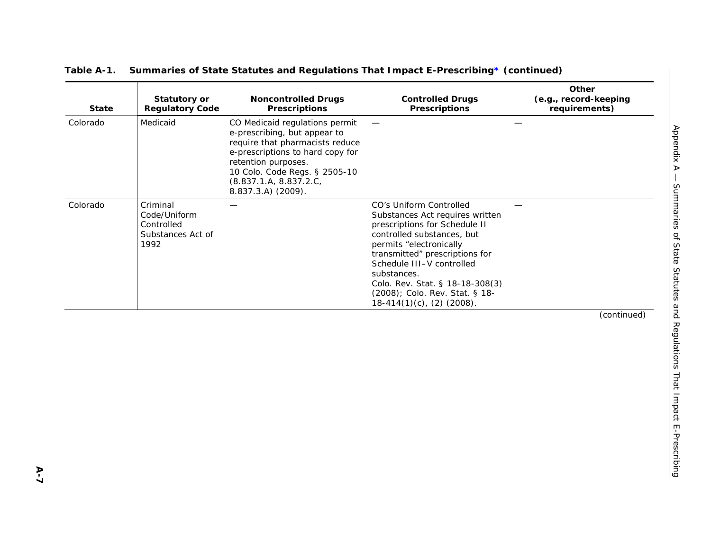| <b>State</b> | Statutory or<br><b>Regulatory Code</b>                              | <b>Noncontrolled Drugs</b><br><b>Prescriptions</b>                                                                                                                                                                                            | <b>Controlled Drugs</b><br><b>Prescriptions</b>                                                                                                                                                                                                                                                                                         | Other<br>(e.g., record-keeping<br>requirements) |
|--------------|---------------------------------------------------------------------|-----------------------------------------------------------------------------------------------------------------------------------------------------------------------------------------------------------------------------------------------|-----------------------------------------------------------------------------------------------------------------------------------------------------------------------------------------------------------------------------------------------------------------------------------------------------------------------------------------|-------------------------------------------------|
| Colorado     | Medicaid                                                            | CO Medicaid regulations permit<br>e-prescribing, but appear to<br>require that pharmacists reduce<br>e-prescriptions to hard copy for<br>retention purposes.<br>10 Colo. Code Regs. § 2505-10<br>(8.837.1.A, 8.837.2.C,<br>8.837.3.A) (2009). |                                                                                                                                                                                                                                                                                                                                         |                                                 |
| Colorado     | Criminal<br>Code/Uniform<br>Controlled<br>Substances Act of<br>1992 |                                                                                                                                                                                                                                               | CO's Uniform Controlled<br>Substances Act requires written<br>prescriptions for Schedule II<br>controlled substances, but<br>permits "electronically<br>transmitted" prescriptions for<br>Schedule III-V controlled<br>substances.<br>Colo. Rev. Stat. § 18-18-308(3)<br>(2008); Colo. Rev. Stat. § 18-<br>$18-414(1)(c)$ , (2) (2008). |                                                 |
|              |                                                                     |                                                                                                                                                                                                                                               |                                                                                                                                                                                                                                                                                                                                         | (continued)                                     |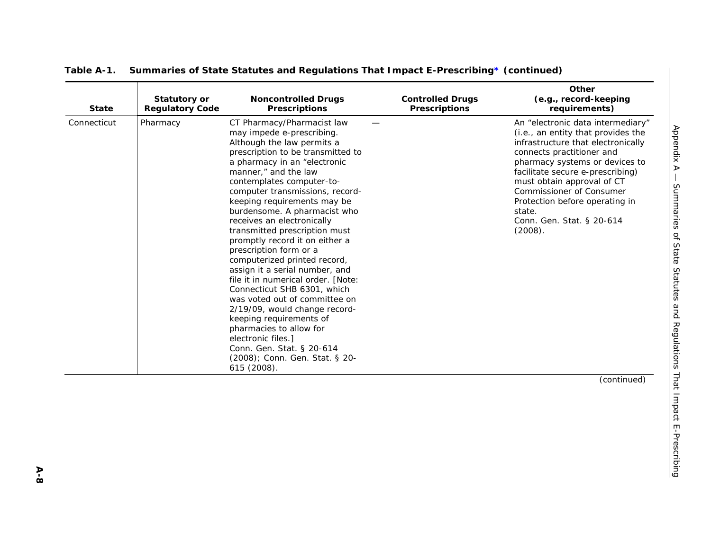| <b>State</b> | <b>Statutory or</b><br><b>Regulatory Code</b> | <b>Noncontrolled Drugs</b><br><b>Prescriptions</b>                                                                                                                                                                                                                                                                                                                                                                                                                                                                                                                                                                                                                                                                                                                                                              | <b>Controlled Drugs</b><br><b>Prescriptions</b> | Other<br>(e.g., record-keeping<br>requirements)                                                                                                                                                                                                                                                                                                                |
|--------------|-----------------------------------------------|-----------------------------------------------------------------------------------------------------------------------------------------------------------------------------------------------------------------------------------------------------------------------------------------------------------------------------------------------------------------------------------------------------------------------------------------------------------------------------------------------------------------------------------------------------------------------------------------------------------------------------------------------------------------------------------------------------------------------------------------------------------------------------------------------------------------|-------------------------------------------------|----------------------------------------------------------------------------------------------------------------------------------------------------------------------------------------------------------------------------------------------------------------------------------------------------------------------------------------------------------------|
| Connecticut  | Pharmacy                                      | CT Pharmacy/Pharmacist law<br>may impede e-prescribing.<br>Although the law permits a<br>prescription to be transmitted to<br>a pharmacy in an "electronic<br>manner," and the law<br>contemplates computer-to-<br>computer transmissions, record-<br>keeping requirements may be<br>burdensome. A pharmacist who<br>receives an electronically<br>transmitted prescription must<br>promptly record it on either a<br>prescription form or a<br>computerized printed record,<br>assign it a serial number, and<br>file it in numerical order. [Note:<br>Connecticut SHB 6301, which<br>was voted out of committee on<br>2/19/09, would change record-<br>keeping requirements of<br>pharmacies to allow for<br>electronic files.]<br>Conn. Gen. Stat. § 20-614<br>(2008); Conn. Gen. Stat. § 20-<br>615 (2008). |                                                 | An "electronic data intermediary"<br>(i.e., an entity that provides the<br>infrastructure that electronically<br>connects practitioner and<br>pharmacy systems or devices to<br>facilitate secure e-prescribing)<br>must obtain approval of CT<br>Commissioner of Consumer<br>Protection before operating in<br>state.<br>Conn. Gen. Stat. § 20-614<br>(2008). |
|              |                                               |                                                                                                                                                                                                                                                                                                                                                                                                                                                                                                                                                                                                                                                                                                                                                                                                                 |                                                 | (continued)                                                                                                                                                                                                                                                                                                                                                    |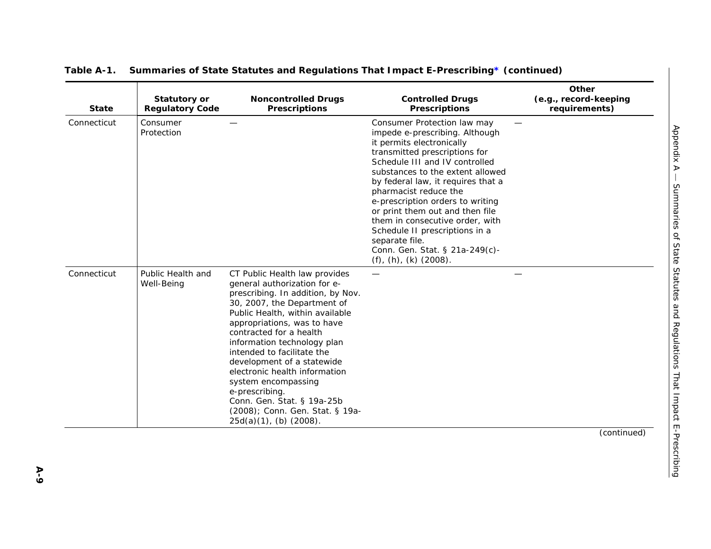| <b>State</b> | <b>Statutory or</b><br><b>Regulatory Code</b> | <b>Noncontrolled Drugs</b><br><b>Prescriptions</b>                                                                                                                                                                                                                                                                                                                                                                                                                                                   | <b>Controlled Drugs</b><br><b>Prescriptions</b>                                                                                                                                                                                                                                                                                                                                                                                                                                                      | Other<br>(e.g., record-keeping<br>requirements) |
|--------------|-----------------------------------------------|------------------------------------------------------------------------------------------------------------------------------------------------------------------------------------------------------------------------------------------------------------------------------------------------------------------------------------------------------------------------------------------------------------------------------------------------------------------------------------------------------|------------------------------------------------------------------------------------------------------------------------------------------------------------------------------------------------------------------------------------------------------------------------------------------------------------------------------------------------------------------------------------------------------------------------------------------------------------------------------------------------------|-------------------------------------------------|
| Connecticut  | Consumer<br>Protection                        |                                                                                                                                                                                                                                                                                                                                                                                                                                                                                                      | Consumer Protection law may<br>impede e-prescribing. Although<br>it permits electronically<br>transmitted prescriptions for<br>Schedule III and IV controlled<br>substances to the extent allowed<br>by federal law, it requires that a<br>pharmacist reduce the<br>e-prescription orders to writing<br>or print them out and then file<br>them in consecutive order, with<br>Schedule II prescriptions in a<br>separate file.<br>Conn. Gen. Stat. § 21a-249(c)-<br>$(f)$ , $(h)$ , $(k)$ $(2008)$ . |                                                 |
| Connecticut  | Public Health and<br>Well-Being               | CT Public Health law provides<br>general authorization for e-<br>prescribing. In addition, by Nov.<br>30, 2007, the Department of<br>Public Health, within available<br>appropriations, was to have<br>contracted for a health<br>information technology plan<br>intended to facilitate the<br>development of a statewide<br>electronic health information<br>system encompassing<br>e-prescribing.<br>Conn. Gen. Stat. § 19a-25b<br>(2008); Conn. Gen. Stat. § 19a-<br>$25d(a)(1)$ , (b) $(2008)$ . |                                                                                                                                                                                                                                                                                                                                                                                                                                                                                                      |                                                 |
|              |                                               |                                                                                                                                                                                                                                                                                                                                                                                                                                                                                                      |                                                                                                                                                                                                                                                                                                                                                                                                                                                                                                      | (continued)                                     |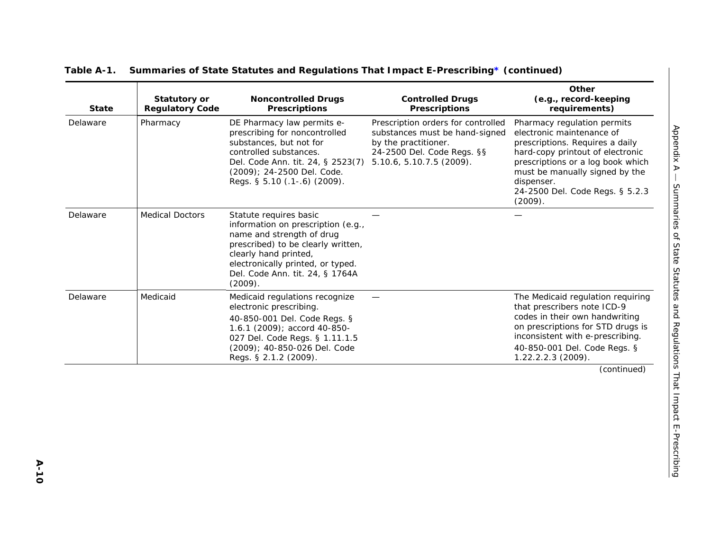| <b>State</b> | Statutory or<br><b>Regulatory Code</b> | <b>Noncontrolled Drugs</b><br><b>Prescriptions</b>                                                                                                                                                                                          | <b>Controlled Drugs</b><br><b>Prescriptions</b>                                                                                                        | Other<br>(e.g., record-keeping<br>requirements)                                                                                                                                                                                                                                  |
|--------------|----------------------------------------|---------------------------------------------------------------------------------------------------------------------------------------------------------------------------------------------------------------------------------------------|--------------------------------------------------------------------------------------------------------------------------------------------------------|----------------------------------------------------------------------------------------------------------------------------------------------------------------------------------------------------------------------------------------------------------------------------------|
| Delaware     | Pharmacy                               | DE Pharmacy law permits e-<br>prescribing for noncontrolled<br>substances, but not for<br>controlled substances.<br>Del. Code Ann. tit. 24, § 2523(7)<br>(2009); 24-2500 Del. Code.<br>Regs. § 5.10 (.1-.6) (2009).                         | Prescription orders for controlled<br>substances must be hand-signed<br>by the practitioner.<br>24-2500 Del. Code Regs. §§<br>5.10.6, 5.10.7.5 (2009). | Pharmacy regulation permits<br>Appendix A<br>electronic maintenance of<br>prescriptions. Requires a daily<br>hard-copy printout of electronic<br>prescriptions or a log book which<br>must be manually signed by the<br>dispenser.<br>24-2500 Del. Code Regs. § 5.2.3<br>(2009). |
| Delaware     | <b>Medical Doctors</b>                 | Statute requires basic<br>information on prescription (e.g.,<br>name and strength of drug<br>prescribed) to be clearly written,<br>clearly hand printed,<br>electronically printed, or typed.<br>Del. Code Ann. tit. 24, § 1764A<br>(2009). |                                                                                                                                                        |                                                                                                                                                                                                                                                                                  |
| Delaware     | Medicaid                               | Medicaid regulations recognize<br>electronic prescribing.<br>40-850-001 Del. Code Regs. §<br>1.6.1 (2009); accord 40-850-<br>027 Del. Code Regs. § 1.11.1.5<br>(2009); 40-850-026 Del. Code<br>Regs. § 2.1.2 (2009).                        |                                                                                                                                                        | The Medicaid regulation requiring<br>that prescribers note ICD-9<br>codes in their own handwriting<br>on prescriptions for STD drugs is<br>inconsistent with e-prescribing.<br>40-850-001 Del. Code Regs. §<br>1.22.2.2.3 (2009).                                                |
|              |                                        |                                                                                                                                                                                                                                             |                                                                                                                                                        | and Regulations That Impact E-Prescribing<br>(continued)                                                                                                                                                                                                                         |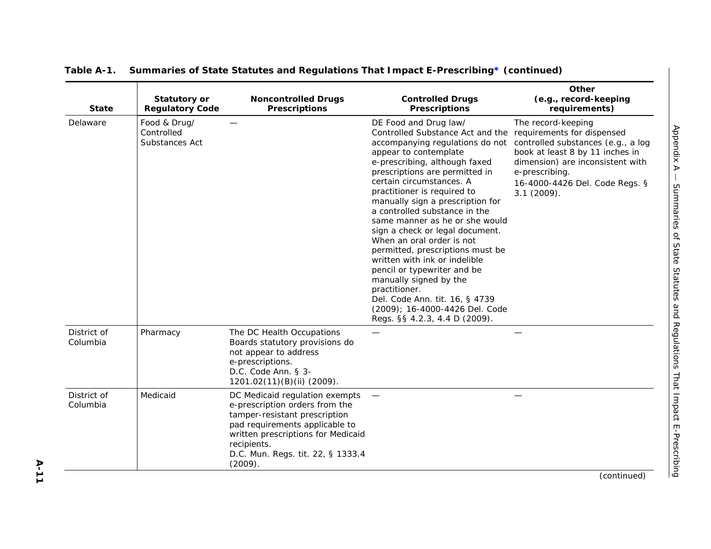| <b>State</b>            | <b>Statutory or</b><br><b>Regulatory Code</b> | <b>Noncontrolled Drugs</b><br><b>Prescriptions</b>                                                                                                                                                                                       | <b>Controlled Drugs</b><br><b>Prescriptions</b>                                                                                                                                                                                                                                                                                                                                                                                                                                                                                                                                                                                                                                                           | Other<br>(e.g., record-keeping<br>requirements)                                                                                                                                                      |
|-------------------------|-----------------------------------------------|------------------------------------------------------------------------------------------------------------------------------------------------------------------------------------------------------------------------------------------|-----------------------------------------------------------------------------------------------------------------------------------------------------------------------------------------------------------------------------------------------------------------------------------------------------------------------------------------------------------------------------------------------------------------------------------------------------------------------------------------------------------------------------------------------------------------------------------------------------------------------------------------------------------------------------------------------------------|------------------------------------------------------------------------------------------------------------------------------------------------------------------------------------------------------|
| Delaware                | Food & Drug/<br>Controlled<br>Substances Act  |                                                                                                                                                                                                                                          | DE Food and Drug law/<br>Controlled Substance Act and the requirements for dispensed<br>accompanying regulations do not<br>appear to contemplate<br>e-prescribing, although faxed<br>prescriptions are permitted in<br>certain circumstances. A<br>practitioner is required to<br>manually sign a prescription for<br>a controlled substance in the<br>same manner as he or she would<br>sign a check or legal document.<br>When an oral order is not<br>permitted, prescriptions must be<br>written with ink or indelible<br>pencil or typewriter and be<br>manually signed by the<br>practitioner.<br>Del. Code Ann. tit. 16, § 4739<br>(2009); 16-4000-4426 Del. Code<br>Regs. §§ 4.2.3, 4.4 D (2009). | The record-keeping<br>controlled substances (e.g., a log<br>book at least 8 by 11 inches in<br>dimension) are inconsistent with<br>e-prescribing.<br>16-4000-4426 Del. Code Regs. §<br>$3.1(2009)$ . |
| District of<br>Columbia | Pharmacy                                      | The DC Health Occupations<br>Boards statutory provisions do<br>not appear to address<br>e-prescriptions.<br>D.C. Code Ann. § 3-<br>1201.02(11)(B)(ii) (2009).                                                                            |                                                                                                                                                                                                                                                                                                                                                                                                                                                                                                                                                                                                                                                                                                           |                                                                                                                                                                                                      |
| District of<br>Columbia | Medicaid                                      | DC Medicaid regulation exempts<br>e-prescription orders from the<br>tamper-resistant prescription<br>pad requirements applicable to<br>written prescriptions for Medicaid<br>recipients.<br>D.C. Mun. Regs. tit. 22, § 1333.4<br>(2009). |                                                                                                                                                                                                                                                                                                                                                                                                                                                                                                                                                                                                                                                                                                           |                                                                                                                                                                                                      |
|                         |                                               |                                                                                                                                                                                                                                          |                                                                                                                                                                                                                                                                                                                                                                                                                                                                                                                                                                                                                                                                                                           | (continued)                                                                                                                                                                                          |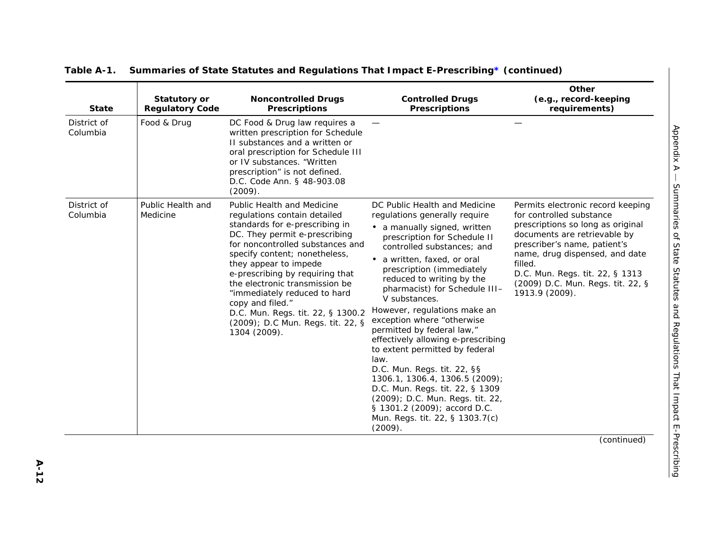| <b>State</b>            | <b>Statutory or</b><br><b>Regulatory Code</b> | <b>Noncontrolled Drugs</b><br><b>Prescriptions</b>                                                                                                                                                                                                                                                                                                                                                                                                    | <b>Controlled Drugs</b><br><b>Prescriptions</b>                                                                                                                                                                                                                                                                                                                                                                                                                                                                                                                                                                                                                                                         | Other<br>(e.g., record-keeping<br>requirements)                                                                                                                                                                                                                                                           |
|-------------------------|-----------------------------------------------|-------------------------------------------------------------------------------------------------------------------------------------------------------------------------------------------------------------------------------------------------------------------------------------------------------------------------------------------------------------------------------------------------------------------------------------------------------|---------------------------------------------------------------------------------------------------------------------------------------------------------------------------------------------------------------------------------------------------------------------------------------------------------------------------------------------------------------------------------------------------------------------------------------------------------------------------------------------------------------------------------------------------------------------------------------------------------------------------------------------------------------------------------------------------------|-----------------------------------------------------------------------------------------------------------------------------------------------------------------------------------------------------------------------------------------------------------------------------------------------------------|
| District of<br>Columbia | Food & Drug                                   | DC Food & Drug law requires a<br>written prescription for Schedule<br>II substances and a written or<br>oral prescription for Schedule III<br>or IV substances. "Written<br>prescription" is not defined.<br>D.C. Code Ann. § 48-903.08<br>(2009).                                                                                                                                                                                                    |                                                                                                                                                                                                                                                                                                                                                                                                                                                                                                                                                                                                                                                                                                         |                                                                                                                                                                                                                                                                                                           |
| District of<br>Columbia | Public Health and<br>Medicine                 | <b>Public Health and Medicine</b><br>regulations contain detailed<br>standards for e-prescribing in<br>DC. They permit e-prescribing<br>for noncontrolled substances and<br>specify content; nonetheless,<br>they appear to impede<br>e-prescribing by requiring that<br>the electronic transmission be<br>"immediately reduced to hard<br>copy and filed."<br>D.C. Mun. Regs. tit. 22, § 1300.2<br>(2009); D.C Mun. Regs. tit. 22, §<br>1304 (2009). | DC Public Health and Medicine<br>regulations generally require<br>• a manually signed, written<br>prescription for Schedule II<br>controlled substances; and<br>a written, faxed, or oral<br>prescription (immediately<br>reduced to writing by the<br>pharmacist) for Schedule III-<br>V substances.<br>However, regulations make an<br>exception where "otherwise<br>permitted by federal law,"<br>effectively allowing e-prescribing<br>to extent permitted by federal<br>law.<br>D.C. Mun. Regs. tit. 22, §§<br>1306.1, 1306.4, 1306.5 (2009);<br>D.C. Mun. Regs. tit. 22, § 1309<br>(2009); D.C. Mun. Regs. tit. 22,<br>§ 1301.2 (2009); accord D.C.<br>Mun. Regs. tit. 22, § 1303.7(c)<br>(2009). | Permits electronic record keeping<br>for controlled substance<br>prescriptions so long as original<br>documents are retrievable by<br>prescriber's name, patient's<br>name, drug dispensed, and date<br>filled.<br>D.C. Mun. Regs. tit. 22, § 1313<br>(2009) D.C. Mun. Regs. tit. 22, §<br>1913.9 (2009). |
|                         |                                               |                                                                                                                                                                                                                                                                                                                                                                                                                                                       |                                                                                                                                                                                                                                                                                                                                                                                                                                                                                                                                                                                                                                                                                                         | (continued)                                                                                                                                                                                                                                                                                               |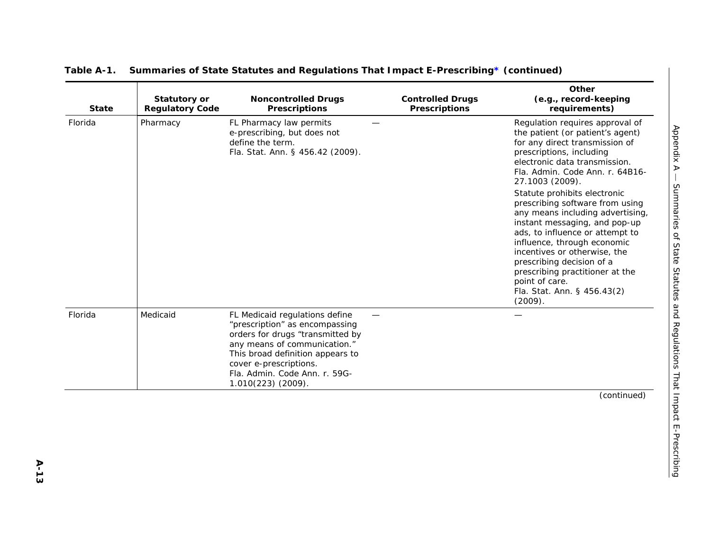| <b>State</b> | <b>Statutory or</b><br><b>Regulatory Code</b> | <b>Noncontrolled Drugs</b><br><b>Prescriptions</b>                                                                                                                                                                                                        | <b>Controlled Drugs</b><br><b>Prescriptions</b> | Other<br>(e.g., record-keeping<br>requirements)                                                                                                                                                                                                                                                                                                                                                                                                                                                                                                                                                |
|--------------|-----------------------------------------------|-----------------------------------------------------------------------------------------------------------------------------------------------------------------------------------------------------------------------------------------------------------|-------------------------------------------------|------------------------------------------------------------------------------------------------------------------------------------------------------------------------------------------------------------------------------------------------------------------------------------------------------------------------------------------------------------------------------------------------------------------------------------------------------------------------------------------------------------------------------------------------------------------------------------------------|
| Florida      | Pharmacy                                      | FL Pharmacy law permits<br>e-prescribing, but does not<br>define the term.<br>Fla. Stat. Ann. § 456.42 (2009).                                                                                                                                            |                                                 | Regulation requires approval of<br>the patient (or patient's agent)<br>for any direct transmission of<br>prescriptions, including<br>electronic data transmission.<br>Fla. Admin. Code Ann. r. 64B16-<br>27.1003 (2009).<br>Statute prohibits electronic<br>prescribing software from using<br>any means including advertising,<br>instant messaging, and pop-up<br>ads, to influence or attempt to<br>influence, through economic<br>incentives or otherwise, the<br>prescribing decision of a<br>prescribing practitioner at the<br>point of care.<br>Fla. Stat. Ann. § 456.43(2)<br>(2009). |
| Florida      | Medicaid                                      | FL Medicaid regulations define<br>"prescription" as encompassing<br>orders for drugs "transmitted by<br>any means of communication."<br>This broad definition appears to<br>cover e-prescriptions.<br>Fla. Admin. Code Ann. r. 59G-<br>1.010(223) (2009). |                                                 |                                                                                                                                                                                                                                                                                                                                                                                                                                                                                                                                                                                                |
|              |                                               |                                                                                                                                                                                                                                                           |                                                 | (continued)                                                                                                                                                                                                                                                                                                                                                                                                                                                                                                                                                                                    |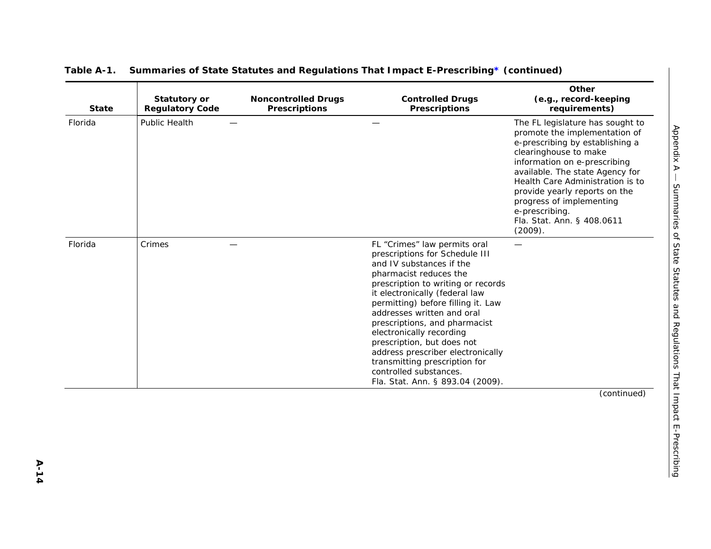| <b>State</b> | <b>Statutory or</b><br><b>Regulatory Code</b> | <b>Noncontrolled Drugs</b><br><b>Prescriptions</b> | <b>Controlled Drugs</b><br><b>Prescriptions</b>                                                                                                                                                                                                                                                                                                                                                                                                                                                 | Other<br>(e.g., record-keeping<br>requirements)                                                                                                                                                                                                                                                                                                              |
|--------------|-----------------------------------------------|----------------------------------------------------|-------------------------------------------------------------------------------------------------------------------------------------------------------------------------------------------------------------------------------------------------------------------------------------------------------------------------------------------------------------------------------------------------------------------------------------------------------------------------------------------------|--------------------------------------------------------------------------------------------------------------------------------------------------------------------------------------------------------------------------------------------------------------------------------------------------------------------------------------------------------------|
| Florida      | Public Health                                 |                                                    |                                                                                                                                                                                                                                                                                                                                                                                                                                                                                                 | The FL legislature has sought to<br>promote the implementation of<br>e-prescribing by establishing a<br>clearinghouse to make<br>information on e-prescribing<br>available. The state Agency for<br>Health Care Administration is to<br>provide yearly reports on the<br>progress of implementing<br>e-prescribing.<br>Fla. Stat. Ann. § 408.0611<br>(2009). |
| Florida      | Crimes                                        |                                                    | FL "Crimes" law permits oral<br>prescriptions for Schedule III<br>and IV substances if the<br>pharmacist reduces the<br>prescription to writing or records<br>it electronically (federal law<br>permitting) before filling it. Law<br>addresses written and oral<br>prescriptions, and pharmacist<br>electronically recording<br>prescription, but does not<br>address prescriber electronically<br>transmitting prescription for<br>controlled substances.<br>Fla. Stat. Ann. § 893.04 (2009). |                                                                                                                                                                                                                                                                                                                                                              |
|              |                                               |                                                    |                                                                                                                                                                                                                                                                                                                                                                                                                                                                                                 | (continued)                                                                                                                                                                                                                                                                                                                                                  |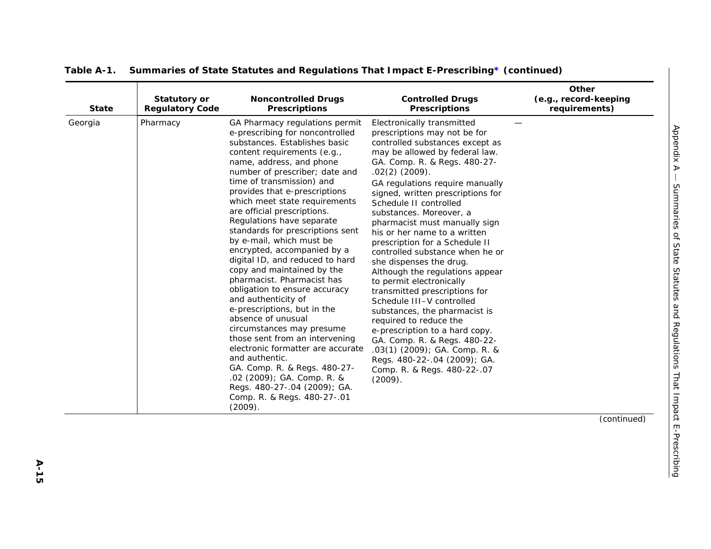| <b>State</b> | <b>Statutory or</b><br><b>Regulatory Code</b> | <b>Noncontrolled Drugs</b><br><b>Prescriptions</b>                                                                                                                                                                                                                                                                                                                                                                                                                                                                                                                                                                                                                                                                                                                                                                                                                                                                                  | <b>Controlled Drugs</b><br><b>Prescriptions</b>                                                                                                                                                                                                                                                                                                                                                                                                                                                                                                                                                                                                                                                                                                                                                                                                        | Other<br>(e.g., record-keeping<br>requirements) |
|--------------|-----------------------------------------------|-------------------------------------------------------------------------------------------------------------------------------------------------------------------------------------------------------------------------------------------------------------------------------------------------------------------------------------------------------------------------------------------------------------------------------------------------------------------------------------------------------------------------------------------------------------------------------------------------------------------------------------------------------------------------------------------------------------------------------------------------------------------------------------------------------------------------------------------------------------------------------------------------------------------------------------|--------------------------------------------------------------------------------------------------------------------------------------------------------------------------------------------------------------------------------------------------------------------------------------------------------------------------------------------------------------------------------------------------------------------------------------------------------------------------------------------------------------------------------------------------------------------------------------------------------------------------------------------------------------------------------------------------------------------------------------------------------------------------------------------------------------------------------------------------------|-------------------------------------------------|
| Georgia      | Pharmacy                                      | GA Pharmacy regulations permit<br>e-prescribing for noncontrolled<br>substances. Establishes basic<br>content requirements (e.g.,<br>name, address, and phone<br>number of prescriber; date and<br>time of transmission) and<br>provides that e-prescriptions<br>which meet state requirements<br>are official prescriptions.<br>Regulations have separate<br>standards for prescriptions sent<br>by e-mail, which must be<br>encrypted, accompanied by a<br>digital ID, and reduced to hard<br>copy and maintained by the<br>pharmacist. Pharmacist has<br>obligation to ensure accuracy<br>and authenticity of<br>e-prescriptions, but in the<br>absence of unusual<br>circumstances may presume<br>those sent from an intervening<br>electronic formatter are accurate<br>and authentic.<br>GA. Comp. R. & Regs. 480-27-<br>.02 (2009); GA. Comp. R. &<br>Regs. 480-27-.04 (2009); GA.<br>Comp. R. & Regs. 480-27-.01<br>(2009). | Electronically transmitted<br>prescriptions may not be for<br>controlled substances except as<br>may be allowed by federal law.<br>GA. Comp. R. & Regs. 480-27-<br>$.02(2)$ (2009).<br>GA regulations require manually<br>signed, written prescriptions for<br>Schedule II controlled<br>substances. Moreover, a<br>pharmacist must manually sign<br>his or her name to a written<br>prescription for a Schedule II<br>controlled substance when he or<br>she dispenses the drug.<br>Although the regulations appear<br>to permit electronically<br>transmitted prescriptions for<br>Schedule III-V controlled<br>substances, the pharmacist is<br>required to reduce the<br>e-prescription to a hard copy.<br>GA. Comp. R. & Regs. 480-22-<br>.03(1) (2009); GA. Comp. R. &<br>Regs. 480-22-.04 (2009); GA.<br>Comp. R. & Regs. 480-22-.07<br>(2009). |                                                 |
|              |                                               |                                                                                                                                                                                                                                                                                                                                                                                                                                                                                                                                                                                                                                                                                                                                                                                                                                                                                                                                     |                                                                                                                                                                                                                                                                                                                                                                                                                                                                                                                                                                                                                                                                                                                                                                                                                                                        | (continued)                                     |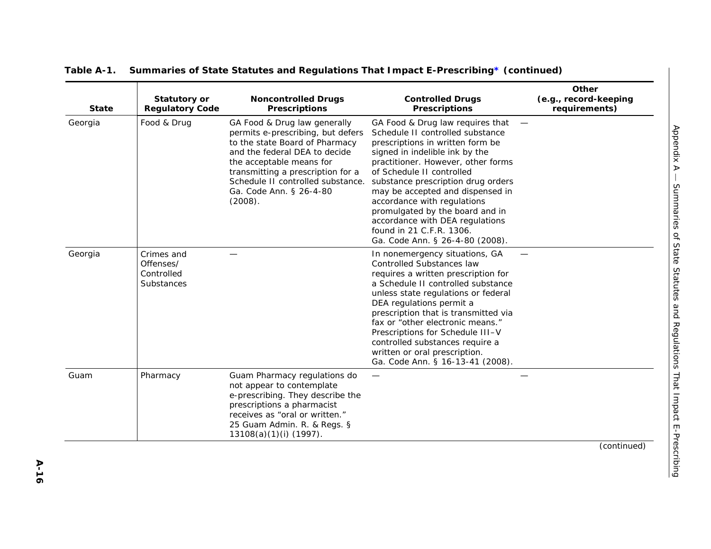| <b>State</b> | <b>Statutory or</b><br><b>Regulatory Code</b>       | <b>Noncontrolled Drugs</b><br><b>Prescriptions</b>                                                                                                                                                                                                                               | <b>Controlled Drugs</b><br><b>Prescriptions</b>                                                                                                                                                                                                                                                                                                                                                                                                             | Other<br>(e.g., record-keeping<br>requirements) |
|--------------|-----------------------------------------------------|----------------------------------------------------------------------------------------------------------------------------------------------------------------------------------------------------------------------------------------------------------------------------------|-------------------------------------------------------------------------------------------------------------------------------------------------------------------------------------------------------------------------------------------------------------------------------------------------------------------------------------------------------------------------------------------------------------------------------------------------------------|-------------------------------------------------|
| Georgia      | Food & Drug                                         | GA Food & Drug law generally<br>permits e-prescribing, but defers<br>to the state Board of Pharmacy<br>and the federal DEA to decide<br>the acceptable means for<br>transmitting a prescription for a<br>Schedule II controlled substance.<br>Ga. Code Ann. § 26-4-80<br>(2008). | GA Food & Drug law requires that<br>Schedule II controlled substance<br>prescriptions in written form be<br>signed in indelible ink by the<br>practitioner. However, other forms<br>of Schedule II controlled<br>substance prescription drug orders<br>may be accepted and dispensed in<br>accordance with regulations<br>promulgated by the board and in<br>accordance with DEA regulations<br>found in 21 C.F.R. 1306.<br>Ga. Code Ann. § 26-4-80 (2008). | $\overline{\phantom{m}}$                        |
| Georgia      | Crimes and<br>Offenses/<br>Controlled<br>Substances |                                                                                                                                                                                                                                                                                  | In nonemergency situations, GA<br><b>Controlled Substances law</b><br>requires a written prescription for<br>a Schedule II controlled substance<br>unless state regulations or federal<br>DEA regulations permit a<br>prescription that is transmitted via<br>fax or "other electronic means."<br>Prescriptions for Schedule III-V<br>controlled substances require a<br>written or oral prescription.<br>Ga. Code Ann. § 16-13-41 (2008).                  |                                                 |
| Guam         | Pharmacy                                            | Guam Pharmacy regulations do<br>not appear to contemplate<br>e-prescribing. They describe the<br>prescriptions a pharmacist<br>receives as "oral or written."<br>25 Guam Admin. R. & Regs. §<br>13108(a)(1)(i) (1997).                                                           |                                                                                                                                                                                                                                                                                                                                                                                                                                                             |                                                 |
|              |                                                     |                                                                                                                                                                                                                                                                                  |                                                                                                                                                                                                                                                                                                                                                                                                                                                             | (continued)                                     |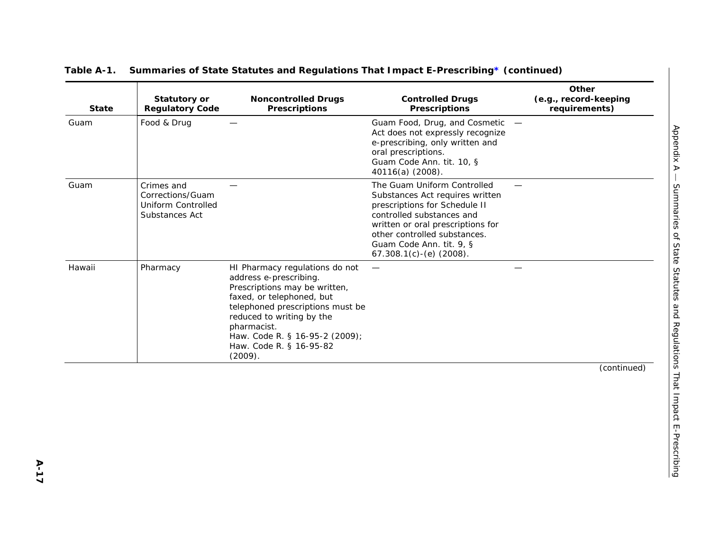| <b>State</b> | <b>Statutory or</b><br><b>Regulatory Code</b>                                 | <b>Noncontrolled Drugs</b><br><b>Prescriptions</b>                                                                                                                                                                                                                             | <b>Controlled Drugs</b><br><b>Prescriptions</b>                                                                                                                                                                                                              | Other<br>(e.g., record-keeping<br>requirements) |
|--------------|-------------------------------------------------------------------------------|--------------------------------------------------------------------------------------------------------------------------------------------------------------------------------------------------------------------------------------------------------------------------------|--------------------------------------------------------------------------------------------------------------------------------------------------------------------------------------------------------------------------------------------------------------|-------------------------------------------------|
| Guam         | Food & Drug                                                                   |                                                                                                                                                                                                                                                                                | Guam Food, Drug, and Cosmetic -<br>Act does not expressly recognize<br>e-prescribing, only written and<br>oral prescriptions.<br>Guam Code Ann. tit. 10, §<br>40116(a) (2008).                                                                               |                                                 |
| Guam         | Crimes and<br>Corrections/Guam<br><b>Uniform Controlled</b><br>Substances Act |                                                                                                                                                                                                                                                                                | The Guam Uniform Controlled<br>Substances Act requires written<br>prescriptions for Schedule II<br>controlled substances and<br>written or oral prescriptions for<br>other controlled substances.<br>Guam Code Ann. tit. 9, §<br>$67.308.1(c) - (e)$ (2008). |                                                 |
| Hawaii       | Pharmacy                                                                      | HI Pharmacy regulations do not<br>address e-prescribing.<br>Prescriptions may be written,<br>faxed, or telephoned, but<br>telephoned prescriptions must be<br>reduced to writing by the<br>pharmacist.<br>Haw. Code R. § 16-95-2 (2009);<br>Haw. Code R. § 16-95-82<br>(2009). |                                                                                                                                                                                                                                                              |                                                 |
|              |                                                                               |                                                                                                                                                                                                                                                                                |                                                                                                                                                                                                                                                              | (continued)                                     |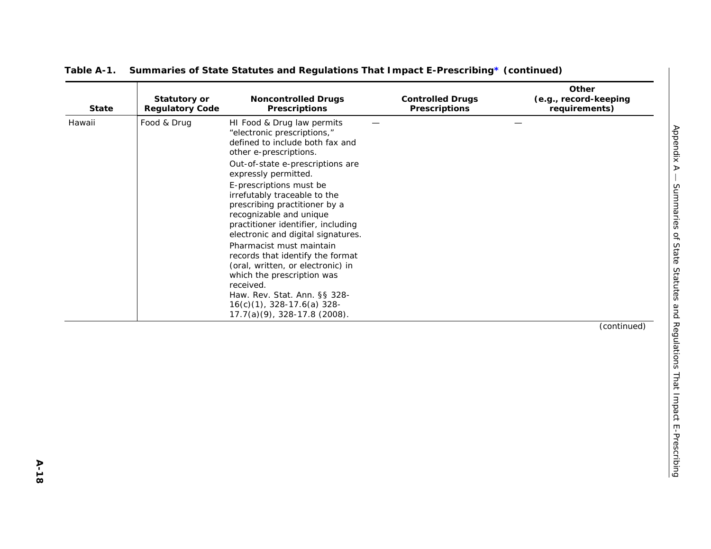| <b>State</b> | <b>Statutory or</b><br><b>Regulatory Code</b> | <b>Noncontrolled Drugs</b><br><b>Prescriptions</b>                                                                                                                                                                                                                                                                                                                                                                                                                    | <b>Controlled Drugs</b><br><b>Prescriptions</b> | Other<br>(e.g., record-keeping<br>requirements) |
|--------------|-----------------------------------------------|-----------------------------------------------------------------------------------------------------------------------------------------------------------------------------------------------------------------------------------------------------------------------------------------------------------------------------------------------------------------------------------------------------------------------------------------------------------------------|-------------------------------------------------|-------------------------------------------------|
| Hawaii       | Food & Drug                                   | HI Food & Drug law permits<br>"electronic prescriptions,"<br>defined to include both fax and<br>other e-prescriptions.<br>Out-of-state e-prescriptions are                                                                                                                                                                                                                                                                                                            |                                                 |                                                 |
|              |                                               | expressly permitted.<br>E-prescriptions must be<br>irrefutably traceable to the<br>prescribing practitioner by a<br>recognizable and unique<br>practitioner identifier, including<br>electronic and digital signatures.<br>Pharmacist must maintain<br>records that identify the format<br>(oral, written, or electronic) in<br>which the prescription was<br>received.<br>Haw. Rev. Stat. Ann. §§ 328-<br>16(c)(1), 328-17.6(a) 328-<br>17.7(a)(9), 328-17.8 (2008). |                                                 |                                                 |
|              |                                               |                                                                                                                                                                                                                                                                                                                                                                                                                                                                       |                                                 | (continued)                                     |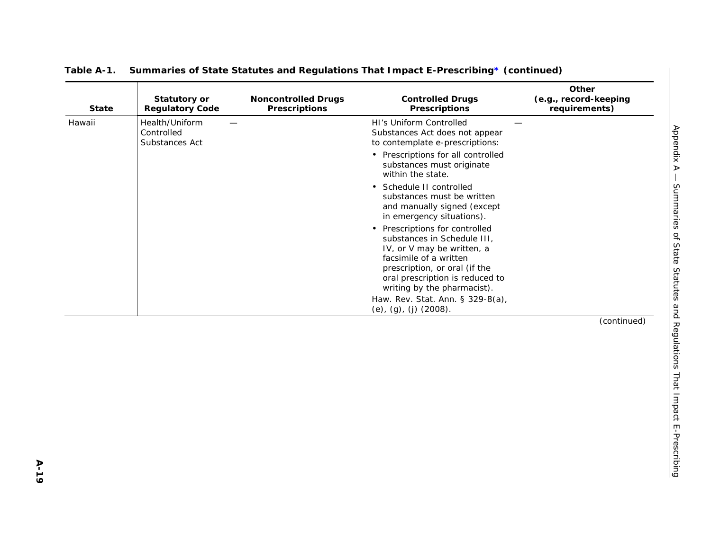| <b>Statutory or</b><br><b>Regulatory Code</b>  | <b>Noncontrolled Drugs</b><br><b>Prescriptions</b> | <b>Controlled Drugs</b><br><b>Prescriptions</b>                                                                                                                                                      | Other<br>(e.g., record-keeping<br>requirements)           |
|------------------------------------------------|----------------------------------------------------|------------------------------------------------------------------------------------------------------------------------------------------------------------------------------------------------------|-----------------------------------------------------------|
| Health/Uniform<br>Controlled<br>Substances Act |                                                    | HI's Uniform Controlled<br>Substances Act does not appear<br>to contemplate e-prescriptions:                                                                                                         |                                                           |
|                                                |                                                    | • Prescriptions for all controlled<br>substances must originate<br>within the state.                                                                                                                 |                                                           |
|                                                |                                                    | • Schedule II controlled<br>substances must be written<br>and manually signed (except<br>in emergency situations).                                                                                   |                                                           |
|                                                |                                                    | Prescriptions for controlled<br>$\bullet$<br>substances in Schedule III,<br>IV, or V may be written, a<br>facsimile of a written<br>prescription, or oral (if the<br>oral prescription is reduced to |                                                           |
|                                                |                                                    | Haw. Rev. Stat. Ann. § 329-8(a),                                                                                                                                                                     |                                                           |
|                                                |                                                    |                                                                                                                                                                                                      | (continued)                                               |
|                                                |                                                    |                                                                                                                                                                                                      | writing by the pharmacist).<br>(e), $(g)$ , $(j)$ (2008). |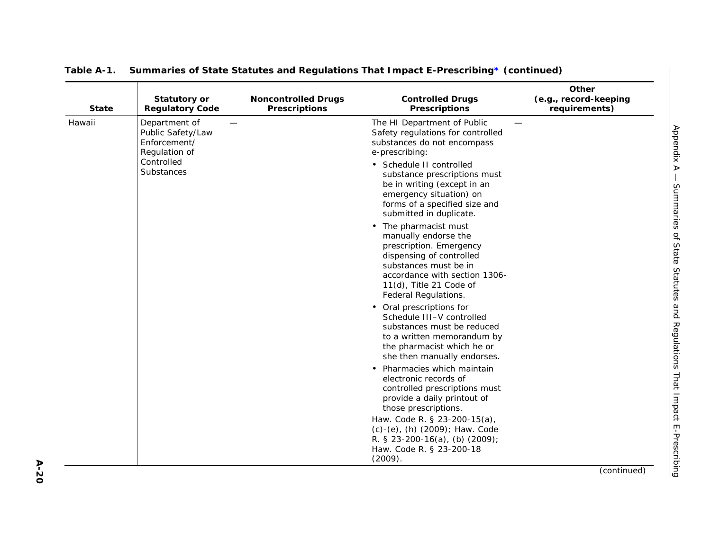| <b>State</b> | Statutory or<br><b>Regulatory Code</b>                                                          | <b>Noncontrolled Drugs</b><br><b>Prescriptions</b> | <b>Controlled Drugs</b><br><b>Prescriptions</b>                                                                                                                                                                                                                                                                                                                                                                                                                                                                                                                                                                                                                                                                                                                                                                                                                                                                                                                                                          | Other<br>(e.g., record-keeping<br>requirements) |
|--------------|-------------------------------------------------------------------------------------------------|----------------------------------------------------|----------------------------------------------------------------------------------------------------------------------------------------------------------------------------------------------------------------------------------------------------------------------------------------------------------------------------------------------------------------------------------------------------------------------------------------------------------------------------------------------------------------------------------------------------------------------------------------------------------------------------------------------------------------------------------------------------------------------------------------------------------------------------------------------------------------------------------------------------------------------------------------------------------------------------------------------------------------------------------------------------------|-------------------------------------------------|
| Hawaii       | Department of<br>Public Safety/Law<br>Enforcement/<br>Regulation of<br>Controlled<br>Substances |                                                    | The HI Department of Public<br>Safety regulations for controlled<br>substances do not encompass<br>e-prescribing:<br>• Schedule II controlled<br>substance prescriptions must<br>be in writing (except in an<br>emergency situation) on<br>forms of a specified size and<br>submitted in duplicate.<br>• The pharmacist must<br>manually endorse the<br>prescription. Emergency<br>dispensing of controlled<br>substances must be in<br>accordance with section 1306-<br>11(d), Title 21 Code of<br>Federal Regulations.<br>• Oral prescriptions for<br>Schedule III-V controlled<br>substances must be reduced<br>to a written memorandum by<br>the pharmacist which he or<br>she then manually endorses.<br>• Pharmacies which maintain<br>electronic records of<br>controlled prescriptions must<br>provide a daily printout of<br>those prescriptions.<br>Haw. Code R. § 23-200-15(a),<br>(c)-(e), (h) (2009); Haw. Code<br>R. § 23-200-16(a), (b) $(2009)$ ;<br>Haw. Code R. § 23-200-18<br>(2009). |                                                 |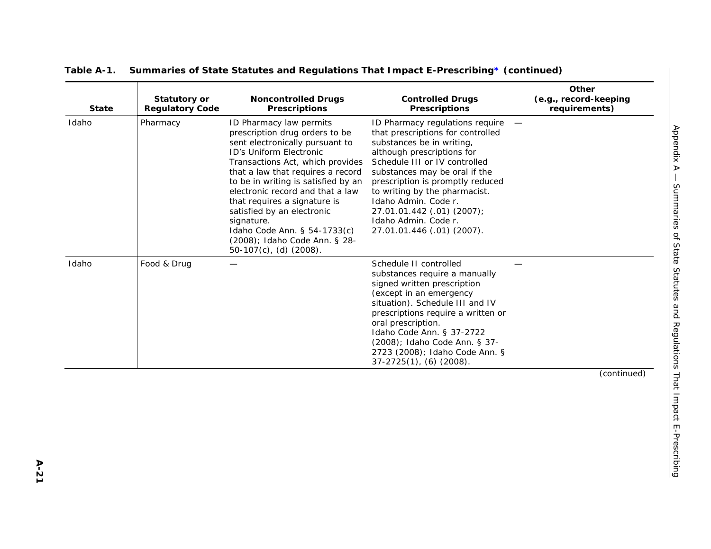| <b>State</b> | <b>Statutory or</b><br><b>Regulatory Code</b> | <b>Noncontrolled Drugs</b><br><b>Prescriptions</b>                                                                                                                                                                                                                                                                                                                                                                                                    | <b>Controlled Drugs</b><br><b>Prescriptions</b>                                                                                                                                                                                                                                                                                                                                    | Other<br>(e.g., record-keeping<br>requirements) |
|--------------|-----------------------------------------------|-------------------------------------------------------------------------------------------------------------------------------------------------------------------------------------------------------------------------------------------------------------------------------------------------------------------------------------------------------------------------------------------------------------------------------------------------------|------------------------------------------------------------------------------------------------------------------------------------------------------------------------------------------------------------------------------------------------------------------------------------------------------------------------------------------------------------------------------------|-------------------------------------------------|
| Idaho        | Pharmacy                                      | ID Pharmacy law permits<br>prescription drug orders to be<br>sent electronically pursuant to<br>ID's Uniform Electronic<br>Transactions Act, which provides<br>that a law that requires a record<br>to be in writing is satisfied by an<br>electronic record and that a law<br>that requires a signature is<br>satisfied by an electronic<br>signature.<br>Idaho Code Ann. § 54-1733(c)<br>(2008); Idaho Code Ann. § 28-<br>$50-107(c)$ , (d) (2008). | ID Pharmacy regulations require<br>that prescriptions for controlled<br>substances be in writing,<br>although prescriptions for<br>Schedule III or IV controlled<br>substances may be oral if the<br>prescription is promptly reduced<br>to writing by the pharmacist.<br>Idaho Admin. Code r.<br>27.01.01.442 (.01) (2007);<br>Idaho Admin. Code r.<br>27.01.01.446 (.01) (2007). |                                                 |
| Idaho        | Food & Drug                                   |                                                                                                                                                                                                                                                                                                                                                                                                                                                       | Schedule II controlled<br>substances require a manually<br>signed written prescription<br>(except in an emergency<br>situation). Schedule III and IV<br>prescriptions require a written or<br>oral prescription.<br>Idaho Code Ann. § 37-2722<br>(2008); Idaho Code Ann. § 37-<br>2723 (2008); Idaho Code Ann. §<br>$37-2725(1)$ , (6) (2008).                                     |                                                 |
|              |                                               |                                                                                                                                                                                                                                                                                                                                                                                                                                                       |                                                                                                                                                                                                                                                                                                                                                                                    | (continued)                                     |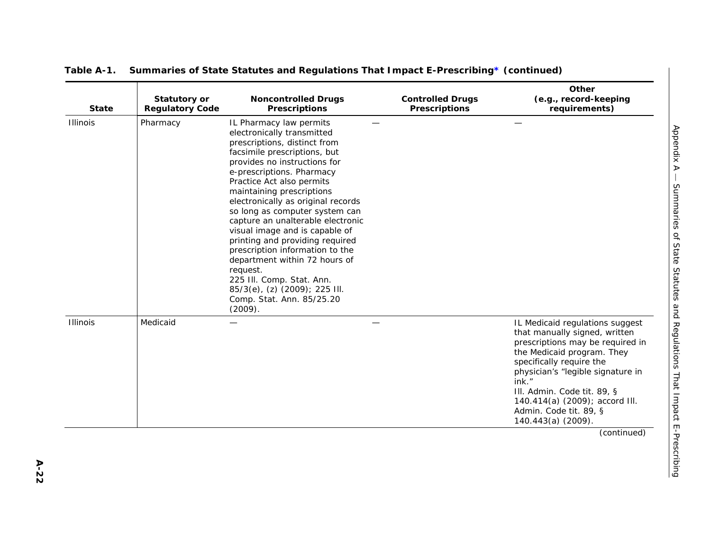| <b>State</b>    | <b>Statutory or</b><br><b>Regulatory Code</b> | <b>Noncontrolled Drugs</b><br><b>Prescriptions</b>                                                                                                                                                                                                                                                                                                                                                                                                                                                                                                                                                                   | <b>Controlled Drugs</b><br><b>Prescriptions</b> | Other<br>(e.g., record-keeping<br>requirements)                                                                                                                                                                                                                                                                               |
|-----------------|-----------------------------------------------|----------------------------------------------------------------------------------------------------------------------------------------------------------------------------------------------------------------------------------------------------------------------------------------------------------------------------------------------------------------------------------------------------------------------------------------------------------------------------------------------------------------------------------------------------------------------------------------------------------------------|-------------------------------------------------|-------------------------------------------------------------------------------------------------------------------------------------------------------------------------------------------------------------------------------------------------------------------------------------------------------------------------------|
| <b>Illinois</b> | Pharmacy                                      | IL Pharmacy law permits<br>electronically transmitted<br>prescriptions, distinct from<br>facsimile prescriptions, but<br>provides no instructions for<br>e-prescriptions. Pharmacy<br>Practice Act also permits<br>maintaining prescriptions<br>electronically as original records<br>so long as computer system can<br>capture an unalterable electronic<br>visual image and is capable of<br>printing and providing required<br>prescription information to the<br>department within 72 hours of<br>request.<br>225 III. Comp. Stat. Ann.<br>85/3(e), (z) (2009); 225 III.<br>Comp. Stat. Ann. 85/25.20<br>(2009). |                                                 |                                                                                                                                                                                                                                                                                                                               |
| <b>Illinois</b> | Medicaid                                      |                                                                                                                                                                                                                                                                                                                                                                                                                                                                                                                                                                                                                      |                                                 | IL Medicaid regulations suggest<br>that manually signed, written<br>prescriptions may be required in<br>the Medicaid program. They<br>specifically require the<br>physician's "legible signature in<br>ink."<br>III. Admin. Code tit. 89, §<br>140.414(a) (2009); accord III.<br>Admin. Code tit. 89, §<br>140.443(a) (2009). |
|                 |                                               |                                                                                                                                                                                                                                                                                                                                                                                                                                                                                                                                                                                                                      |                                                 | (continued)                                                                                                                                                                                                                                                                                                                   |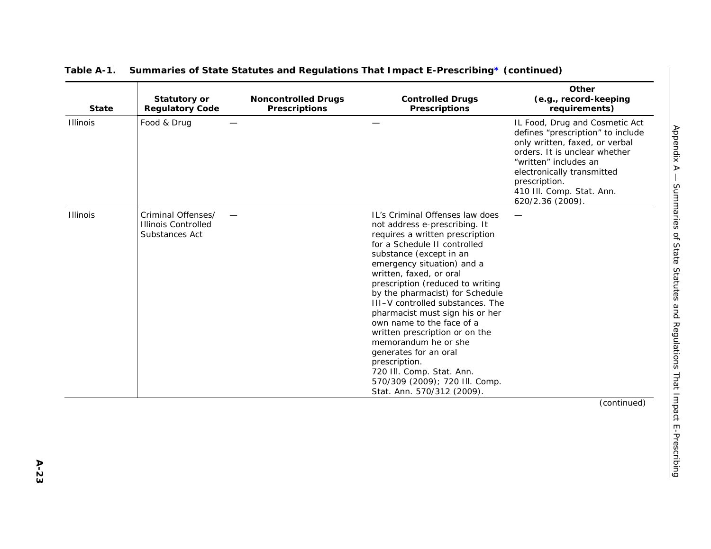| <b>State</b>    | <b>Statutory or</b><br><b>Regulatory Code</b>                      | <b>Noncontrolled Drugs</b><br><b>Prescriptions</b> | <b>Controlled Drugs</b><br><b>Prescriptions</b>                                                                                                                                                                                                                                                                                                                                                                                                                                                                                                                                                     | Other<br>(e.g., record-keeping<br>requirements)                                                                                                                                                                                                                 |
|-----------------|--------------------------------------------------------------------|----------------------------------------------------|-----------------------------------------------------------------------------------------------------------------------------------------------------------------------------------------------------------------------------------------------------------------------------------------------------------------------------------------------------------------------------------------------------------------------------------------------------------------------------------------------------------------------------------------------------------------------------------------------------|-----------------------------------------------------------------------------------------------------------------------------------------------------------------------------------------------------------------------------------------------------------------|
| <b>Illinois</b> | Food & Drug                                                        |                                                    |                                                                                                                                                                                                                                                                                                                                                                                                                                                                                                                                                                                                     | IL Food, Drug and Cosmetic Act<br>defines "prescription" to include<br>only written, faxed, or verbal<br>orders. It is unclear whether<br>"written" includes an<br>electronically transmitted<br>prescription.<br>410 III. Comp. Stat. Ann.<br>620/2.36 (2009). |
| <b>Illinois</b> | Criminal Offenses/<br><b>Illinois Controlled</b><br>Substances Act |                                                    | IL's Criminal Offenses law does<br>not address e-prescribing. It<br>requires a written prescription<br>for a Schedule II controlled<br>substance (except in an<br>emergency situation) and a<br>written, faxed, or oral<br>prescription (reduced to writing<br>by the pharmacist) for Schedule<br>III-V controlled substances. The<br>pharmacist must sign his or her<br>own name to the face of a<br>written prescription or on the<br>memorandum he or she<br>generates for an oral<br>prescription.<br>720 III. Comp. Stat. Ann.<br>570/309 (2009); 720 III. Comp.<br>Stat. Ann. 570/312 (2009). |                                                                                                                                                                                                                                                                 |
|                 |                                                                    |                                                    |                                                                                                                                                                                                                                                                                                                                                                                                                                                                                                                                                                                                     | (continued)                                                                                                                                                                                                                                                     |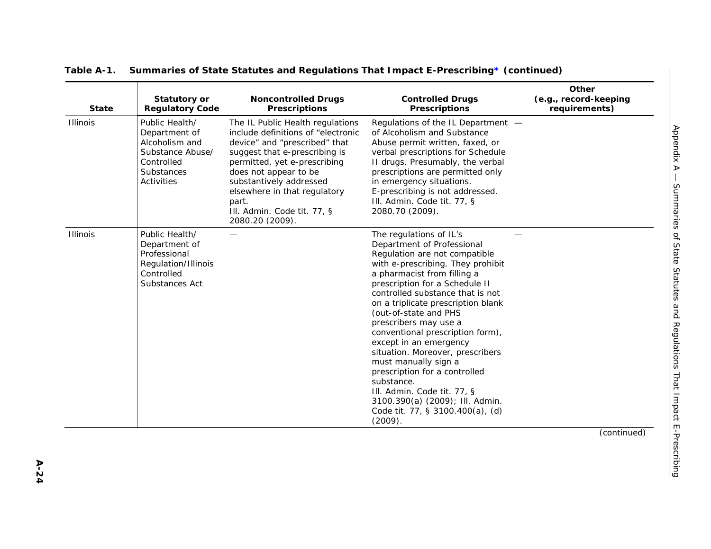| <b>State</b> | <b>Statutory or</b><br><b>Regulatory Code</b>                                                                   | <b>Noncontrolled Drugs</b><br><b>Prescriptions</b>                                                                                                                                                                                                                                                                      | <b>Controlled Drugs</b><br><b>Prescriptions</b>                                                                                                                                                                                                                                                                                                                                                                                                                                                                                                                                                                    | Other<br>(e.g., record-keeping<br>requirements) |
|--------------|-----------------------------------------------------------------------------------------------------------------|-------------------------------------------------------------------------------------------------------------------------------------------------------------------------------------------------------------------------------------------------------------------------------------------------------------------------|--------------------------------------------------------------------------------------------------------------------------------------------------------------------------------------------------------------------------------------------------------------------------------------------------------------------------------------------------------------------------------------------------------------------------------------------------------------------------------------------------------------------------------------------------------------------------------------------------------------------|-------------------------------------------------|
| Illinois     | Public Health/<br>Department of<br>Alcoholism and<br>Substance Abuse/<br>Controlled<br>Substances<br>Activities | The IL Public Health regulations<br>include definitions of "electronic<br>device" and "prescribed" that<br>suggest that e-prescribing is<br>permitted, yet e-prescribing<br>does not appear to be<br>substantively addressed<br>elsewhere in that regulatory<br>part.<br>III. Admin. Code tit. 77, §<br>2080.20 (2009). | Regulations of the IL Department -<br>of Alcoholism and Substance<br>Abuse permit written, faxed, or<br>verbal prescriptions for Schedule<br>II drugs. Presumably, the verbal<br>prescriptions are permitted only<br>in emergency situations.<br>E-prescribing is not addressed.<br>III. Admin. Code tit. 77, §<br>2080.70 (2009).                                                                                                                                                                                                                                                                                 |                                                 |
| Illinois     | Public Health/<br>Department of<br>Professional<br>Regulation/Illinois<br>Controlled<br>Substances Act          |                                                                                                                                                                                                                                                                                                                         | The regulations of IL's<br>Department of Professional<br>Regulation are not compatible<br>with e-prescribing. They prohibit<br>a pharmacist from filling a<br>prescription for a Schedule II<br>controlled substance that is not<br>on a triplicate prescription blank<br>(out-of-state and PHS<br>prescribers may use a<br>conventional prescription form),<br>except in an emergency<br>situation. Moreover, prescribers<br>must manually sign a<br>prescription for a controlled<br>substance.<br>III. Admin. Code tit. 77, §<br>3100.390(a) (2009); Ill. Admin.<br>Code tit. 77, § 3100.400(a), (d)<br>(2009). |                                                 |
|              |                                                                                                                 |                                                                                                                                                                                                                                                                                                                         |                                                                                                                                                                                                                                                                                                                                                                                                                                                                                                                                                                                                                    | (continued)                                     |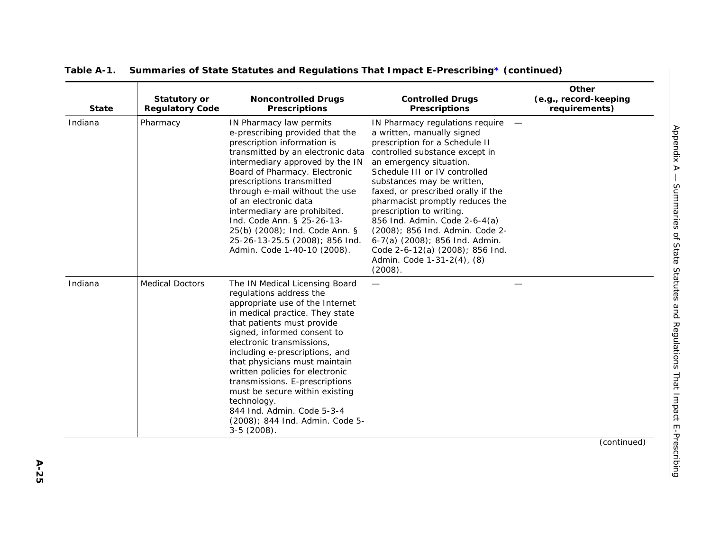| <b>State</b> | <b>Statutory or</b><br><b>Regulatory Code</b> | <b>Noncontrolled Drugs</b><br><b>Prescriptions</b>                                                                                                                                                                                                                                                                                                                                                                                                                                                   | <b>Controlled Drugs</b><br><b>Prescriptions</b>                                                                                                                                                                                                                                                                                                                                                                                                                                                                    | Other<br>(e.g., record-keeping<br>requirements) |                                                                       |
|--------------|-----------------------------------------------|------------------------------------------------------------------------------------------------------------------------------------------------------------------------------------------------------------------------------------------------------------------------------------------------------------------------------------------------------------------------------------------------------------------------------------------------------------------------------------------------------|--------------------------------------------------------------------------------------------------------------------------------------------------------------------------------------------------------------------------------------------------------------------------------------------------------------------------------------------------------------------------------------------------------------------------------------------------------------------------------------------------------------------|-------------------------------------------------|-----------------------------------------------------------------------|
| Indiana      | Pharmacy                                      | IN Pharmacy law permits<br>e-prescribing provided that the<br>prescription information is<br>transmitted by an electronic data<br>intermediary approved by the IN<br>Board of Pharmacy. Electronic<br>prescriptions transmitted<br>through e-mail without the use<br>of an electronic data<br>intermediary are prohibited.<br>Ind. Code Ann. § 25-26-13-<br>25(b) (2008); Ind. Code Ann. §<br>25-26-13-25.5 (2008); 856 Ind.<br>Admin. Code 1-40-10 (2008).                                          | IN Pharmacy regulations require<br>a written, manually signed<br>prescription for a Schedule II<br>controlled substance except in<br>an emergency situation.<br>Schedule III or IV controlled<br>substances may be written,<br>faxed, or prescribed orally if the<br>pharmacist promptly reduces the<br>prescription to writing.<br>856 Ind. Admin. Code 2-6-4(a)<br>(2008); 856 Ind. Admin. Code 2-<br>6-7(a) (2008); 856 Ind. Admin.<br>Code 2-6-12(a) (2008); 856 Ind.<br>Admin. Code 1-31-2(4), (8)<br>(2008). |                                                 | Appendix A                                                            |
| Indiana      | <b>Medical Doctors</b>                        | The IN Medical Licensing Board<br>regulations address the<br>appropriate use of the Internet<br>in medical practice. They state<br>that patients must provide<br>signed, informed consent to<br>electronic transmissions,<br>including e-prescriptions, and<br>that physicians must maintain<br>written policies for electronic<br>transmissions. E-prescriptions<br>must be secure within existing<br>technology.<br>844 Ind. Admin. Code 5-3-4<br>(2008); 844 Ind. Admin. Code 5-<br>$3-5(2008)$ . |                                                                                                                                                                                                                                                                                                                                                                                                                                                                                                                    |                                                 | Summaries of State Statutes and Regulations That Impact E-Prescribing |
|              |                                               |                                                                                                                                                                                                                                                                                                                                                                                                                                                                                                      |                                                                                                                                                                                                                                                                                                                                                                                                                                                                                                                    | (continued)                                     |                                                                       |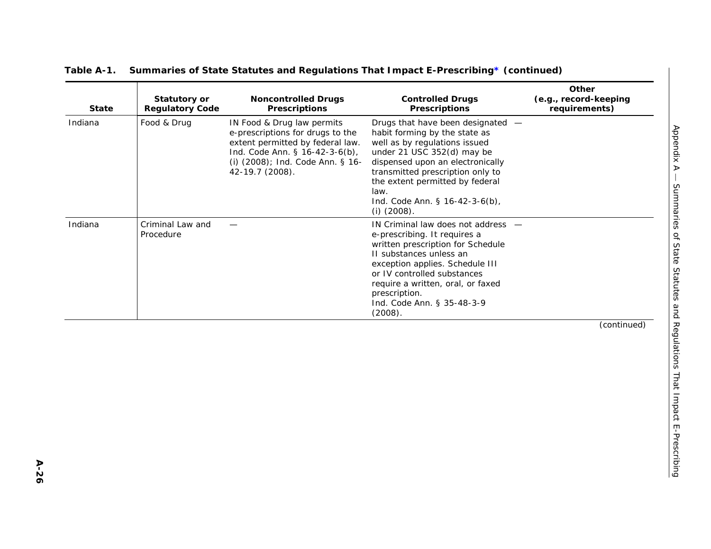| <b>State</b> | <b>Statutory or</b><br><b>Regulatory Code</b> | <b>Noncontrolled Drugs</b><br><b>Prescriptions</b>                                                                                                                                          | <b>Controlled Drugs</b><br><b>Prescriptions</b>                                                                                                                                                                                                                                                         | Other<br>(e.g., record-keeping<br>requirements) |
|--------------|-----------------------------------------------|---------------------------------------------------------------------------------------------------------------------------------------------------------------------------------------------|---------------------------------------------------------------------------------------------------------------------------------------------------------------------------------------------------------------------------------------------------------------------------------------------------------|-------------------------------------------------|
| Indiana      | Food & Drug                                   | IN Food & Drug law permits<br>e-prescriptions for drugs to the<br>extent permitted by federal law.<br>Ind. Code Ann. § 16-42-3-6(b),<br>(i) (2008); Ind. Code Ann. § 16-<br>42-19.7 (2008). | Drugs that have been designated -<br>habit forming by the state as<br>well as by regulations issued<br>under 21 USC 352(d) may be<br>dispensed upon an electronically<br>transmitted prescription only to<br>the extent permitted by federal<br>law.<br>Ind. Code Ann. § 16-42-3-6(b),<br>$(i)$ (2008). |                                                 |
| Indiana      | Criminal Law and<br>Procedure                 |                                                                                                                                                                                             | IN Criminal law does not address -<br>e-prescribing. It requires a<br>written prescription for Schedule<br>II substances unless an<br>exception applies. Schedule III<br>or IV controlled substances<br>require a written, oral, or faxed<br>prescription.<br>Ind. Code Ann. § 35-48-3-9<br>(2008).     |                                                 |
|              |                                               |                                                                                                                                                                                             |                                                                                                                                                                                                                                                                                                         | (continued)                                     |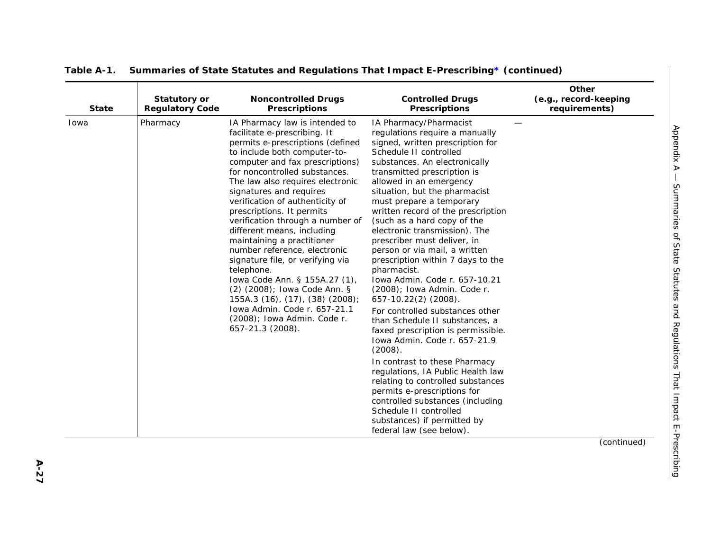| <b>State</b> | <b>Statutory or</b><br><b>Regulatory Code</b> | <b>Noncontrolled Drugs</b><br><b>Prescriptions</b>                                                                                                                                                                                                                                                                                                                                                                                                                                                                                                                                                                                                                                                             | <b>Controlled Drugs</b><br><b>Prescriptions</b>                                                                                                                                                                                                                                                                                                                                                                                                                                                                                                                                                                                                                                                                                                                                                                                                                                                                                                                                                                           | Other<br>(e.g., record-keeping<br>requirements) |
|--------------|-----------------------------------------------|----------------------------------------------------------------------------------------------------------------------------------------------------------------------------------------------------------------------------------------------------------------------------------------------------------------------------------------------------------------------------------------------------------------------------------------------------------------------------------------------------------------------------------------------------------------------------------------------------------------------------------------------------------------------------------------------------------------|---------------------------------------------------------------------------------------------------------------------------------------------------------------------------------------------------------------------------------------------------------------------------------------------------------------------------------------------------------------------------------------------------------------------------------------------------------------------------------------------------------------------------------------------------------------------------------------------------------------------------------------------------------------------------------------------------------------------------------------------------------------------------------------------------------------------------------------------------------------------------------------------------------------------------------------------------------------------------------------------------------------------------|-------------------------------------------------|
| Iowa         | Pharmacy                                      | IA Pharmacy law is intended to<br>facilitate e-prescribing. It<br>permits e-prescriptions (defined<br>to include both computer-to-<br>computer and fax prescriptions)<br>for noncontrolled substances.<br>The law also requires electronic<br>signatures and requires<br>verification of authenticity of<br>prescriptions. It permits<br>verification through a number of<br>different means, including<br>maintaining a practitioner<br>number reference, electronic<br>signature file, or verifying via<br>telephone.<br>Iowa Code Ann. § 155A.27 (1),<br>(2) (2008); Iowa Code Ann. §<br>155A.3 (16), (17), (38) (2008);<br>Iowa Admin. Code r. 657-21.1<br>(2008); Iowa Admin. Code r.<br>657-21.3 (2008). | IA Pharmacy/Pharmacist<br>regulations require a manually<br>signed, written prescription for<br>Schedule II controlled<br>substances. An electronically<br>transmitted prescription is<br>allowed in an emergency<br>situation, but the pharmacist<br>must prepare a temporary<br>written record of the prescription<br>(such as a hard copy of the<br>electronic transmission). The<br>prescriber must deliver, in<br>person or via mail, a written<br>prescription within 7 days to the<br>pharmacist.<br>Iowa Admin. Code r. 657-10.21<br>(2008); Iowa Admin. Code r.<br>657-10.22(2) (2008).<br>For controlled substances other<br>than Schedule II substances, a<br>faxed prescription is permissible.<br>Iowa Admin. Code r. 657-21.9<br>(2008).<br>In contrast to these Pharmacy<br>regulations, IA Public Health law<br>relating to controlled substances<br>permits e-prescriptions for<br>controlled substances (including<br>Schedule II controlled<br>substances) if permitted by<br>federal law (see below). | (continued)                                     |
|              |                                               |                                                                                                                                                                                                                                                                                                                                                                                                                                                                                                                                                                                                                                                                                                                |                                                                                                                                                                                                                                                                                                                                                                                                                                                                                                                                                                                                                                                                                                                                                                                                                                                                                                                                                                                                                           |                                                 |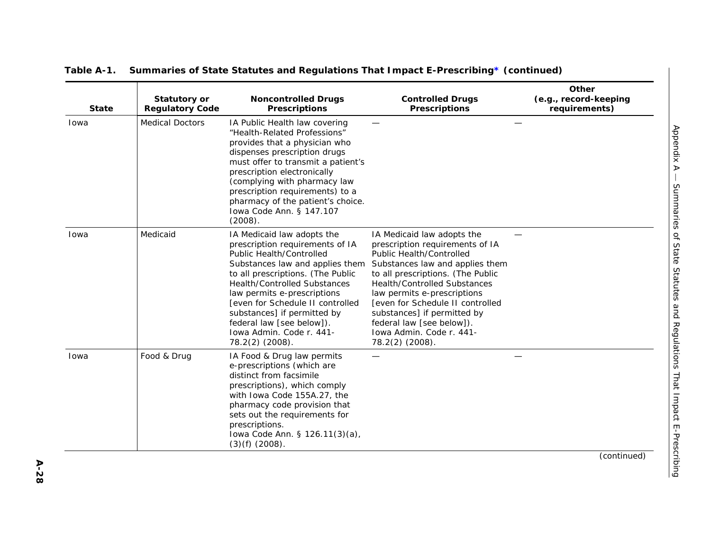| <b>State</b> | <b>Statutory or</b><br><b>Regulatory Code</b> | <b>Noncontrolled Drugs</b><br><b>Prescriptions</b>                                                                                                                                                                                                                                                                                                                                            | <b>Controlled Drugs</b><br><b>Prescriptions</b>                                                                                                                                                                                                                                                                                                                                               | Other<br>(e.g., record-keeping<br>requirements) |
|--------------|-----------------------------------------------|-----------------------------------------------------------------------------------------------------------------------------------------------------------------------------------------------------------------------------------------------------------------------------------------------------------------------------------------------------------------------------------------------|-----------------------------------------------------------------------------------------------------------------------------------------------------------------------------------------------------------------------------------------------------------------------------------------------------------------------------------------------------------------------------------------------|-------------------------------------------------|
| Iowa         | <b>Medical Doctors</b>                        | IA Public Health law covering<br>"Health-Related Professions"<br>provides that a physician who<br>dispenses prescription drugs<br>must offer to transmit a patient's<br>prescription electronically<br>(complying with pharmacy law<br>prescription requirements) to a<br>pharmacy of the patient's choice.<br>Iowa Code Ann. § 147.107<br>(2008).                                            |                                                                                                                                                                                                                                                                                                                                                                                               |                                                 |
| Iowa         | Medicaid                                      | IA Medicaid law adopts the<br>prescription requirements of IA<br><b>Public Health/Controlled</b><br>Substances law and applies them<br>to all prescriptions. (The Public<br><b>Health/Controlled Substances</b><br>law permits e-prescriptions<br>[even for Schedule II controlled<br>substances] if permitted by<br>federal law [see below]).<br>Iowa Admin. Code r. 441-<br>78.2(2) (2008). | IA Medicaid law adopts the<br>prescription requirements of IA<br><b>Public Health/Controlled</b><br>Substances law and applies them<br>to all prescriptions. (The Public<br><b>Health/Controlled Substances</b><br>law permits e-prescriptions<br>[even for Schedule II controlled<br>substances] if permitted by<br>federal law [see below]).<br>Iowa Admin. Code r. 441-<br>78.2(2) (2008). |                                                 |
| Iowa         | Food & Drug                                   | IA Food & Drug law permits<br>e-prescriptions (which are<br>distinct from facsimile<br>prescriptions), which comply<br>with Iowa Code 155A.27, the<br>pharmacy code provision that<br>sets out the requirements for<br>prescriptions.<br>lowa Code Ann. § 126.11(3)(a),<br>$(3)(f)$ $(2008)$ .                                                                                                |                                                                                                                                                                                                                                                                                                                                                                                               |                                                 |

*Appendix A —*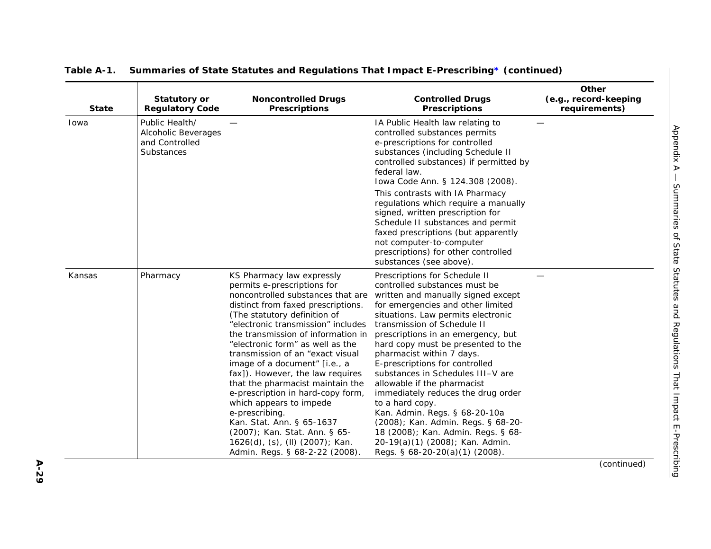| <b>State</b> | <b>Statutory or</b><br><b>Regulatory Code</b>                         | <b>Noncontrolled Drugs</b><br><b>Prescriptions</b>                                                                                                                                                                                                                                                                                                                                                                                                                                                                                                                                                                                                    | <b>Controlled Drugs</b><br><b>Prescriptions</b>                                                                                                                                                                                                                                                                                                                                                                                                                                                                                                                                                                                                                          | Other<br>(e.g., record-keeping<br>requirements) |
|--------------|-----------------------------------------------------------------------|-------------------------------------------------------------------------------------------------------------------------------------------------------------------------------------------------------------------------------------------------------------------------------------------------------------------------------------------------------------------------------------------------------------------------------------------------------------------------------------------------------------------------------------------------------------------------------------------------------------------------------------------------------|--------------------------------------------------------------------------------------------------------------------------------------------------------------------------------------------------------------------------------------------------------------------------------------------------------------------------------------------------------------------------------------------------------------------------------------------------------------------------------------------------------------------------------------------------------------------------------------------------------------------------------------------------------------------------|-------------------------------------------------|
| Iowa         | Public Health/<br>Alcoholic Beverages<br>and Controlled<br>Substances |                                                                                                                                                                                                                                                                                                                                                                                                                                                                                                                                                                                                                                                       | IA Public Health law relating to<br>controlled substances permits<br>e-prescriptions for controlled<br>substances (including Schedule II<br>controlled substances) if permitted by<br>federal law.<br>Iowa Code Ann. § 124.308 (2008).<br>This contrasts with IA Pharmacy<br>regulations which require a manually<br>signed, written prescription for<br>Schedule II substances and permit<br>faxed prescriptions (but apparently<br>not computer-to-computer<br>prescriptions) for other controlled<br>substances (see above).                                                                                                                                          |                                                 |
| Kansas       | Pharmacy                                                              | KS Pharmacy law expressly<br>permits e-prescriptions for<br>noncontrolled substances that are<br>distinct from faxed prescriptions.<br>(The statutory definition of<br>"electronic transmission" includes<br>the transmission of information in<br>"electronic form" as well as the<br>transmission of an "exact visual<br>image of a document" [i.e., a<br>fax]). However, the law requires<br>that the pharmacist maintain the<br>e-prescription in hard-copy form,<br>which appears to impede<br>e-prescribing.<br>Kan. Stat. Ann. § 65-1637<br>(2007); Kan. Stat. Ann. § 65-<br>1626(d), (s), (ll) (2007); Kan.<br>Admin. Regs. § 68-2-22 (2008). | Prescriptions for Schedule II<br>controlled substances must be<br>written and manually signed except<br>for emergencies and other limited<br>situations. Law permits electronic<br>transmission of Schedule II<br>prescriptions in an emergency, but<br>hard copy must be presented to the<br>pharmacist within 7 days.<br>E-prescriptions for controlled<br>substances in Schedules III-V are<br>allowable if the pharmacist<br>immediately reduces the drug order<br>to a hard copy.<br>Kan. Admin. Regs. § 68-20-10a<br>(2008); Kan. Admin. Regs. § 68-20-<br>18 (2008); Kan. Admin. Regs. § 68-<br>20-19(a)(1) (2008); Kan. Admin.<br>Regs. § 68-20-20(a)(1) (2008). |                                                 |
|              |                                                                       |                                                                                                                                                                                                                                                                                                                                                                                                                                                                                                                                                                                                                                                       |                                                                                                                                                                                                                                                                                                                                                                                                                                                                                                                                                                                                                                                                          | (continued)                                     |

**A-29**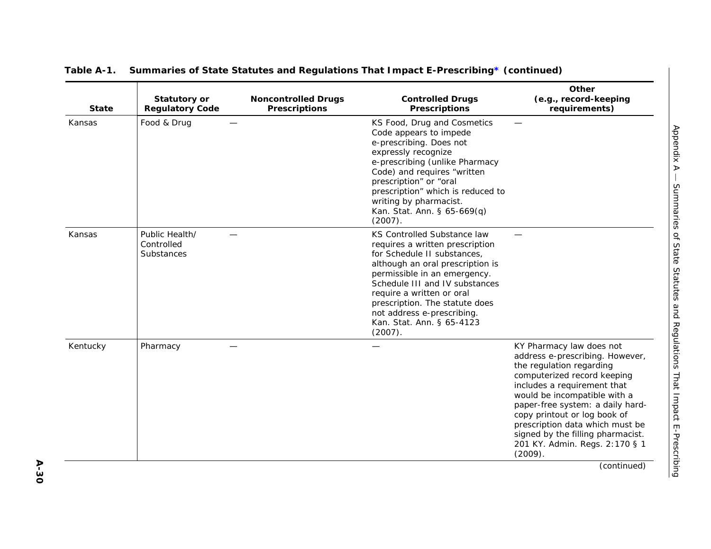| <b>State</b> | <b>Statutory or</b><br><b>Regulatory Code</b> | <b>Noncontrolled Drugs</b><br><b>Prescriptions</b> | <b>Controlled Drugs</b><br><b>Prescriptions</b>                                                                                                                                                                                                                                                                                          | Other<br>(e.g., record-keeping<br>requirements)                                                                                                                                                                                                                                                                                                                                |
|--------------|-----------------------------------------------|----------------------------------------------------|------------------------------------------------------------------------------------------------------------------------------------------------------------------------------------------------------------------------------------------------------------------------------------------------------------------------------------------|--------------------------------------------------------------------------------------------------------------------------------------------------------------------------------------------------------------------------------------------------------------------------------------------------------------------------------------------------------------------------------|
| Kansas       | Food & Drug                                   |                                                    | KS Food, Drug and Cosmetics<br>Code appears to impede<br>e-prescribing. Does not<br>expressly recognize<br>e-prescribing (unlike Pharmacy<br>Code) and requires "written<br>prescription" or "oral<br>prescription" which is reduced to<br>writing by pharmacist.<br>Kan. Stat. Ann. § 65-669(q)<br>(2007).                              |                                                                                                                                                                                                                                                                                                                                                                                |
| Kansas       | Public Health/<br>Controlled<br>Substances    |                                                    | KS Controlled Substance law<br>requires a written prescription<br>for Schedule II substances,<br>although an oral prescription is<br>permissible in an emergency.<br>Schedule III and IV substances<br>require a written or oral<br>prescription. The statute does<br>not address e-prescribing.<br>Kan. Stat. Ann. § 65-4123<br>(2007). |                                                                                                                                                                                                                                                                                                                                                                                |
| Kentucky     | Pharmacy                                      |                                                    |                                                                                                                                                                                                                                                                                                                                          | KY Pharmacy law does not<br>address e-prescribing. However,<br>the regulation regarding<br>computerized record keeping<br>includes a requirement that<br>would be incompatible with a<br>paper-free system: a daily hard-<br>copy printout or log book of<br>prescription data which must be<br>signed by the filling pharmacist.<br>201 KY. Admin. Regs. 2:170 § 1<br>(2009). |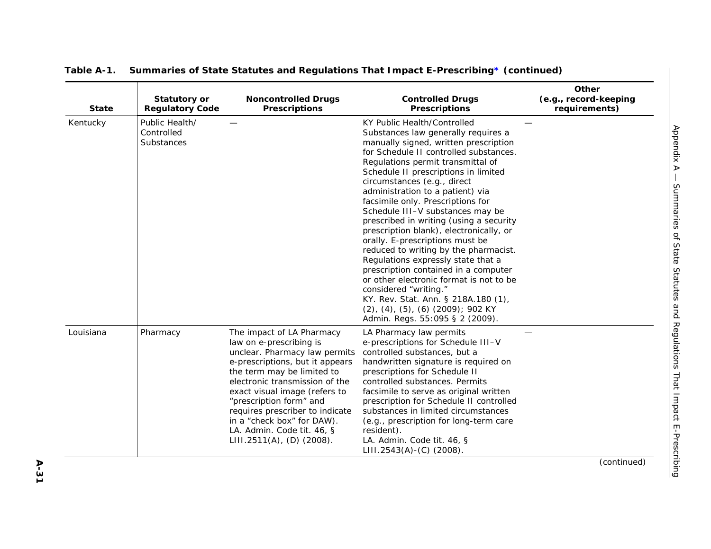| <b>State</b> | <b>Statutory or</b><br><b>Regulatory Code</b> | <b>Noncontrolled Drugs</b><br><b>Prescriptions</b>                                                                                                                                                                                                                                                                                                                                  | <b>Controlled Drugs</b><br><b>Prescriptions</b>                                                                                                                                                                                                                                                                                                                                                                                                                                                                                                                                                                                                                                                                                                                                                                                 | Other<br>(e.g., record-keeping<br>requirements) |
|--------------|-----------------------------------------------|-------------------------------------------------------------------------------------------------------------------------------------------------------------------------------------------------------------------------------------------------------------------------------------------------------------------------------------------------------------------------------------|---------------------------------------------------------------------------------------------------------------------------------------------------------------------------------------------------------------------------------------------------------------------------------------------------------------------------------------------------------------------------------------------------------------------------------------------------------------------------------------------------------------------------------------------------------------------------------------------------------------------------------------------------------------------------------------------------------------------------------------------------------------------------------------------------------------------------------|-------------------------------------------------|
| Kentucky     | Public Health/<br>Controlled<br>Substances    |                                                                                                                                                                                                                                                                                                                                                                                     | KY Public Health/Controlled<br>Substances law generally requires a<br>manually signed, written prescription<br>for Schedule II controlled substances.<br>Regulations permit transmittal of<br>Schedule II prescriptions in limited<br>circumstances (e.g., direct<br>administration to a patient) via<br>facsimile only. Prescriptions for<br>Schedule III-V substances may be<br>prescribed in writing (using a security<br>prescription blank), electronically, or<br>orally. E-prescriptions must be<br>reduced to writing by the pharmacist.<br>Regulations expressly state that a<br>prescription contained in a computer<br>or other electronic format is not to be<br>considered "writing."<br>KY. Rev. Stat. Ann. § 218A.180 (1),<br>$(2)$ , $(4)$ , $(5)$ , $(6)$ $(2009)$ ; 902 KY<br>Admin. Regs. 55:095 § 2 (2009). |                                                 |
| Louisiana    | Pharmacy                                      | The impact of LA Pharmacy<br>law on e-prescribing is<br>unclear. Pharmacy law permits<br>e-prescriptions, but it appears<br>the term may be limited to<br>electronic transmission of the<br>exact visual image (refers to<br>"prescription form" and<br>requires prescriber to indicate<br>in a "check box" for DAW).<br>LA. Admin. Code tit. 46, §<br>$LIII.2511(A)$ , (D) (2008). | LA Pharmacy law permits<br>e-prescriptions for Schedule III-V<br>controlled substances, but a<br>handwritten signature is required on<br>prescriptions for Schedule II<br>controlled substances. Permits<br>facsimile to serve as original written<br>prescription for Schedule II controlled<br>substances in limited circumstances<br>(e.g., prescription for long-term care<br>resident).<br>LA. Admin. Code tit. 46, §<br>$LIII.2543(A)-(C)$ (2008).                                                                                                                                                                                                                                                                                                                                                                        |                                                 |

**A-31**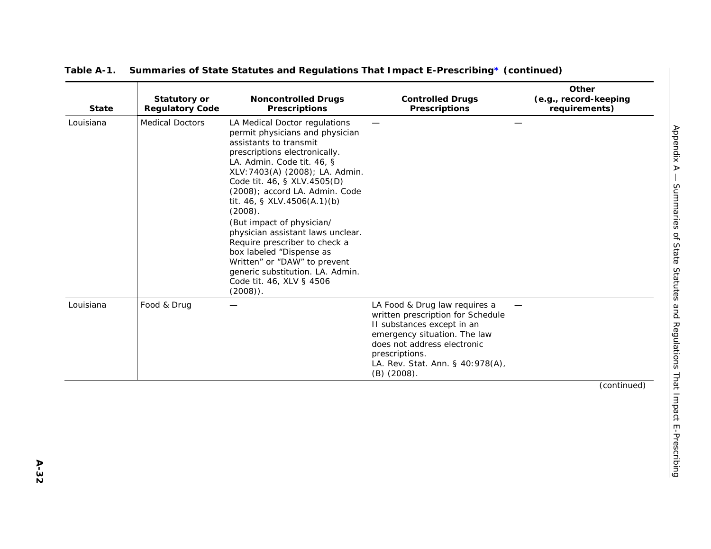| <b>State</b> | <b>Statutory or</b><br><b>Regulatory Code</b> | <b>Noncontrolled Drugs</b><br><b>Prescriptions</b>                                                                                                                                                                                                                                                                                                                                                                                                                                                                                                   | <b>Controlled Drugs</b><br>Prescriptions                                                                                                                                                                                               | Other<br>(e.g., record-keeping<br>requirements) |
|--------------|-----------------------------------------------|------------------------------------------------------------------------------------------------------------------------------------------------------------------------------------------------------------------------------------------------------------------------------------------------------------------------------------------------------------------------------------------------------------------------------------------------------------------------------------------------------------------------------------------------------|----------------------------------------------------------------------------------------------------------------------------------------------------------------------------------------------------------------------------------------|-------------------------------------------------|
| Louisiana    | <b>Medical Doctors</b>                        | LA Medical Doctor regulations<br>permit physicians and physician<br>assistants to transmit<br>prescriptions electronically.<br>LA. Admin. Code tit. 46, §<br>XLV: 7403(A) (2008); LA. Admin.<br>Code tit. 46, § XLV.4505(D)<br>(2008); accord LA. Admin. Code<br>tit. 46, § XLV.4506(A.1)(b)<br>(2008).<br>(But impact of physician/<br>physician assistant laws unclear.<br>Require prescriber to check a<br>box labeled "Dispense as<br>Written" or "DAW" to prevent<br>generic substitution. LA. Admin.<br>Code tit. 46, XLV § 4506<br>$(2008)$ . |                                                                                                                                                                                                                                        |                                                 |
| Louisiana    | Food & Drug                                   |                                                                                                                                                                                                                                                                                                                                                                                                                                                                                                                                                      | LA Food & Drug law requires a<br>written prescription for Schedule<br>II substances except in an<br>emergency situation. The law<br>does not address electronic<br>prescriptions.<br>LA. Rev. Stat. Ann. § 40:978(A),<br>$(B)$ (2008). | (continued)                                     |
|              |                                               |                                                                                                                                                                                                                                                                                                                                                                                                                                                                                                                                                      |                                                                                                                                                                                                                                        |                                                 |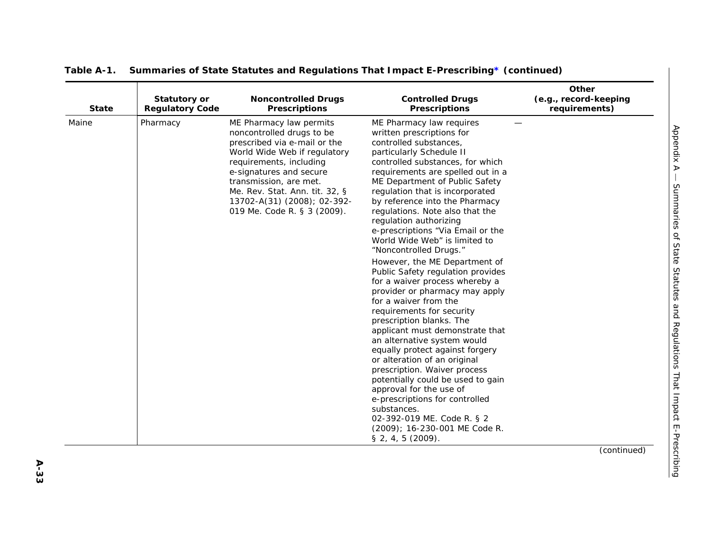| <b>State</b> | <b>Statutory or</b><br><b>Regulatory Code</b> | <b>Noncontrolled Drugs</b><br><b>Prescriptions</b>                                                                                                                                                                                                                                                   | <b>Controlled Drugs</b><br><b>Prescriptions</b>                                                                                                                                                                                                                                                                                                                                                                                                                                                                                                                                                                                                                                                                                                                                                                                                                                                                                                                                                                                                                  | Other<br>(e.g., record-keeping<br>requirements) |
|--------------|-----------------------------------------------|------------------------------------------------------------------------------------------------------------------------------------------------------------------------------------------------------------------------------------------------------------------------------------------------------|------------------------------------------------------------------------------------------------------------------------------------------------------------------------------------------------------------------------------------------------------------------------------------------------------------------------------------------------------------------------------------------------------------------------------------------------------------------------------------------------------------------------------------------------------------------------------------------------------------------------------------------------------------------------------------------------------------------------------------------------------------------------------------------------------------------------------------------------------------------------------------------------------------------------------------------------------------------------------------------------------------------------------------------------------------------|-------------------------------------------------|
| Maine        | Pharmacy                                      | ME Pharmacy law permits<br>noncontrolled drugs to be<br>prescribed via e-mail or the<br>World Wide Web if regulatory<br>requirements, including<br>e-signatures and secure<br>transmission, are met.<br>Me. Rev. Stat. Ann. tit. 32, §<br>13702-A(31) (2008); 02-392-<br>019 Me. Code R. § 3 (2009). | ME Pharmacy law requires<br>written prescriptions for<br>controlled substances,<br>particularly Schedule II<br>controlled substances, for which<br>requirements are spelled out in a<br>ME Department of Public Safety<br>regulation that is incorporated<br>by reference into the Pharmacy<br>regulations. Note also that the<br>regulation authorizing<br>e-prescriptions "Via Email or the<br>World Wide Web" is limited to<br>"Noncontrolled Drugs."<br>However, the ME Department of<br>Public Safety regulation provides<br>for a waiver process whereby a<br>provider or pharmacy may apply<br>for a waiver from the<br>requirements for security<br>prescription blanks. The<br>applicant must demonstrate that<br>an alternative system would<br>equally protect against forgery<br>or alteration of an original<br>prescription. Waiver process<br>potentially could be used to gain<br>approval for the use of<br>e-prescriptions for controlled<br>substances.<br>02-392-019 ME. Code R. § 2<br>(2009); 16-230-001 ME Code R.<br>$§$ 2, 4, 5 (2009). | (continued)                                     |
|              |                                               |                                                                                                                                                                                                                                                                                                      |                                                                                                                                                                                                                                                                                                                                                                                                                                                                                                                                                                                                                                                                                                                                                                                                                                                                                                                                                                                                                                                                  |                                                 |

**A-33**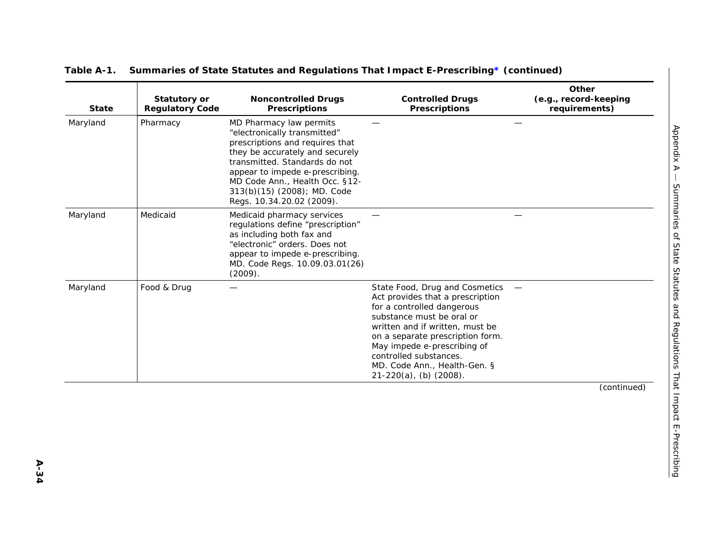| <b>State</b> | <b>Statutory or</b><br><b>Regulatory Code</b> | <b>Noncontrolled Drugs</b><br><b>Prescriptions</b>                                                                                                                                                                                                                                              | <b>Controlled Drugs</b><br><b>Prescriptions</b>                                                                                                                                                                                                                                                                               | Other<br>(e.g., record-keeping<br>requirements) |
|--------------|-----------------------------------------------|-------------------------------------------------------------------------------------------------------------------------------------------------------------------------------------------------------------------------------------------------------------------------------------------------|-------------------------------------------------------------------------------------------------------------------------------------------------------------------------------------------------------------------------------------------------------------------------------------------------------------------------------|-------------------------------------------------|
| Maryland     | Pharmacy                                      | MD Pharmacy law permits<br>"electronically transmitted"<br>prescriptions and requires that<br>they be accurately and securely<br>transmitted. Standards do not<br>appear to impede e-prescribing.<br>MD Code Ann., Health Occ. §12-<br>313(b)(15) (2008); MD. Code<br>Regs. 10.34.20.02 (2009). |                                                                                                                                                                                                                                                                                                                               |                                                 |
| Maryland     | Medicaid                                      | Medicaid pharmacy services<br>regulations define "prescription"<br>as including both fax and<br>"electronic" orders. Does not<br>appear to impede e-prescribing.<br>MD. Code Regs. 10.09.03.01(26)<br>(2009).                                                                                   |                                                                                                                                                                                                                                                                                                                               |                                                 |
| Maryland     | Food & Drug                                   |                                                                                                                                                                                                                                                                                                 | State Food, Drug and Cosmetics<br>Act provides that a prescription<br>for a controlled dangerous<br>substance must be oral or<br>written and if written, must be<br>on a separate prescription form.<br>May impede e-prescribing of<br>controlled substances.<br>MD. Code Ann., Health-Gen. §<br>$21-220(a)$ , (b) $(2008)$ . |                                                 |
|              |                                               |                                                                                                                                                                                                                                                                                                 |                                                                                                                                                                                                                                                                                                                               | (continued)                                     |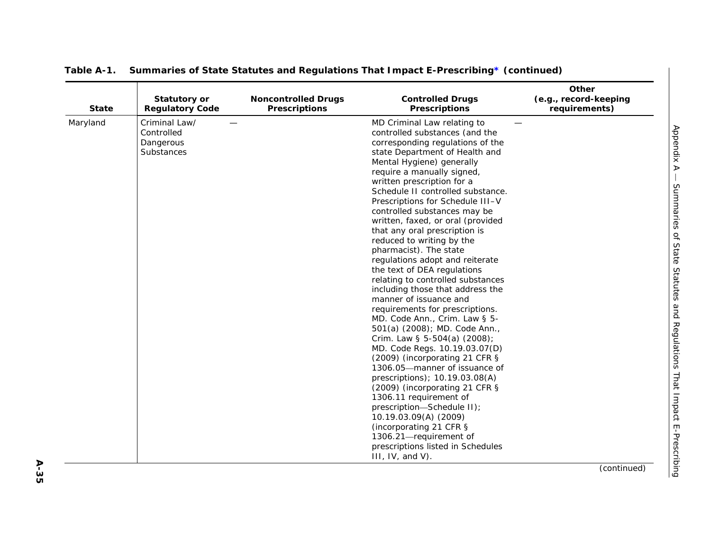| <b>State</b> | <b>Statutory or</b><br><b>Regulatory Code</b>          | <b>Noncontrolled Drugs</b><br><b>Prescriptions</b> | <b>Controlled Drugs</b><br><b>Prescriptions</b>                                                                                                                                                                                                                                                                                                                                                                                                                                                                                                                                                                                                                                                                                                                                                                                                                                                                                                                                                                                                                                                                                                       | Other<br>(e.g., record-keeping<br>requirements) |
|--------------|--------------------------------------------------------|----------------------------------------------------|-------------------------------------------------------------------------------------------------------------------------------------------------------------------------------------------------------------------------------------------------------------------------------------------------------------------------------------------------------------------------------------------------------------------------------------------------------------------------------------------------------------------------------------------------------------------------------------------------------------------------------------------------------------------------------------------------------------------------------------------------------------------------------------------------------------------------------------------------------------------------------------------------------------------------------------------------------------------------------------------------------------------------------------------------------------------------------------------------------------------------------------------------------|-------------------------------------------------|
| Maryland     | Criminal Law/<br>Controlled<br>Dangerous<br>Substances |                                                    | MD Criminal Law relating to<br>controlled substances (and the<br>corresponding regulations of the<br>state Department of Health and<br>Mental Hygiene) generally<br>require a manually signed,<br>written prescription for a<br>Schedule II controlled substance.<br>Prescriptions for Schedule III-V<br>controlled substances may be<br>written, faxed, or oral (provided<br>that any oral prescription is<br>reduced to writing by the<br>pharmacist). The state<br>regulations adopt and reiterate<br>the text of DEA regulations<br>relating to controlled substances<br>including those that address the<br>manner of issuance and<br>requirements for prescriptions.<br>MD. Code Ann., Crim. Law § 5-<br>501(a) (2008); MD. Code Ann.,<br>Crim. Law § 5-504(a) (2008);<br>MD. Code Regs. 10.19.03.07(D)<br>(2009) (incorporating 21 CFR §<br>1306.05-manner of issuance of<br>prescriptions); 10.19.03.08(A)<br>(2009) (incorporating 21 CFR §<br>1306.11 requirement of<br>prescription-Schedule II);<br>10.19.03.09(A) (2009)<br>(incorporating 21 CFR §<br>1306.21-requirement of<br>prescriptions listed in Schedules<br>$III, IV, and V$ . |                                                 |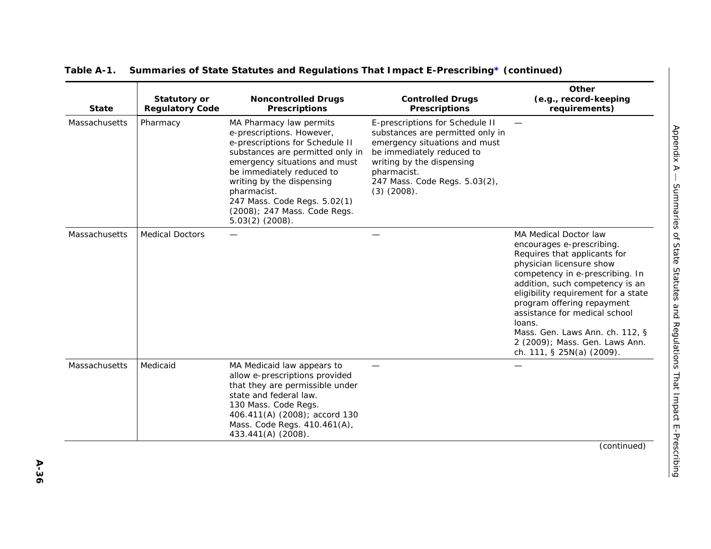| <b>State</b>         | Statutory or<br><b>Regulatory Code</b> | <b>Noncontrolled Drugs</b><br><b>Prescriptions</b>                                                                                                                                                                                                                                                                         | <b>Controlled Drugs</b><br><b>Prescriptions</b>                                                                                                                                                                                    | Other<br>(e.g., record-keeping<br>requirements)                                                                                                                                                                                                                                                                                                                                                               |
|----------------------|----------------------------------------|----------------------------------------------------------------------------------------------------------------------------------------------------------------------------------------------------------------------------------------------------------------------------------------------------------------------------|------------------------------------------------------------------------------------------------------------------------------------------------------------------------------------------------------------------------------------|---------------------------------------------------------------------------------------------------------------------------------------------------------------------------------------------------------------------------------------------------------------------------------------------------------------------------------------------------------------------------------------------------------------|
| Massachusetts        | Pharmacy                               | MA Pharmacy law permits<br>e-prescriptions. However,<br>e-prescriptions for Schedule II<br>substances are permitted only in<br>emergency situations and must<br>be immediately reduced to<br>writing by the dispensing<br>pharmacist.<br>247 Mass. Code Regs. 5.02(1)<br>(2008); 247 Mass. Code Regs.<br>$5.03(2)$ (2008). | E-prescriptions for Schedule II<br>substances are permitted only in<br>emergency situations and must<br>be immediately reduced to<br>writing by the dispensing<br>pharmacist.<br>247 Mass. Code Regs. 5.03(2),<br>$(3)$ $(2008)$ . |                                                                                                                                                                                                                                                                                                                                                                                                               |
| Massachusetts        | <b>Medical Doctors</b>                 |                                                                                                                                                                                                                                                                                                                            |                                                                                                                                                                                                                                    | <b>MA Medical Doctor law</b><br>encourages e-prescribing.<br>Requires that applicants for<br>physician licensure show<br>competency in e-prescribing. In<br>addition, such competency is an<br>eligibility requirement for a state<br>program offering repayment<br>assistance for medical school<br>loans.<br>Mass. Gen. Laws Ann. ch. 112, §<br>2 (2009); Mass. Gen. Laws Ann.<br>ch. 111, § 25N(a) (2009). |
| <b>Massachusetts</b> | Medicaid                               | MA Medicaid law appears to<br>allow e-prescriptions provided<br>that they are permissible under<br>state and federal law.<br>130 Mass. Code Regs.<br>406.411(A) (2008); accord 130<br>Mass. Code Regs. 410.461(A),<br>433.441(A) (2008).                                                                                   |                                                                                                                                                                                                                                    |                                                                                                                                                                                                                                                                                                                                                                                                               |
|                      |                                        |                                                                                                                                                                                                                                                                                                                            |                                                                                                                                                                                                                                    | (continued)                                                                                                                                                                                                                                                                                                                                                                                                   |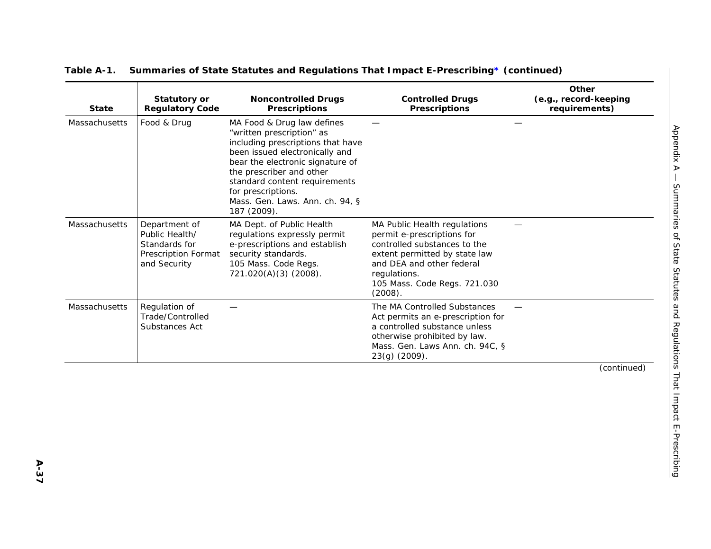| <b>State</b>  | <b>Statutory or</b><br><b>Regulatory Code</b>                                           | <b>Noncontrolled Drugs</b><br><b>Prescriptions</b>                                                                                                                                                                                                                                                      | <b>Controlled Drugs</b><br><b>Prescriptions</b>                                                                                                                                                                     | Other<br>(e.g., record-keeping<br>requirements) |
|---------------|-----------------------------------------------------------------------------------------|---------------------------------------------------------------------------------------------------------------------------------------------------------------------------------------------------------------------------------------------------------------------------------------------------------|---------------------------------------------------------------------------------------------------------------------------------------------------------------------------------------------------------------------|-------------------------------------------------|
| Massachusetts | Food & Drug                                                                             | MA Food & Drug law defines<br>"written prescription" as<br>including prescriptions that have<br>been issued electronically and<br>bear the electronic signature of<br>the prescriber and other<br>standard content requirements<br>for prescriptions.<br>Mass. Gen. Laws. Ann. ch. 94, §<br>187 (2009). |                                                                                                                                                                                                                     |                                                 |
| Massachusetts | Department of<br>Public Health/<br>Standards for<br>Prescription Format<br>and Security | MA Dept. of Public Health<br>regulations expressly permit<br>e-prescriptions and establish<br>security standards.<br>105 Mass. Code Regs.<br>721.020(A)(3) (2008).                                                                                                                                      | MA Public Health regulations<br>permit e-prescriptions for<br>controlled substances to the<br>extent permitted by state law<br>and DEA and other federal<br>regulations.<br>105 Mass. Code Regs. 721.030<br>(2008). |                                                 |
| Massachusetts | Regulation of<br>Trade/Controlled<br>Substances Act                                     |                                                                                                                                                                                                                                                                                                         | The MA Controlled Substances<br>Act permits an e-prescription for<br>a controlled substance unless<br>otherwise prohibited by law.<br>Mass. Gen. Laws Ann. ch. 94C, §<br>23(g) (2009).                              |                                                 |
|               |                                                                                         |                                                                                                                                                                                                                                                                                                         |                                                                                                                                                                                                                     | (continued)                                     |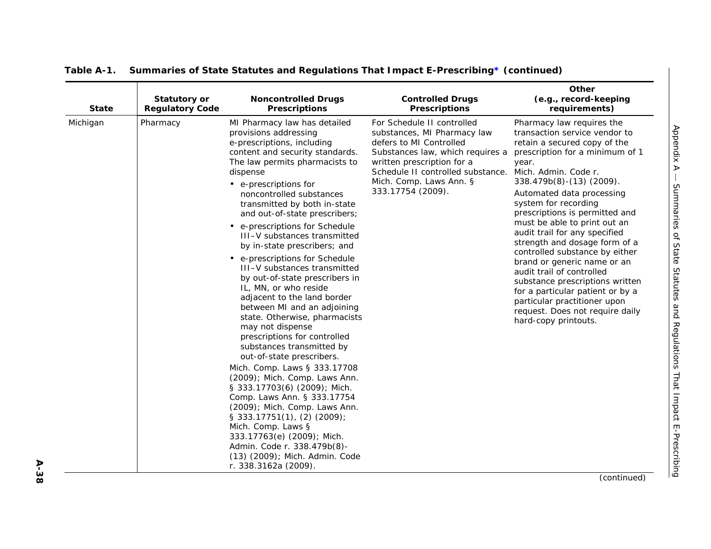| <b>State</b> | <b>Statutory or</b><br><b>Regulatory Code</b> | <b>Noncontrolled Drugs</b><br><b>Prescriptions</b>                                                                                                                                                                                                                                                                                                                                                                                                                                                                                                                                                                                                                                                                                                                                                                                                                                                                                                                                                                                                                                     | <b>Controlled Drugs</b><br><b>Prescriptions</b>                                                                                                                                                                                             | Other<br>(e.g., record-keeping<br>requirements)                                                                                                                                                                                                                                                                                                                                                                                                                                                                                                                                                                                                     |
|--------------|-----------------------------------------------|----------------------------------------------------------------------------------------------------------------------------------------------------------------------------------------------------------------------------------------------------------------------------------------------------------------------------------------------------------------------------------------------------------------------------------------------------------------------------------------------------------------------------------------------------------------------------------------------------------------------------------------------------------------------------------------------------------------------------------------------------------------------------------------------------------------------------------------------------------------------------------------------------------------------------------------------------------------------------------------------------------------------------------------------------------------------------------------|---------------------------------------------------------------------------------------------------------------------------------------------------------------------------------------------------------------------------------------------|-----------------------------------------------------------------------------------------------------------------------------------------------------------------------------------------------------------------------------------------------------------------------------------------------------------------------------------------------------------------------------------------------------------------------------------------------------------------------------------------------------------------------------------------------------------------------------------------------------------------------------------------------------|
| Michigan     | Pharmacy                                      | MI Pharmacy law has detailed<br>provisions addressing<br>e-prescriptions, including<br>content and security standards.<br>The law permits pharmacists to<br>dispense<br>• e-prescriptions for<br>noncontrolled substances<br>transmitted by both in-state<br>and out-of-state prescribers;<br>• e-prescriptions for Schedule<br>III-V substances transmitted<br>by in-state prescribers; and<br>• e-prescriptions for Schedule<br>III-V substances transmitted<br>by out-of-state prescribers in<br>IL, MN, or who reside<br>adjacent to the land border<br>between MI and an adjoining<br>state. Otherwise, pharmacists<br>may not dispense<br>prescriptions for controlled<br>substances transmitted by<br>out-of-state prescribers.<br>Mich. Comp. Laws § 333.17708<br>(2009); Mich. Comp. Laws Ann.<br>§ 333.17703(6) (2009); Mich.<br>Comp. Laws Ann. § 333.17754<br>(2009); Mich. Comp. Laws Ann.<br>$\S$ 333.17751(1), (2) (2009);<br>Mich. Comp. Laws §<br>333.17763(e) (2009); Mich.<br>Admin. Code r. 338.479b(8)-<br>(13) (2009); Mich. Admin. Code<br>r. 338.3162a (2009). | For Schedule II controlled<br>substances, MI Pharmacy law<br>defers to MI Controlled<br>Substances law, which requires a<br>written prescription for a<br>Schedule II controlled substance.<br>Mich. Comp. Laws Ann. §<br>333.17754 (2009). | Pharmacy law requires the<br>transaction service vendor to<br>retain a secured copy of the<br>prescription for a minimum of 1<br>year.<br>Mich. Admin. Code r.<br>338.479b(8)-(13) (2009).<br>Automated data processing<br>system for recording<br>prescriptions is permitted and<br>must be able to print out an<br>audit trail for any specified<br>strength and dosage form of a<br>controlled substance by either<br>brand or generic name or an<br>audit trail of controlled<br>substance prescriptions written<br>for a particular patient or by a<br>particular practitioner upon<br>request. Does not require daily<br>hard-copy printouts. |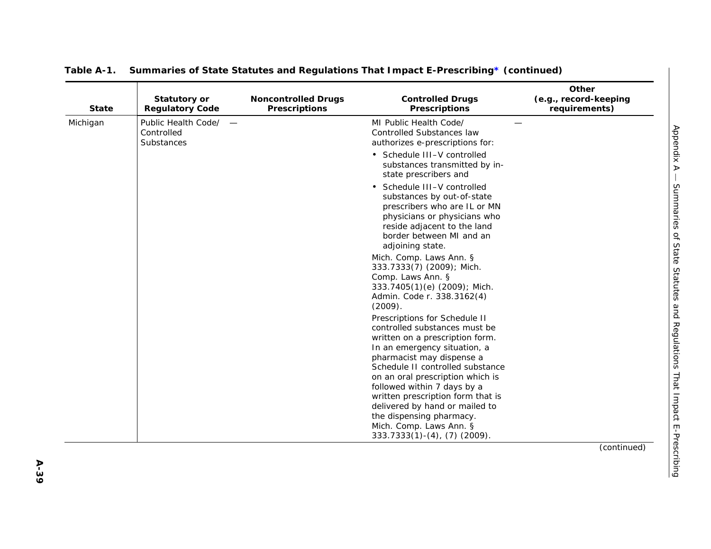| <b>State</b> | <b>Statutory or</b><br><b>Regulatory Code</b>     | <b>Noncontrolled Drugs</b><br><b>Prescriptions</b> | <b>Controlled Drugs</b><br><b>Prescriptions</b>                                                                                                                                                          | Other<br>(e.g., record-keeping<br>requirements) |
|--------------|---------------------------------------------------|----------------------------------------------------|----------------------------------------------------------------------------------------------------------------------------------------------------------------------------------------------------------|-------------------------------------------------|
| Michigan     | Public Health Code/ -<br>Controlled<br>Substances |                                                    | MI Public Health Code/<br>Controlled Substances law<br>authorizes e-prescriptions for:                                                                                                                   |                                                 |
|              |                                                   |                                                    | • Schedule III-V controlled<br>substances transmitted by in-<br>state prescribers and                                                                                                                    |                                                 |
|              |                                                   |                                                    | • Schedule III-V controlled<br>substances by out-of-state<br>prescribers who are IL or MN<br>physicians or physicians who<br>reside adjacent to the land<br>border between MI and an<br>adjoining state. |                                                 |
|              |                                                   |                                                    | Mich. Comp. Laws Ann. §<br>333.7333(7) (2009); Mich.<br>Comp. Laws Ann. §<br>333.7405(1)(e) (2009); Mich.<br>Admin. Code r. 338.3162(4)<br>(2009).                                                       |                                                 |
|              |                                                   |                                                    | Prescriptions for Schedule II<br>controlled substances must be<br>written on a prescription form.<br>In an emergency situation, a<br>pharmacist may dispense a                                           |                                                 |
|              |                                                   |                                                    | Schedule II controlled substance<br>on an oral prescription which is<br>followed within 7 days by a<br>written prescription form that is<br>delivered by hand or mailed to<br>the dispensing pharmacy.   |                                                 |
|              |                                                   |                                                    | Mich. Comp. Laws Ann. §<br>$333.7333(1) - (4)$ , $(7)$ (2009).                                                                                                                                           |                                                 |
|              |                                                   |                                                    |                                                                                                                                                                                                          | (continued)                                     |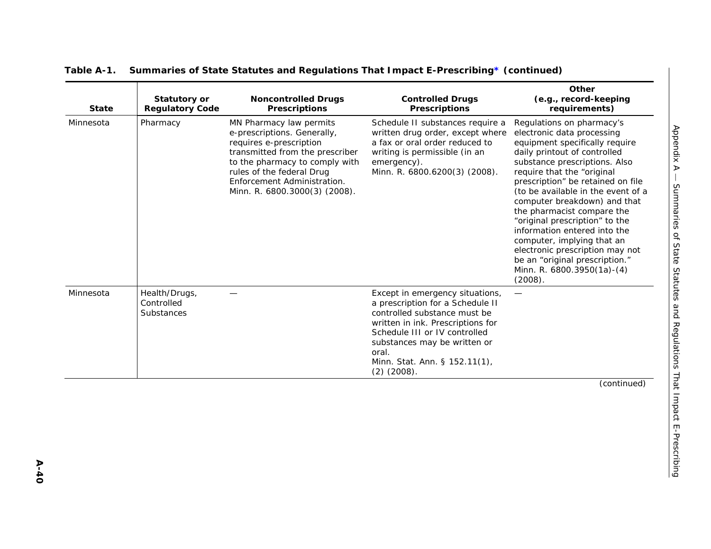| <b>State</b> | <b>Statutory or</b><br><b>Regulatory Code</b> | <b>Noncontrolled Drugs</b><br><b>Prescriptions</b>                                                                                                                                                                                                  | <b>Controlled Drugs</b><br><b>Prescriptions</b>                                                                                                                                                                                                                         | Other<br>(e.g., record-keeping<br>requirements)                                                                                                                                                                                                                                                                                                                                                                                                                                                                                                 |
|--------------|-----------------------------------------------|-----------------------------------------------------------------------------------------------------------------------------------------------------------------------------------------------------------------------------------------------------|-------------------------------------------------------------------------------------------------------------------------------------------------------------------------------------------------------------------------------------------------------------------------|-------------------------------------------------------------------------------------------------------------------------------------------------------------------------------------------------------------------------------------------------------------------------------------------------------------------------------------------------------------------------------------------------------------------------------------------------------------------------------------------------------------------------------------------------|
| Minnesota    | Pharmacy                                      | MN Pharmacy law permits<br>e-prescriptions. Generally,<br>requires e-prescription<br>transmitted from the prescriber<br>to the pharmacy to comply with<br>rules of the federal Drug<br>Enforcement Administration.<br>Minn. R. 6800.3000(3) (2008). | Schedule II substances require a<br>written drug order, except where<br>a fax or oral order reduced to<br>writing is permissible (in an<br>emergency).<br>Minn. R. 6800.6200(3) (2008).                                                                                 | Regulations on pharmacy's<br>electronic data processing<br>equipment specifically require<br>daily printout of controlled<br>substance prescriptions. Also<br>require that the "original<br>prescription" be retained on file<br>(to be available in the event of a<br>computer breakdown) and that<br>the pharmacist compare the<br>"original prescription" to the<br>information entered into the<br>computer, implying that an<br>electronic prescription may not<br>be an "original prescription."<br>Minn. R. 6800.3950(1a)-(4)<br>(2008). |
| Minnesota    | Health/Drugs,<br>Controlled<br>Substances     |                                                                                                                                                                                                                                                     | Except in emergency situations,<br>a prescription for a Schedule II<br>controlled substance must be<br>written in ink. Prescriptions for<br>Schedule III or IV controlled<br>substances may be written or<br>oral.<br>Minn. Stat. Ann. § 152.11(1),<br>$(2)$ $(2008)$ . |                                                                                                                                                                                                                                                                                                                                                                                                                                                                                                                                                 |
|              |                                               |                                                                                                                                                                                                                                                     |                                                                                                                                                                                                                                                                         | (continued)                                                                                                                                                                                                                                                                                                                                                                                                                                                                                                                                     |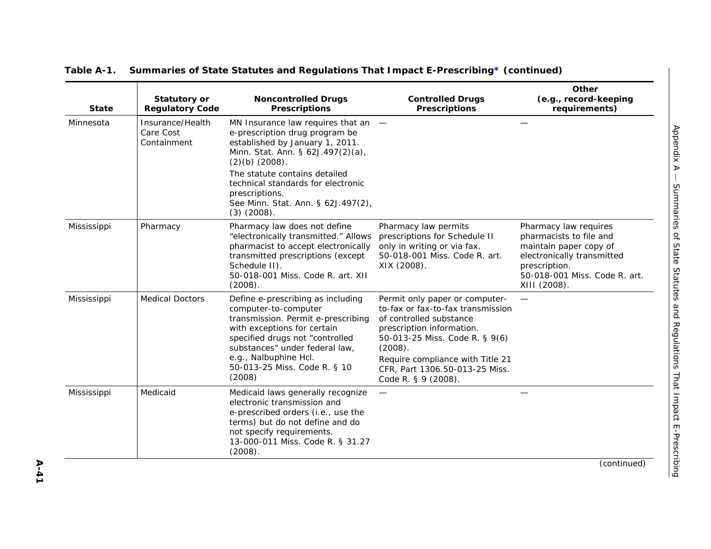| <b>State</b> | <b>Statutory or</b><br><b>Regulatory Code</b> | <b>Noncontrolled Drugs</b><br><b>Prescriptions</b>                                                                                                                                                                                                                     | <b>Controlled Drugs</b><br><b>Prescriptions</b>                                                                                                                                                                                                                       | Other<br>(e.g., record-keeping<br>requirements)                                                                                                                            |
|--------------|-----------------------------------------------|------------------------------------------------------------------------------------------------------------------------------------------------------------------------------------------------------------------------------------------------------------------------|-----------------------------------------------------------------------------------------------------------------------------------------------------------------------------------------------------------------------------------------------------------------------|----------------------------------------------------------------------------------------------------------------------------------------------------------------------------|
| Minnesota    | Insurance/Health<br>Care Cost<br>Containment  | MN Insurance law requires that an $-$<br>e-prescription drug program be<br>established by January 1, 2011.<br>Minn. Stat. Ann. § 62J.497(2)(a),<br>$(2)(b)$ $(2008)$ .<br>The statute contains detailed<br>technical standards for electronic<br>prescriptions.        |                                                                                                                                                                                                                                                                       |                                                                                                                                                                            |
|              |                                               | See Minn. Stat. Ann. § 62J.497(2),<br>$(3)$ $(2008)$ .                                                                                                                                                                                                                 |                                                                                                                                                                                                                                                                       |                                                                                                                                                                            |
| Mississippi  | Pharmacy                                      | Pharmacy law does not define<br>"electronically transmitted." Allows<br>pharmacist to accept electronically<br>transmitted prescriptions (except<br>Schedule II).<br>50-018-001 Miss. Code R. art. XII<br>(2008).                                                      | Pharmacy law permits<br>prescriptions for Schedule II<br>only in writing or via fax.<br>50-018-001 Miss. Code R. art.<br>XIX (2008).                                                                                                                                  | Pharmacy law requires<br>pharmacists to file and<br>maintain paper copy of<br>electronically transmitted<br>prescription.<br>50-018-001 Miss. Code R. art.<br>XIII (2008). |
| Mississippi  | <b>Medical Doctors</b>                        | Define e-prescribing as including<br>computer-to-computer<br>transmission. Permit e-prescribing<br>with exceptions for certain<br>specified drugs not "controlled<br>substances" under federal law,<br>e.g., Nalbuphine Hcl.<br>50-013-25 Miss. Code R. § 10<br>(2008) | Permit only paper or computer-<br>to-fax or fax-to-fax transmission<br>of controlled substance<br>prescription information.<br>50-013-25 Miss. Code R. § 9(6)<br>(2008).<br>Require compliance with Title 21<br>CFR, Part 1306.50-013-25 Miss.<br>Code R. § 9 (2008). |                                                                                                                                                                            |
| Mississippi  | Medicaid                                      | Medicaid laws generally recognize<br>electronic transmission and<br>e-prescribed orders (i.e., use the<br>terms) but do not define and do<br>not specify requirements.<br>13-000-011 Miss. Code R. § 31.27<br>(2008).                                                  |                                                                                                                                                                                                                                                                       |                                                                                                                                                                            |
|              |                                               |                                                                                                                                                                                                                                                                        |                                                                                                                                                                                                                                                                       | (continued)                                                                                                                                                                |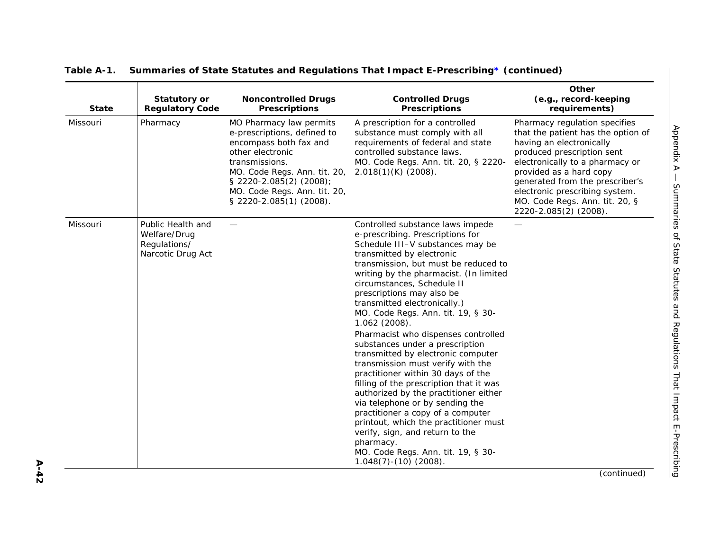| <b>State</b> | <b>Statutory or</b><br><b>Regulatory Code</b>                          | <b>Noncontrolled Drugs</b><br><b>Prescriptions</b>                                                                                                                                                                                           | <b>Controlled Drugs</b><br><b>Prescriptions</b>                                                                                                                                                                                                                                                                                                                                                                                 | Other<br>(e.g., record-keeping<br>requirements)                                                                                                                                                                                                                                                                             |
|--------------|------------------------------------------------------------------------|----------------------------------------------------------------------------------------------------------------------------------------------------------------------------------------------------------------------------------------------|---------------------------------------------------------------------------------------------------------------------------------------------------------------------------------------------------------------------------------------------------------------------------------------------------------------------------------------------------------------------------------------------------------------------------------|-----------------------------------------------------------------------------------------------------------------------------------------------------------------------------------------------------------------------------------------------------------------------------------------------------------------------------|
| Missouri     | Pharmacy                                                               | MO Pharmacy law permits<br>e-prescriptions, defined to<br>encompass both fax and<br>other electronic<br>transmissions.<br>MO. Code Regs. Ann. tit. 20,<br>§ 2220-2.085(2) (2008);<br>MO. Code Regs. Ann. tit. 20,<br>§ 2220-2.085(1) (2008). | A prescription for a controlled<br>substance must comply with all<br>requirements of federal and state<br>controlled substance laws.<br>MO. Code Regs. Ann. tit. 20, § 2220-<br>$2.018(1)(K)$ (2008).                                                                                                                                                                                                                           | Pharmacy regulation specifies<br>that the patient has the option of<br>having an electronically<br>produced prescription sent<br>electronically to a pharmacy or<br>provided as a hard copy<br>generated from the prescriber's<br>electronic prescribing system.<br>MO. Code Regs. Ann. tit. 20, §<br>2220-2.085(2) (2008). |
| Missouri     | Public Health and<br>Welfare/Drug<br>Regulations/<br>Narcotic Drug Act |                                                                                                                                                                                                                                              | Controlled substance laws impede<br>e-prescribing. Prescriptions for<br>Schedule III-V substances may be<br>transmitted by electronic<br>transmission, but must be reduced to<br>writing by the pharmacist. (In limited<br>circumstances, Schedule II<br>prescriptions may also be<br>transmitted electronically.)<br>MO. Code Regs. Ann. tit. 19, § 30-<br>1.062 (2008).                                                       | —                                                                                                                                                                                                                                                                                                                           |
|              |                                                                        |                                                                                                                                                                                                                                              | Pharmacist who dispenses controlled<br>substances under a prescription<br>transmitted by electronic computer<br>transmission must verify with the<br>practitioner within 30 days of the<br>filling of the prescription that it was<br>authorized by the practitioner either<br>via telephone or by sending the<br>practitioner a copy of a computer<br>printout, which the practitioner must<br>verify, sign, and return to the |                                                                                                                                                                                                                                                                                                                             |
|              |                                                                        |                                                                                                                                                                                                                                              | pharmacy.<br>MO. Code Regs. Ann. tit. 19, § 30-<br>$1.048(7) - (10)$ (2008).                                                                                                                                                                                                                                                                                                                                                    |                                                                                                                                                                                                                                                                                                                             |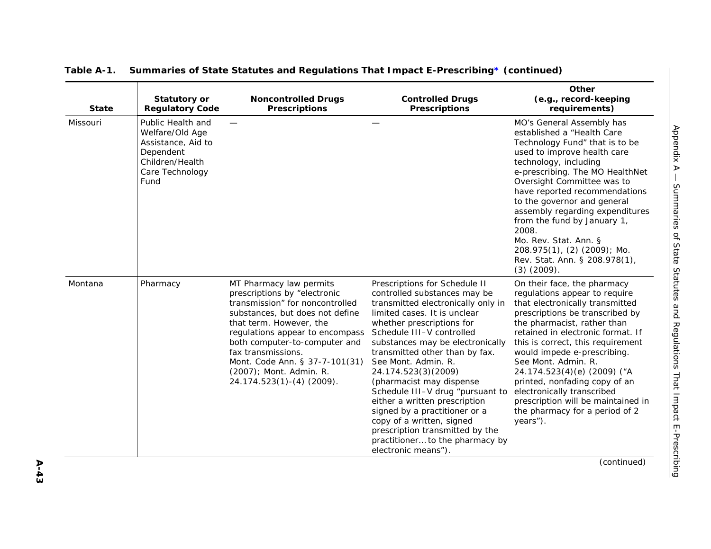| Missouri<br>Dependent<br>Care Technology<br>Fund<br>Montana<br>Pharmacy | Public Health and<br>Welfare/Old Age<br>Assistance, Aid to<br>Children/Health |                                                                                                                                                                                                                                                                                                                                              |                                                                                                                                                                                                                                                                                                                                                                                                                                                                                                                                                                               | MO's General Assembly has<br>established a "Health Care                                                                                                                                                                                                                                                                                                                                                                                                                             |
|-------------------------------------------------------------------------|-------------------------------------------------------------------------------|----------------------------------------------------------------------------------------------------------------------------------------------------------------------------------------------------------------------------------------------------------------------------------------------------------------------------------------------|-------------------------------------------------------------------------------------------------------------------------------------------------------------------------------------------------------------------------------------------------------------------------------------------------------------------------------------------------------------------------------------------------------------------------------------------------------------------------------------------------------------------------------------------------------------------------------|-------------------------------------------------------------------------------------------------------------------------------------------------------------------------------------------------------------------------------------------------------------------------------------------------------------------------------------------------------------------------------------------------------------------------------------------------------------------------------------|
|                                                                         |                                                                               |                                                                                                                                                                                                                                                                                                                                              |                                                                                                                                                                                                                                                                                                                                                                                                                                                                                                                                                                               | Technology Fund" that is to be<br>used to improve health care<br>technology, including<br>e-prescribing. The MO HealthNet<br>Oversight Committee was to<br>have reported recommendations<br>to the governor and general<br>assembly regarding expenditures<br>from the fund by January 1,<br>2008.<br>Mo. Rev. Stat. Ann. §<br>208.975(1), (2) (2009); Mo.<br>Rev. Stat. Ann. § 208.978(1),<br>$(3)$ $(2009)$ .                                                                     |
|                                                                         |                                                                               | MT Pharmacy law permits<br>prescriptions by "electronic<br>transmission" for noncontrolled<br>substances, but does not define<br>that term. However, the<br>regulations appear to encompass<br>both computer-to-computer and<br>fax transmissions.<br>Mont. Code Ann. § 37-7-101(31)<br>(2007); Mont. Admin. R.<br>24.174.523(1)-(4) (2009). | Prescriptions for Schedule II<br>controlled substances may be<br>transmitted electronically only in<br>limited cases. It is unclear<br>whether prescriptions for<br>Schedule III-V controlled<br>substances may be electronically<br>transmitted other than by fax.<br>See Mont. Admin. R.<br>24.174.523(3)(2009)<br>(pharmacist may dispense<br>Schedule III-V drug "pursuant to<br>either a written prescription<br>signed by a practitioner or a<br>copy of a written, signed<br>prescription transmitted by the<br>practitioner to the pharmacy by<br>electronic means"). | On their face, the pharmacy<br>regulations appear to require<br>that electronically transmitted<br>prescriptions be transcribed by<br>the pharmacist, rather than<br>retained in electronic format. If<br>this is correct, this requirement<br>would impede e-prescribing.<br>See Mont. Admin. R.<br>24.174.523(4)(e) (2009) ("A<br>printed, nonfading copy of an<br>electronically transcribed<br>prescription will be maintained in<br>the pharmacy for a period of 2<br>years"). |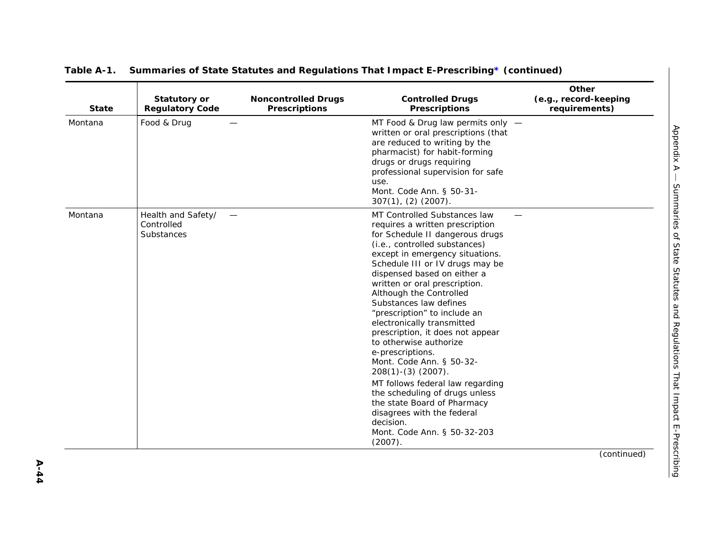| <b>State</b> | <b>Statutory or</b><br><b>Regulatory Code</b>  | <b>Noncontrolled Drugs</b><br><b>Prescriptions</b> | <b>Controlled Drugs</b><br><b>Prescriptions</b>                                                                                                                                                                                                                                                                                                                                                                                                                                                                                                                                                                                                                                                                              | Other<br>(e.g., record-keeping<br>requirements) |
|--------------|------------------------------------------------|----------------------------------------------------|------------------------------------------------------------------------------------------------------------------------------------------------------------------------------------------------------------------------------------------------------------------------------------------------------------------------------------------------------------------------------------------------------------------------------------------------------------------------------------------------------------------------------------------------------------------------------------------------------------------------------------------------------------------------------------------------------------------------------|-------------------------------------------------|
| Montana      | Food & Drug                                    |                                                    | MT Food & Drug law permits only -<br>written or oral prescriptions (that<br>are reduced to writing by the<br>pharmacist) for habit-forming<br>drugs or drugs requiring<br>professional supervision for safe<br>use.<br>Mont. Code Ann. § 50-31-<br>$307(1)$ , $(2)$ $(2007)$ .                                                                                                                                                                                                                                                                                                                                                                                                                                               |                                                 |
| Montana      | Health and Safety/<br>Controlled<br>Substances |                                                    | MT Controlled Substances law<br>requires a written prescription<br>for Schedule II dangerous drugs<br>(i.e., controlled substances)<br>except in emergency situations.<br>Schedule III or IV drugs may be<br>dispensed based on either a<br>written or oral prescription.<br>Although the Controlled<br>Substances law defines<br>"prescription" to include an<br>electronically transmitted<br>prescription, it does not appear<br>to otherwise authorize<br>e-prescriptions.<br>Mont. Code Ann. § 50-32-<br>$208(1)-(3)(2007)$ .<br>MT follows federal law regarding<br>the scheduling of drugs unless<br>the state Board of Pharmacy<br>disagrees with the federal<br>decision.<br>Mont. Code Ann. § 50-32-203<br>(2007). |                                                 |
|              |                                                |                                                    |                                                                                                                                                                                                                                                                                                                                                                                                                                                                                                                                                                                                                                                                                                                              | (continued)                                     |

**A-44**

*Appendix A —*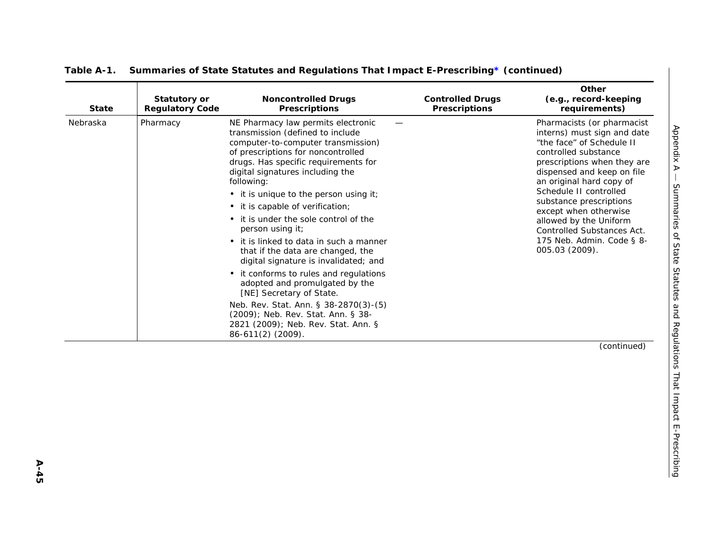| <b>State</b> | <b>Statutory or</b><br><b>Regulatory Code</b> | <b>Noncontrolled Drugs</b><br><b>Prescriptions</b>                                                                                                                                                                                                                                                                                                                                                                                                                                                                                                                                                                                                                                                                                                                  | <b>Controlled Drugs</b><br><b>Prescriptions</b> | Other<br>(e.g., record-keeping<br>requirements)                                                                                                                                                                                                                                                                                                                                              |
|--------------|-----------------------------------------------|---------------------------------------------------------------------------------------------------------------------------------------------------------------------------------------------------------------------------------------------------------------------------------------------------------------------------------------------------------------------------------------------------------------------------------------------------------------------------------------------------------------------------------------------------------------------------------------------------------------------------------------------------------------------------------------------------------------------------------------------------------------------|-------------------------------------------------|----------------------------------------------------------------------------------------------------------------------------------------------------------------------------------------------------------------------------------------------------------------------------------------------------------------------------------------------------------------------------------------------|
| Nebraska     | Pharmacy                                      | NE Pharmacy law permits electronic<br>transmission (defined to include<br>computer-to-computer transmission)<br>of prescriptions for noncontrolled<br>drugs. Has specific requirements for<br>digital signatures including the<br>following:<br>• it is unique to the person using it;<br>• it is capable of verification;<br>• it is under the sole control of the<br>person using it;<br>• it is linked to data in such a manner<br>that if the data are changed, the<br>digital signature is invalidated; and<br>• it conforms to rules and regulations<br>adopted and promulgated by the<br>[NE] Secretary of State.<br>Neb. Rev. Stat. Ann. § 38-2870(3)-(5)<br>(2009); Neb. Rev. Stat. Ann. § 38-<br>2821 (2009); Neb. Rev. Stat. Ann. §<br>86-611(2) (2009). |                                                 | Pharmacists (or pharmacist<br>interns) must sign and date<br>"the face" of Schedule II<br>controlled substance<br>prescriptions when they are<br>dispensed and keep on file<br>an original hard copy of<br>Schedule II controlled<br>substance prescriptions<br>except when otherwise<br>allowed by the Uniform<br>Controlled Substances Act.<br>175 Neb. Admin. Code § 8-<br>005.03 (2009). |
|              |                                               |                                                                                                                                                                                                                                                                                                                                                                                                                                                                                                                                                                                                                                                                                                                                                                     |                                                 | (continued)                                                                                                                                                                                                                                                                                                                                                                                  |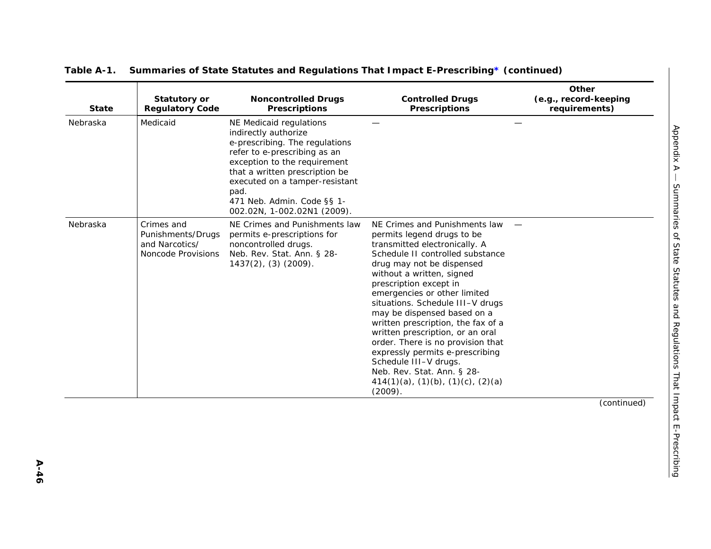| <b>State</b> | <b>Statutory or</b><br><b>Regulatory Code</b>                           | <b>Noncontrolled Drugs</b><br><b>Prescriptions</b>                                                                                                                                                                                                                                         | <b>Controlled Drugs</b><br><b>Prescriptions</b>                                                                                                                                                                                                                                                                                                                                                                                                                                                                                                                                             | Other<br>(e.g., record-keeping<br>requirements) |
|--------------|-------------------------------------------------------------------------|--------------------------------------------------------------------------------------------------------------------------------------------------------------------------------------------------------------------------------------------------------------------------------------------|---------------------------------------------------------------------------------------------------------------------------------------------------------------------------------------------------------------------------------------------------------------------------------------------------------------------------------------------------------------------------------------------------------------------------------------------------------------------------------------------------------------------------------------------------------------------------------------------|-------------------------------------------------|
| Nebraska     | Medicaid                                                                | NE Medicaid regulations<br>indirectly authorize<br>e-prescribing. The regulations<br>refer to e-prescribing as an<br>exception to the requirement<br>that a written prescription be<br>executed on a tamper-resistant<br>pad.<br>471 Neb. Admin. Code §§ 1-<br>002.02N, 1-002.02N1 (2009). |                                                                                                                                                                                                                                                                                                                                                                                                                                                                                                                                                                                             |                                                 |
| Nebraska     | Crimes and<br>Punishments/Drugs<br>and Narcotics/<br>Noncode Provisions | NE Crimes and Punishments law<br>permits e-prescriptions for<br>noncontrolled drugs.<br>Neb. Rev. Stat. Ann. § 28-<br>$1437(2)$ , (3) (2009).                                                                                                                                              | NE Crimes and Punishments law<br>permits legend drugs to be<br>transmitted electronically. A<br>Schedule II controlled substance<br>drug may not be dispensed<br>without a written, signed<br>prescription except in<br>emergencies or other limited<br>situations. Schedule III-V drugs<br>may be dispensed based on a<br>written prescription, the fax of a<br>written prescription, or an oral<br>order. There is no provision that<br>expressly permits e-prescribing<br>Schedule III-V drugs.<br>Neb. Rev. Stat. Ann. § 28-<br>$414(1)(a)$ , $(1)(b)$ , $(1)(c)$ , $(2)(a)$<br>(2009). |                                                 |
|              |                                                                         |                                                                                                                                                                                                                                                                                            |                                                                                                                                                                                                                                                                                                                                                                                                                                                                                                                                                                                             | (continued)                                     |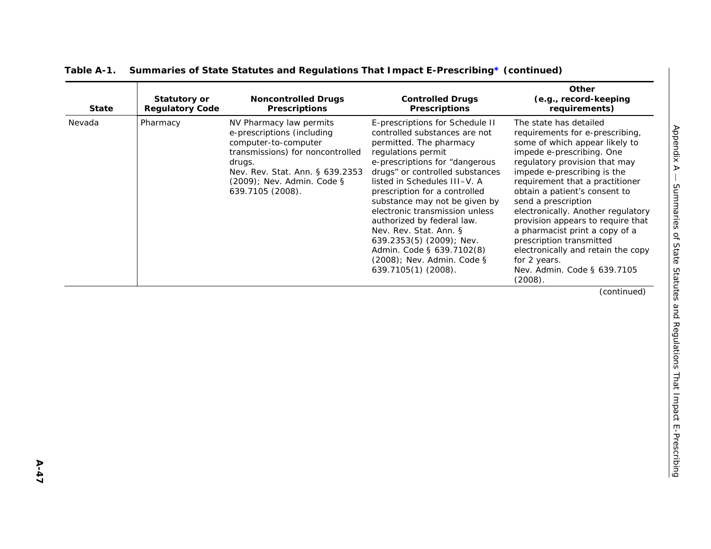| <b>State</b> | <b>Statutory or</b><br><b>Regulatory Code</b> | <b>Noncontrolled Drugs</b><br><b>Prescriptions</b>                                                                                                                                                               | <b>Controlled Drugs</b><br><b>Prescriptions</b>                                                                                                                                                                                                                                                                                                                                                                                                                                                  | Other<br>(e.g., record-keeping<br>requirements)                                                                                                                                                                                                                                                                                                                                                                                                                                                                              |
|--------------|-----------------------------------------------|------------------------------------------------------------------------------------------------------------------------------------------------------------------------------------------------------------------|--------------------------------------------------------------------------------------------------------------------------------------------------------------------------------------------------------------------------------------------------------------------------------------------------------------------------------------------------------------------------------------------------------------------------------------------------------------------------------------------------|------------------------------------------------------------------------------------------------------------------------------------------------------------------------------------------------------------------------------------------------------------------------------------------------------------------------------------------------------------------------------------------------------------------------------------------------------------------------------------------------------------------------------|
| Nevada       | Pharmacy                                      | NV Pharmacy law permits<br>e-prescriptions (including<br>computer-to-computer<br>transmissions) for noncontrolled<br>drugs.<br>Nev. Rev. Stat. Ann. § 639.2353<br>(2009); Nev. Admin. Code §<br>639.7105 (2008). | E-prescriptions for Schedule II<br>controlled substances are not<br>permitted. The pharmacy<br>regulations permit<br>e-prescriptions for "dangerous<br>drugs" or controlled substances<br>listed in Schedules III-V. A<br>prescription for a controlled<br>substance may not be given by<br>electronic transmission unless<br>authorized by federal law.<br>Nev. Rev. Stat. Ann. §<br>639.2353(5) (2009); Nev.<br>Admin. Code § 639.7102(8)<br>(2008); Nev. Admin. Code §<br>639.7105(1) (2008). | The state has detailed<br>requirements for e-prescribing,<br>some of which appear likely to<br>impede e-prescribing. One<br>regulatory provision that may<br>impede e-prescribing is the<br>requirement that a practitioner<br>obtain a patient's consent to<br>send a prescription<br>electronically. Another regulatory<br>provision appears to require that<br>a pharmacist print a copy of a<br>prescription transmitted<br>electronically and retain the copy<br>for 2 years.<br>Nev. Admin. Code § 639.7105<br>(2008). |
|              |                                               |                                                                                                                                                                                                                  |                                                                                                                                                                                                                                                                                                                                                                                                                                                                                                  | (continued)                                                                                                                                                                                                                                                                                                                                                                                                                                                                                                                  |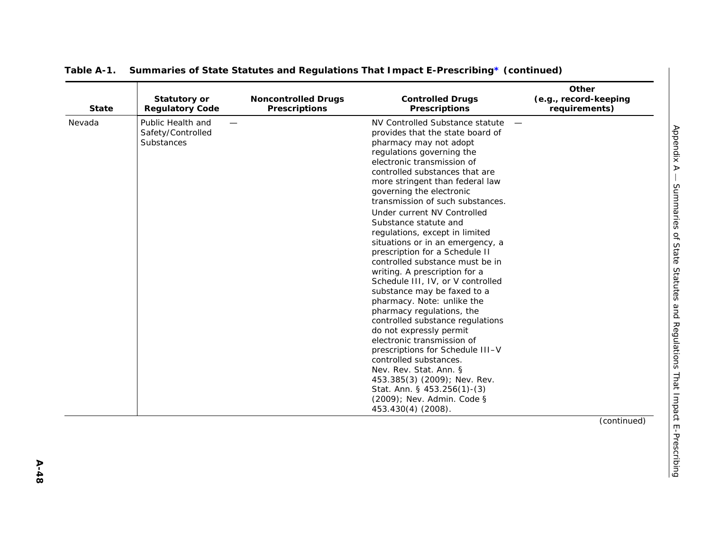| <b>State</b> | <b>Statutory or</b><br><b>Regulatory Code</b>        | <b>Noncontrolled Drugs</b><br><b>Prescriptions</b> | <b>Controlled Drugs</b><br><b>Prescriptions</b>                                                                                                                                                                                                                                                                                                                                                                                                                                                                                                                                                                                                                                                                                                                                                                                                                                                                                                                          | Other<br>(e.g., record-keeping<br>requirements) |
|--------------|------------------------------------------------------|----------------------------------------------------|--------------------------------------------------------------------------------------------------------------------------------------------------------------------------------------------------------------------------------------------------------------------------------------------------------------------------------------------------------------------------------------------------------------------------------------------------------------------------------------------------------------------------------------------------------------------------------------------------------------------------------------------------------------------------------------------------------------------------------------------------------------------------------------------------------------------------------------------------------------------------------------------------------------------------------------------------------------------------|-------------------------------------------------|
| Nevada       | Public Health and<br>Safety/Controlled<br>Substances |                                                    | NV Controlled Substance statute<br>provides that the state board of<br>pharmacy may not adopt<br>regulations governing the<br>electronic transmission of<br>controlled substances that are<br>more stringent than federal law<br>governing the electronic<br>transmission of such substances.<br>Under current NV Controlled<br>Substance statute and<br>regulations, except in limited<br>situations or in an emergency, a<br>prescription for a Schedule II<br>controlled substance must be in<br>writing. A prescription for a<br>Schedule III, IV, or V controlled<br>substance may be faxed to a<br>pharmacy. Note: unlike the<br>pharmacy regulations, the<br>controlled substance regulations<br>do not expressly permit<br>electronic transmission of<br>prescriptions for Schedule III-V<br>controlled substances.<br>Nev. Rev. Stat. Ann. §<br>453.385(3) (2009); Nev. Rev.<br>Stat. Ann. § 453.256(1)-(3)<br>(2009); Nev. Admin. Code §<br>453.430(4) (2008). |                                                 |
|              |                                                      |                                                    |                                                                                                                                                                                                                                                                                                                                                                                                                                                                                                                                                                                                                                                                                                                                                                                                                                                                                                                                                                          | (continued)                                     |
|              |                                                      |                                                    |                                                                                                                                                                                                                                                                                                                                                                                                                                                                                                                                                                                                                                                                                                                                                                                                                                                                                                                                                                          |                                                 |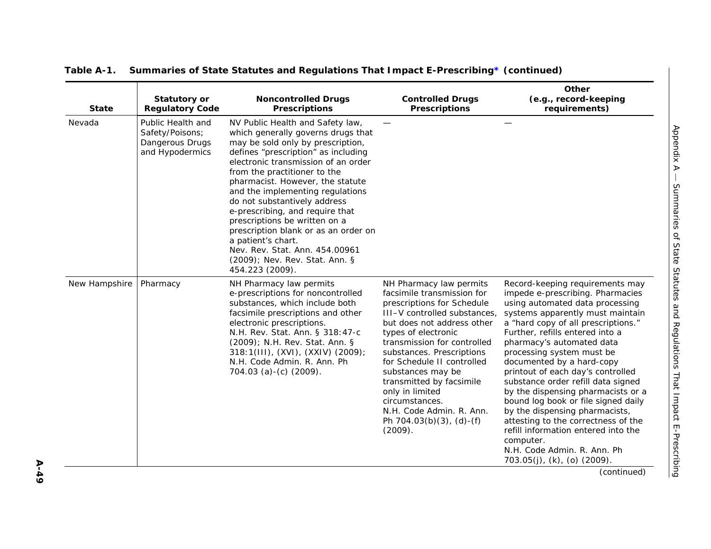| <b>State</b>  | <b>Statutory or</b><br><b>Regulatory Code</b>                              | <b>Noncontrolled Drugs</b><br><b>Prescriptions</b>                                                                                                                                                                                                                                                                                                                                                                                                                                                                                                         | <b>Controlled Drugs</b><br><b>Prescriptions</b>                                                                                                                                                                                                                                                                                                                                                                                | Other<br>(e.g., record-keeping<br>requirements)                                                                                                                                                                                                                                                                                                                                                                                                                                                                                                                                                                                 |
|---------------|----------------------------------------------------------------------------|------------------------------------------------------------------------------------------------------------------------------------------------------------------------------------------------------------------------------------------------------------------------------------------------------------------------------------------------------------------------------------------------------------------------------------------------------------------------------------------------------------------------------------------------------------|--------------------------------------------------------------------------------------------------------------------------------------------------------------------------------------------------------------------------------------------------------------------------------------------------------------------------------------------------------------------------------------------------------------------------------|---------------------------------------------------------------------------------------------------------------------------------------------------------------------------------------------------------------------------------------------------------------------------------------------------------------------------------------------------------------------------------------------------------------------------------------------------------------------------------------------------------------------------------------------------------------------------------------------------------------------------------|
| Nevada        | Public Health and<br>Safety/Poisons;<br>Dangerous Drugs<br>and Hypodermics | NV Public Health and Safety law,<br>which generally governs drugs that<br>may be sold only by prescription,<br>defines "prescription" as including<br>electronic transmission of an order<br>from the practitioner to the<br>pharmacist. However, the statute<br>and the implementing regulations<br>do not substantively address<br>e-prescribing, and require that<br>prescriptions be written on a<br>prescription blank or as an order on<br>a patient's chart.<br>Nev. Rev. Stat. Ann. 454.00961<br>(2009); Nev. Rev. Stat. Ann. §<br>454.223 (2009). |                                                                                                                                                                                                                                                                                                                                                                                                                                |                                                                                                                                                                                                                                                                                                                                                                                                                                                                                                                                                                                                                                 |
| New Hampshire | Pharmacy                                                                   | NH Pharmacy law permits<br>e-prescriptions for noncontrolled<br>substances, which include both<br>facsimile prescriptions and other<br>electronic prescriptions.<br>N.H. Rev. Stat. Ann. § 318:47-c<br>(2009); N.H. Rev. Stat. Ann. §<br>$318:1(III)$ , (XVI), (XXIV) (2009);<br>N.H. Code Admin. R. Ann. Ph<br>704.03 (a)-(c) $(2009)$ .                                                                                                                                                                                                                  | NH Pharmacy law permits<br>facsimile transmission for<br>prescriptions for Schedule<br>III-V controlled substances,<br>but does not address other<br>types of electronic<br>transmission for controlled<br>substances. Prescriptions<br>for Schedule II controlled<br>substances may be<br>transmitted by facsimile<br>only in limited<br>circumstances.<br>N.H. Code Admin. R. Ann.<br>Ph $704.03(b)(3)$ , (d)-(f)<br>(2009). | Record-keeping requirements may<br>impede e-prescribing. Pharmacies<br>using automated data processing<br>systems apparently must maintain<br>a "hard copy of all prescriptions."<br>Further, refills entered into a<br>pharmacy's automated data<br>processing system must be<br>documented by a hard-copy<br>printout of each day's controlled<br>substance order refill data signed<br>by the dispensing pharmacists or a<br>bound log book or file signed daily<br>by the dispensing pharmacists,<br>attesting to the correctness of the<br>refill information entered into the<br>computer.<br>N.H. Code Admin. R. Ann. Ph |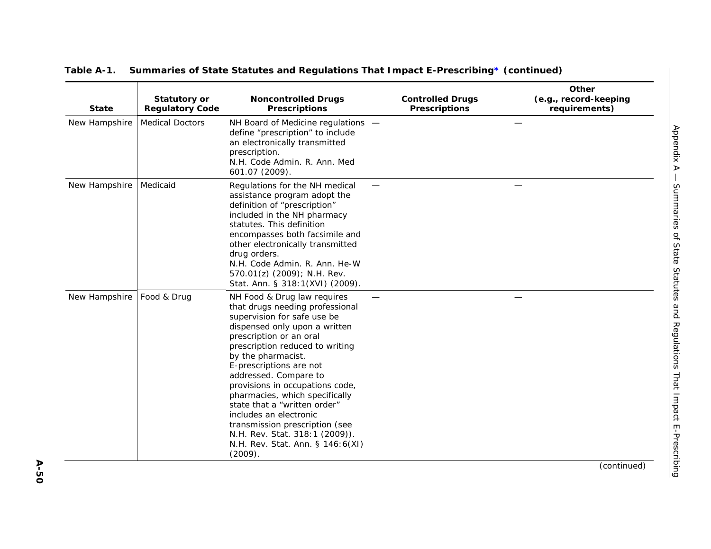| <b>State</b>  | <b>Statutory or</b><br><b>Regulatory Code</b> | <b>Noncontrolled Drugs</b><br><b>Prescriptions</b>                                                                                                                                                                                                                                                                                                                                                                                                                                                                       | <b>Controlled Drugs</b><br><b>Prescriptions</b> | Other<br>(e.g., record-keeping<br>requirements) |
|---------------|-----------------------------------------------|--------------------------------------------------------------------------------------------------------------------------------------------------------------------------------------------------------------------------------------------------------------------------------------------------------------------------------------------------------------------------------------------------------------------------------------------------------------------------------------------------------------------------|-------------------------------------------------|-------------------------------------------------|
| New Hampshire | <b>Medical Doctors</b>                        | NH Board of Medicine regulations -<br>define "prescription" to include<br>an electronically transmitted<br>prescription.<br>N.H. Code Admin. R. Ann. Med<br>601.07 (2009).                                                                                                                                                                                                                                                                                                                                               |                                                 |                                                 |
| New Hampshire | Medicaid                                      | Regulations for the NH medical<br>assistance program adopt the<br>definition of "prescription"<br>included in the NH pharmacy<br>statutes. This definition<br>encompasses both facsimile and<br>other electronically transmitted<br>drug orders.<br>N.H. Code Admin. R. Ann. He-W<br>570.01(z) (2009); N.H. Rev.<br>Stat. Ann. § 318:1(XVI) (2009).                                                                                                                                                                      |                                                 |                                                 |
| New Hampshire | Food & Drug                                   | NH Food & Drug law requires<br>that drugs needing professional<br>supervision for safe use be<br>dispensed only upon a written<br>prescription or an oral<br>prescription reduced to writing<br>by the pharmacist.<br>E-prescriptions are not<br>addressed. Compare to<br>provisions in occupations code,<br>pharmacies, which specifically<br>state that a "written order"<br>includes an electronic<br>transmission prescription (see<br>N.H. Rev. Stat. 318:1 (2009)).<br>N.H. Rev. Stat. Ann. § 146:6(XI)<br>(2009). |                                                 |                                                 |
|               |                                               |                                                                                                                                                                                                                                                                                                                                                                                                                                                                                                                          |                                                 | (continued)                                     |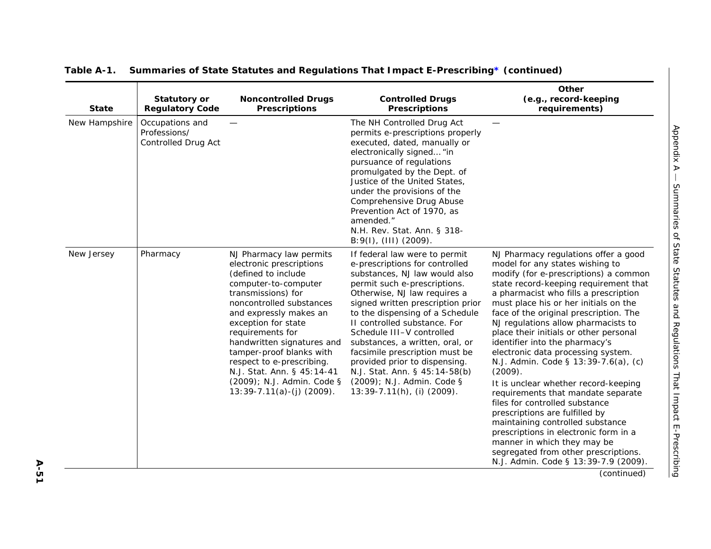| <b>State</b>  | <b>Statutory or</b><br><b>Regulatory Code</b>          | <b>Noncontrolled Drugs</b><br><b>Prescriptions</b>                                                                                                                                                                                                                                                                                                                                                          | <b>Controlled Drugs</b><br><b>Prescriptions</b>                                                                                                                                                                                                                                                                                                                                                                                                                                                             | Other<br>(e.g., record-keeping<br>requirements)                                                                                                                                                                                                                                                                                                                                                                                                                                                                                                                                                                                                                                                                                                                                                                                                 |
|---------------|--------------------------------------------------------|-------------------------------------------------------------------------------------------------------------------------------------------------------------------------------------------------------------------------------------------------------------------------------------------------------------------------------------------------------------------------------------------------------------|-------------------------------------------------------------------------------------------------------------------------------------------------------------------------------------------------------------------------------------------------------------------------------------------------------------------------------------------------------------------------------------------------------------------------------------------------------------------------------------------------------------|-------------------------------------------------------------------------------------------------------------------------------------------------------------------------------------------------------------------------------------------------------------------------------------------------------------------------------------------------------------------------------------------------------------------------------------------------------------------------------------------------------------------------------------------------------------------------------------------------------------------------------------------------------------------------------------------------------------------------------------------------------------------------------------------------------------------------------------------------|
| New Hampshire | Occupations and<br>Professions/<br>Controlled Drug Act |                                                                                                                                                                                                                                                                                                                                                                                                             | The NH Controlled Drug Act<br>permits e-prescriptions properly<br>executed, dated, manually or<br>electronically signed "in<br>pursuance of regulations<br>promulgated by the Dept. of<br>Justice of the United States,<br>under the provisions of the<br>Comprehensive Drug Abuse<br>Prevention Act of 1970, as<br>amended."<br>N.H. Rev. Stat. Ann. § 318-<br>B:9(I), (III) (2009).                                                                                                                       |                                                                                                                                                                                                                                                                                                                                                                                                                                                                                                                                                                                                                                                                                                                                                                                                                                                 |
| New Jersey    | Pharmacy                                               | NJ Pharmacy law permits<br>electronic prescriptions<br>(defined to include<br>computer-to-computer<br>transmissions) for<br>noncontrolled substances<br>and expressly makes an<br>exception for state<br>requirements for<br>handwritten signatures and<br>tamper-proof blanks with<br>respect to e-prescribing.<br>N.J. Stat. Ann. § 45:14-41<br>(2009); N.J. Admin. Code §<br>$13:39-7.11(a)-(i)$ (2009). | If federal law were to permit<br>e-prescriptions for controlled<br>substances, NJ law would also<br>permit such e-prescriptions.<br>Otherwise, NJ law requires a<br>signed written prescription prior<br>to the dispensing of a Schedule<br>II controlled substance. For<br>Schedule III-V controlled<br>substances, a written, oral, or<br>facsimile prescription must be<br>provided prior to dispensing.<br>N.J. Stat. Ann. § 45:14-58(b)<br>(2009); N.J. Admin. Code §<br>$13:39-7.11(h)$ , (i) (2009). | NJ Pharmacy regulations offer a good<br>model for any states wishing to<br>modify (for e-prescriptions) a common<br>state record-keeping requirement that<br>a pharmacist who fills a prescription<br>must place his or her initials on the<br>face of the original prescription. The<br>NJ regulations allow pharmacists to<br>place their initials or other personal<br>identifier into the pharmacy's<br>electronic data processing system.<br>N.J. Admin. Code § 13:39-7.6(a), (c)<br>(2009).<br>It is unclear whether record-keeping<br>requirements that mandate separate<br>files for controlled substance<br>prescriptions are fulfilled by<br>maintaining controlled substance<br>prescriptions in electronic form in a<br>manner in which they may be<br>segregated from other prescriptions.<br>N.J. Admin. Code § 13:39-7.9 (2009). |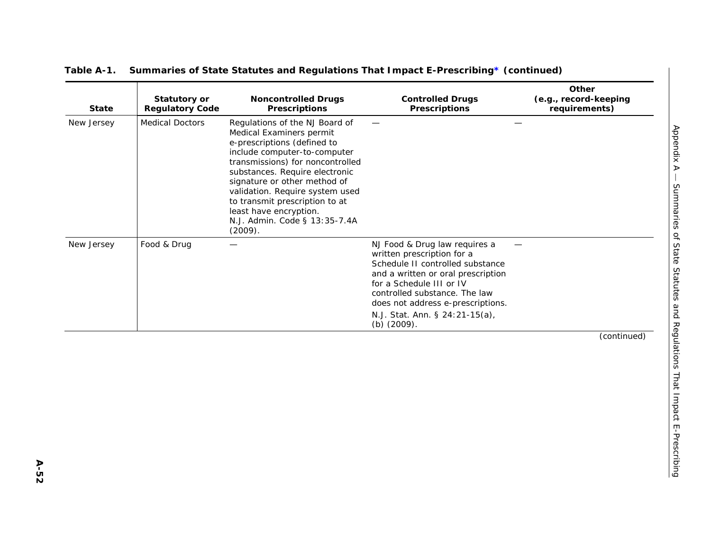| <b>State</b> | <b>Statutory or</b><br><b>Regulatory Code</b> | <b>Noncontrolled Drugs</b><br><b>Prescriptions</b>                                                                                                                                                                                                                                                                                                                         | <b>Controlled Drugs</b><br><b>Prescriptions</b>                                                                                                                                                                                                                                             | Other<br>(e.g., record-keeping<br>requirements) |
|--------------|-----------------------------------------------|----------------------------------------------------------------------------------------------------------------------------------------------------------------------------------------------------------------------------------------------------------------------------------------------------------------------------------------------------------------------------|---------------------------------------------------------------------------------------------------------------------------------------------------------------------------------------------------------------------------------------------------------------------------------------------|-------------------------------------------------|
| New Jersey   | <b>Medical Doctors</b>                        | Regulations of the NJ Board of<br>Medical Examiners permit<br>e-prescriptions (defined to<br>include computer-to-computer<br>transmissions) for noncontrolled<br>substances. Require electronic<br>signature or other method of<br>validation. Require system used<br>to transmit prescription to at<br>least have encryption.<br>N.J. Admin. Code § 13:35-7.4A<br>(2009). |                                                                                                                                                                                                                                                                                             |                                                 |
| New Jersey   | Food & Drug                                   | —                                                                                                                                                                                                                                                                                                                                                                          | NJ Food & Drug law requires a<br>written prescription for a<br>Schedule II controlled substance<br>and a written or oral prescription<br>for a Schedule III or IV<br>controlled substance. The law<br>does not address e-prescriptions.<br>N.J. Stat. Ann. § 24:21-15(a),<br>(b) $(2009)$ . |                                                 |
|              |                                               |                                                                                                                                                                                                                                                                                                                                                                            |                                                                                                                                                                                                                                                                                             | (continued)                                     |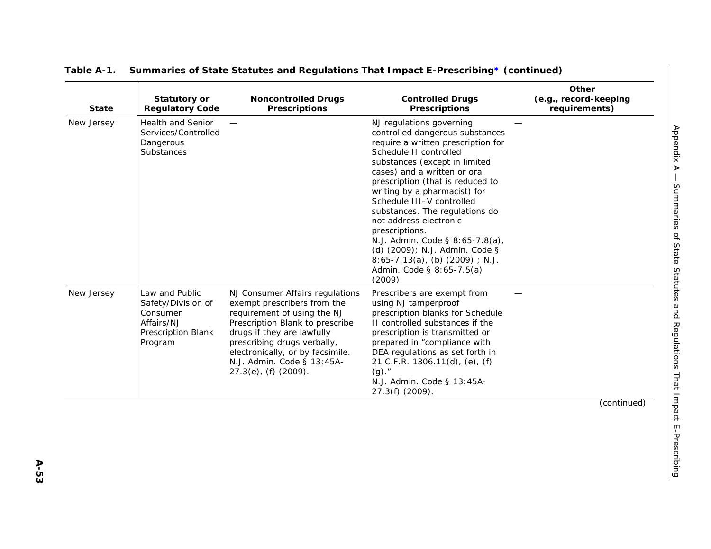| <b>State</b> | <b>Statutory or</b><br><b>Regulatory Code</b>                                                          | <b>Noncontrolled Drugs</b><br><b>Prescriptions</b>                                                                                                                                                                                                                                      | <b>Controlled Drugs</b><br><b>Prescriptions</b>                                                                                                                                                                                                                                                                                                                                                                                                                                                                               | Other<br>(e.g., record-keeping<br>requirements) |
|--------------|--------------------------------------------------------------------------------------------------------|-----------------------------------------------------------------------------------------------------------------------------------------------------------------------------------------------------------------------------------------------------------------------------------------|-------------------------------------------------------------------------------------------------------------------------------------------------------------------------------------------------------------------------------------------------------------------------------------------------------------------------------------------------------------------------------------------------------------------------------------------------------------------------------------------------------------------------------|-------------------------------------------------|
| New Jersey   | <b>Health and Senior</b><br>Services/Controlled<br>Dangerous<br>Substances                             |                                                                                                                                                                                                                                                                                         | NJ regulations governing<br>controlled dangerous substances<br>require a written prescription for<br>Schedule II controlled<br>substances (except in limited<br>cases) and a written or oral<br>prescription (that is reduced to<br>writing by a pharmacist) for<br>Schedule III-V controlled<br>substances. The regulations do<br>not address electronic<br>prescriptions.<br>N.J. Admin. Code § 8:65-7.8(a),<br>(d) (2009); N.J. Admin. Code §<br>$8:65-7.13(a)$ , (b) (2009); N.J.<br>Admin. Code § 8:65-7.5(a)<br>(2009). |                                                 |
| New Jersey   | Law and Public<br>Safety/Division of<br>Consumer<br>Affairs/NJ<br><b>Prescription Blank</b><br>Program | NJ Consumer Affairs regulations<br>exempt prescribers from the<br>requirement of using the NJ<br>Prescription Blank to prescribe<br>drugs if they are lawfully<br>prescribing drugs verbally,<br>electronically, or by facsimile.<br>N.J. Admin. Code § 13:45A-<br>27.3(e), (f) (2009). | Prescribers are exempt from<br>using NJ tamperproof<br>prescription blanks for Schedule<br>II controlled substances if the<br>prescription is transmitted or<br>prepared in "compliance with<br>DEA regulations as set forth in<br>21 C.F.R. 1306.11(d), (e), (f)<br>$(g)$ ."<br>N.J. Admin. Code § 13:45A-<br>27.3(f) (2009).                                                                                                                                                                                                |                                                 |
|              |                                                                                                        |                                                                                                                                                                                                                                                                                         |                                                                                                                                                                                                                                                                                                                                                                                                                                                                                                                               | (continued)                                     |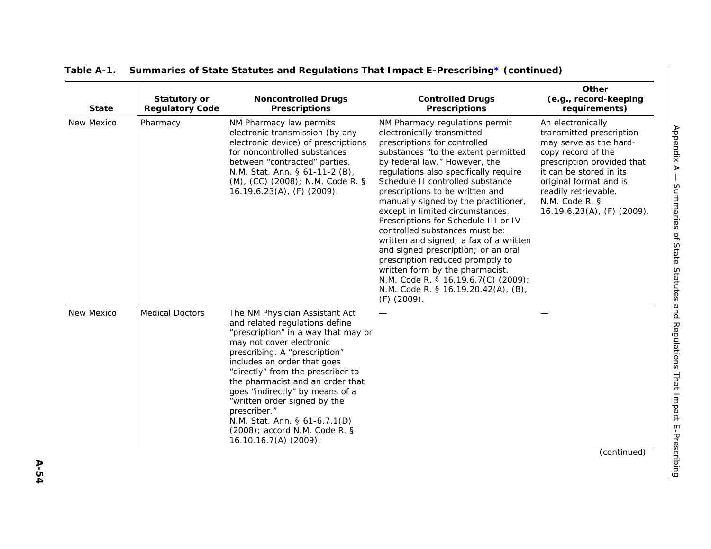|              |                                               |                                                                                                                                                                                                                                                                                                                                                                                                                                                              |                                                                                                                                                                                                                                                                                                                                                                                                                                                                                                                                                                                                                                                                                                   | Other<br>(e.g., record-keeping                                                                                                                                                                                                                              |
|--------------|-----------------------------------------------|--------------------------------------------------------------------------------------------------------------------------------------------------------------------------------------------------------------------------------------------------------------------------------------------------------------------------------------------------------------------------------------------------------------------------------------------------------------|---------------------------------------------------------------------------------------------------------------------------------------------------------------------------------------------------------------------------------------------------------------------------------------------------------------------------------------------------------------------------------------------------------------------------------------------------------------------------------------------------------------------------------------------------------------------------------------------------------------------------------------------------------------------------------------------------|-------------------------------------------------------------------------------------------------------------------------------------------------------------------------------------------------------------------------------------------------------------|
| <b>State</b> | <b>Statutory or</b><br><b>Regulatory Code</b> | <b>Noncontrolled Drugs</b><br><b>Prescriptions</b>                                                                                                                                                                                                                                                                                                                                                                                                           | <b>Controlled Drugs</b><br><b>Prescriptions</b>                                                                                                                                                                                                                                                                                                                                                                                                                                                                                                                                                                                                                                                   | requirements)                                                                                                                                                                                                                                               |
| New Mexico   | Pharmacy                                      | NM Pharmacy law permits<br>electronic transmission (by any<br>electronic device) of prescriptions<br>for noncontrolled substances<br>between "contracted" parties.<br>N.M. Stat. Ann. § 61-11-2 (B),<br>(M), (CC) (2008); N.M. Code R. §<br>$16.19.6.23(A)$ , (F) (2009).                                                                                                                                                                                    | NM Pharmacy regulations permit<br>electronically transmitted<br>prescriptions for controlled<br>substances "to the extent permitted<br>by federal law." However, the<br>regulations also specifically require<br>Schedule II controlled substance<br>prescriptions to be written and<br>manually signed by the practitioner,<br>except in limited circumstances.<br>Prescriptions for Schedule III or IV<br>controlled substances must be:<br>written and signed; a fax of a written<br>and signed prescription; or an oral<br>prescription reduced promptly to<br>written form by the pharmacist.<br>N.M. Code R. § 16.19.6.7(C) (2009);<br>N.M. Code R. § 16.19.20.42(A), (B),<br>$(F)$ (2009). | An electronically<br>transmitted prescription<br>may serve as the hard-<br>copy record of the<br>prescription provided that<br>it can be stored in its<br>original format and is<br>readily retrievable.<br>N.M. Code R. §<br>$16.19.6.23(A)$ , (F) (2009). |
| New Mexico   | <b>Medical Doctors</b>                        | The NM Physician Assistant Act<br>and related regulations define<br>"prescription" in a way that may or<br>may not cover electronic<br>prescribing. A "prescription"<br>includes an order that goes<br>"directly" from the prescriber to<br>the pharmacist and an order that<br>goes "indirectly" by means of a<br>"written order signed by the<br>prescriber."<br>N.M. Stat. Ann. § 61-6.7.1(D)<br>(2008); accord N.M. Code R. §<br>$16.10.16.7(A)$ (2009). |                                                                                                                                                                                                                                                                                                                                                                                                                                                                                                                                                                                                                                                                                                   |                                                                                                                                                                                                                                                             |

(continued)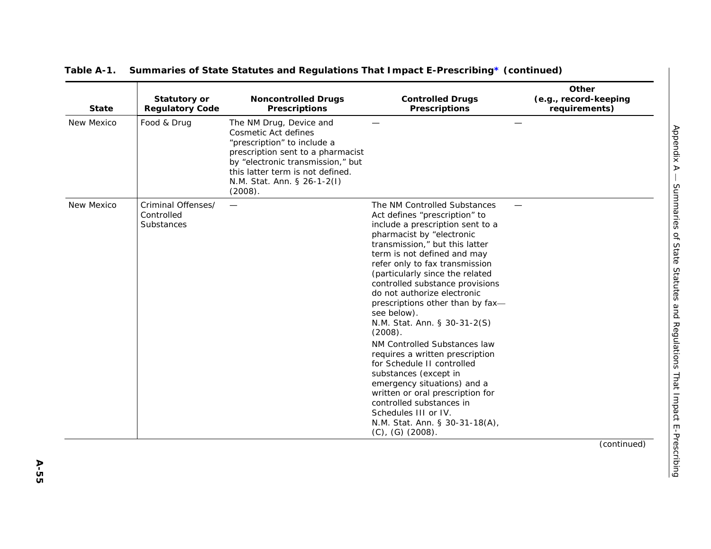| <b>State</b> | <b>Statutory or</b><br><b>Regulatory Code</b>  | <b>Noncontrolled Drugs</b><br><b>Prescriptions</b>                                                                                                                                                                                     | <b>Controlled Drugs</b><br><b>Prescriptions</b>                                                                                                                                                                                                                                                                                                                                                                                                                                                                                                                                                                                                                                                                                                  | Other<br>(e.g., record-keeping<br>requirements) |
|--------------|------------------------------------------------|----------------------------------------------------------------------------------------------------------------------------------------------------------------------------------------------------------------------------------------|--------------------------------------------------------------------------------------------------------------------------------------------------------------------------------------------------------------------------------------------------------------------------------------------------------------------------------------------------------------------------------------------------------------------------------------------------------------------------------------------------------------------------------------------------------------------------------------------------------------------------------------------------------------------------------------------------------------------------------------------------|-------------------------------------------------|
| New Mexico   | Food & Drug                                    | The NM Drug, Device and<br>Cosmetic Act defines<br>"prescription" to include a<br>prescription sent to a pharmacist<br>by "electronic transmission," but<br>this latter term is not defined.<br>N.M. Stat. Ann. § 26-1-2(I)<br>(2008). |                                                                                                                                                                                                                                                                                                                                                                                                                                                                                                                                                                                                                                                                                                                                                  |                                                 |
| New Mexico   | Criminal Offenses/<br>Controlled<br>Substances | —                                                                                                                                                                                                                                      | The NM Controlled Substances<br>Act defines "prescription" to<br>include a prescription sent to a<br>pharmacist by "electronic<br>transmission," but this latter<br>term is not defined and may<br>refer only to fax transmission<br>(particularly since the related<br>controlled substance provisions<br>do not authorize electronic<br>prescriptions other than by fax-<br>see below).<br>N.M. Stat. Ann. § 30-31-2(S)<br>(2008).<br>NM Controlled Substances law<br>requires a written prescription<br>for Schedule II controlled<br>substances (except in<br>emergency situations) and a<br>written or oral prescription for<br>controlled substances in<br>Schedules III or IV.<br>N.M. Stat. Ann. § 30-31-18(A),<br>$(C)$ , $(G)$ (2008). |                                                 |
|              |                                                |                                                                                                                                                                                                                                        |                                                                                                                                                                                                                                                                                                                                                                                                                                                                                                                                                                                                                                                                                                                                                  | (continued)                                     |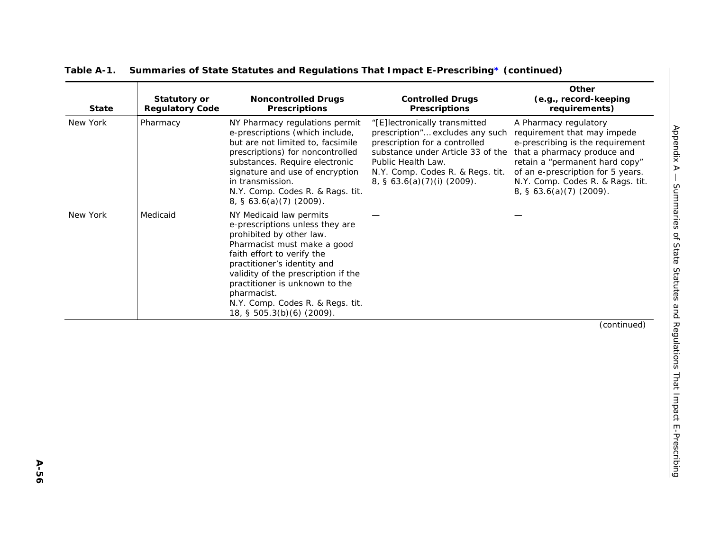| <b>State</b> | <b>Statutory or</b><br><b>Regulatory Code</b> | <b>Noncontrolled Drugs</b><br><b>Prescriptions</b>                                                                                                                                                                                                                                                                                          | <b>Controlled Drugs</b><br><b>Prescriptions</b>                                                                                                                                                                                          | Other<br>(e.g., record-keeping<br>requirements)                                                                                                                                                                                                                         |
|--------------|-----------------------------------------------|---------------------------------------------------------------------------------------------------------------------------------------------------------------------------------------------------------------------------------------------------------------------------------------------------------------------------------------------|------------------------------------------------------------------------------------------------------------------------------------------------------------------------------------------------------------------------------------------|-------------------------------------------------------------------------------------------------------------------------------------------------------------------------------------------------------------------------------------------------------------------------|
| New York     | Pharmacy                                      | NY Pharmacy regulations permit<br>e-prescriptions (which include,<br>but are not limited to, facsimile<br>prescriptions) for noncontrolled<br>substances. Require electronic<br>signature and use of encryption<br>in transmission.<br>N.Y. Comp. Codes R. & Rags. tit.<br>$8, \, \S\,63.6(a)(7)$ (2009).                                   | "[E]lectronically transmitted<br>prescription" excludes any such<br>prescription for a controlled<br>substance under Article 33 of the<br>Public Health Law.<br>N.Y. Comp. Codes R. & Regs. tit.<br>$8, \, \xi \, 63.6(a)(7)(i)$ (2009). | A Pharmacy regulatory<br>requirement that may impede<br>e-prescribing is the requirement<br>that a pharmacy produce and<br>retain a "permanent hard copy"<br>of an e-prescription for 5 years.<br>N.Y. Comp. Codes R. & Rags. tit.<br>$8, \, \xi \, 63.6(a)(7)$ (2009). |
| New York     | Medicaid                                      | NY Medicaid law permits<br>e-prescriptions unless they are<br>prohibited by other law.<br>Pharmacist must make a good<br>faith effort to verify the<br>practitioner's identity and<br>validity of the prescription if the<br>practitioner is unknown to the<br>pharmacist.<br>N.Y. Comp. Codes R. & Regs. tit.<br>18, § 505.3(b)(6) (2009). |                                                                                                                                                                                                                                          |                                                                                                                                                                                                                                                                         |
|              |                                               |                                                                                                                                                                                                                                                                                                                                             |                                                                                                                                                                                                                                          | (continued)                                                                                                                                                                                                                                                             |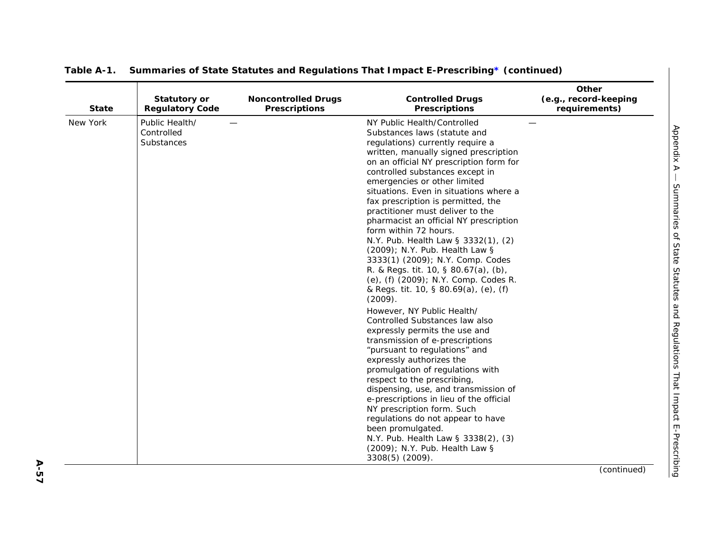| <b>State</b> | <b>Statutory or</b><br><b>Regulatory Code</b> | <b>Noncontrolled Drugs</b><br><b>Prescriptions</b> | <b>Controlled Drugs</b><br><b>Prescriptions</b>                                                                                                                                                                                                                                                                                                                                                                                                                                                                                                                                                                                                                                                                                                                                                                                                                                                                                                                                                                                                                                                                                                                                                                                           | Other<br>(e.g., record-keeping<br>requirements) |
|--------------|-----------------------------------------------|----------------------------------------------------|-------------------------------------------------------------------------------------------------------------------------------------------------------------------------------------------------------------------------------------------------------------------------------------------------------------------------------------------------------------------------------------------------------------------------------------------------------------------------------------------------------------------------------------------------------------------------------------------------------------------------------------------------------------------------------------------------------------------------------------------------------------------------------------------------------------------------------------------------------------------------------------------------------------------------------------------------------------------------------------------------------------------------------------------------------------------------------------------------------------------------------------------------------------------------------------------------------------------------------------------|-------------------------------------------------|
| New York     | Public Health/<br>Controlled<br>Substances    |                                                    | NY Public Health/Controlled<br>Substances laws (statute and<br>regulations) currently require a<br>written, manually signed prescription<br>on an official NY prescription form for<br>controlled substances except in<br>emergencies or other limited<br>situations. Even in situations where a<br>fax prescription is permitted, the<br>practitioner must deliver to the<br>pharmacist an official NY prescription<br>form within 72 hours.<br>N.Y. Pub. Health Law § 3332(1), (2)<br>(2009); N.Y. Pub. Health Law §<br>3333(1) (2009); N.Y. Comp. Codes<br>R. & Regs. tit. 10, § 80.67(a), (b),<br>(e), (f) (2009); N.Y. Comp. Codes R.<br>& Regs. tit. 10, § 80.69(a), (e), (f)<br>(2009).<br>However, NY Public Health/<br>Controlled Substances law also<br>expressly permits the use and<br>transmission of e-prescriptions<br>"pursuant to regulations" and<br>expressly authorizes the<br>promulgation of regulations with<br>respect to the prescribing,<br>dispensing, use, and transmission of<br>e-prescriptions in lieu of the official<br>NY prescription form. Such<br>regulations do not appear to have<br>been promulgated.<br>N.Y. Pub. Health Law § 3338(2), (3)<br>(2009); N.Y. Pub. Health Law §<br>3308(5) (2009). |                                                 |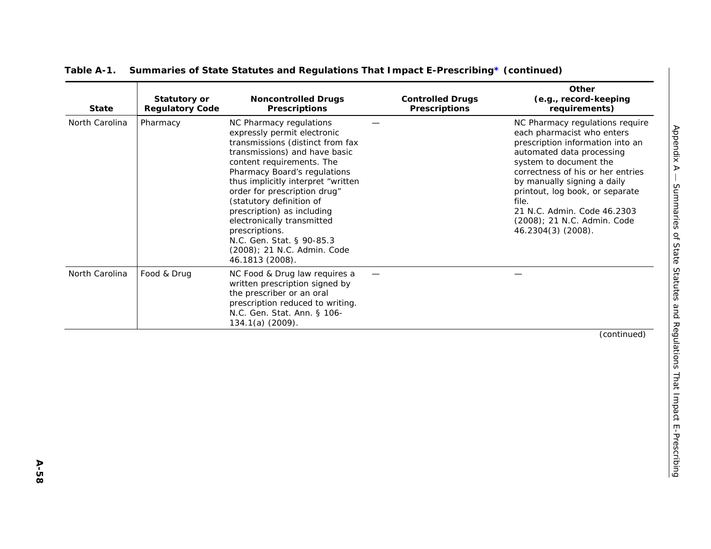| <b>State</b>   | <b>Statutory or</b><br><b>Regulatory Code</b> | <b>Noncontrolled Drugs</b><br><b>Prescriptions</b>                                                                                                                                                                                                                                                                                                                                                                                                      | <b>Controlled Drugs</b><br><b>Prescriptions</b> | Other<br>(e.g., record-keeping<br>requirements)                                                                                                                                                                                                                                                                                                              |
|----------------|-----------------------------------------------|---------------------------------------------------------------------------------------------------------------------------------------------------------------------------------------------------------------------------------------------------------------------------------------------------------------------------------------------------------------------------------------------------------------------------------------------------------|-------------------------------------------------|--------------------------------------------------------------------------------------------------------------------------------------------------------------------------------------------------------------------------------------------------------------------------------------------------------------------------------------------------------------|
| North Carolina | Pharmacy                                      | NC Pharmacy regulations<br>expressly permit electronic<br>transmissions (distinct from fax<br>transmissions) and have basic<br>content requirements. The<br>Pharmacy Board's regulations<br>thus implicitly interpret "written<br>order for prescription drug"<br>(statutory definition of<br>prescription) as including<br>electronically transmitted<br>prescriptions.<br>N.C. Gen. Stat. § 90-85.3<br>(2008); 21 N.C. Admin. Code<br>46.1813 (2008). |                                                 | NC Pharmacy regulations require<br>each pharmacist who enters<br>prescription information into an<br>automated data processing<br>system to document the<br>correctness of his or her entries<br>by manually signing a daily<br>printout, log book, or separate<br>file.<br>21 N.C. Admin. Code 46.2303<br>(2008); 21 N.C. Admin. Code<br>46.2304(3) (2008). |
| North Carolina | Food & Drug                                   | NC Food & Drug law requires a<br>written prescription signed by<br>the prescriber or an oral<br>prescription reduced to writing.<br>N.C. Gen. Stat. Ann. § 106-<br>$134.1(a)$ (2009).                                                                                                                                                                                                                                                                   |                                                 |                                                                                                                                                                                                                                                                                                                                                              |
|                |                                               |                                                                                                                                                                                                                                                                                                                                                                                                                                                         |                                                 | (continued)                                                                                                                                                                                                                                                                                                                                                  |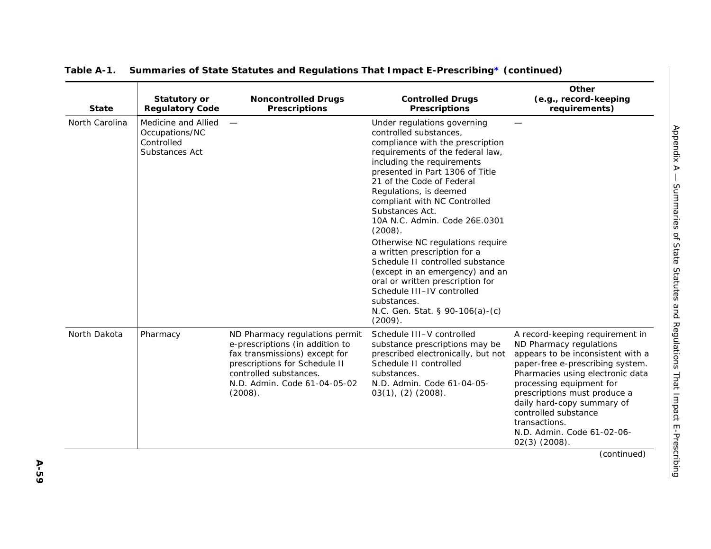| <b>State</b>   | <b>Statutory or</b><br><b>Regulatory Code</b>                         | <b>Noncontrolled Drugs</b><br><b>Prescriptions</b>                                                                                                                                                       | <b>Controlled Drugs</b><br><b>Prescriptions</b>                                                                                                                                                                                                                                                                                                                                                                                                                                                                                                                                                                                | Other<br>(e.g., record-keeping<br>requirements)                                                                                                                                                                                                                                                                                                             |
|----------------|-----------------------------------------------------------------------|----------------------------------------------------------------------------------------------------------------------------------------------------------------------------------------------------------|--------------------------------------------------------------------------------------------------------------------------------------------------------------------------------------------------------------------------------------------------------------------------------------------------------------------------------------------------------------------------------------------------------------------------------------------------------------------------------------------------------------------------------------------------------------------------------------------------------------------------------|-------------------------------------------------------------------------------------------------------------------------------------------------------------------------------------------------------------------------------------------------------------------------------------------------------------------------------------------------------------|
| North Carolina | Medicine and Allied<br>Occupations/NC<br>Controlled<br>Substances Act |                                                                                                                                                                                                          | Under regulations governing<br>controlled substances,<br>compliance with the prescription<br>requirements of the federal law,<br>including the requirements<br>presented in Part 1306 of Title<br>21 of the Code of Federal<br>Regulations, is deemed<br>compliant with NC Controlled<br>Substances Act.<br>10A N.C. Admin. Code 26E.0301<br>(2008).<br>Otherwise NC regulations require<br>a written prescription for a<br>Schedule II controlled substance<br>(except in an emergency) and an<br>oral or written prescription for<br>Schedule III-IV controlled<br>substances.<br>N.C. Gen. Stat. § 90-106(a)-(c)<br>(2009). |                                                                                                                                                                                                                                                                                                                                                             |
| North Dakota   | Pharmacy                                                              | ND Pharmacy regulations permit<br>e-prescriptions (in addition to<br>fax transmissions) except for<br>prescriptions for Schedule II<br>controlled substances.<br>N.D. Admin. Code 61-04-05-02<br>(2008). | Schedule III-V controlled<br>substance prescriptions may be<br>prescribed electronically, but not<br>Schedule II controlled<br>substances.<br>N.D. Admin. Code 61-04-05-<br>$03(1)$ , $(2)$ $(2008)$ .                                                                                                                                                                                                                                                                                                                                                                                                                         | A record-keeping requirement in<br>ND Pharmacy regulations<br>appears to be inconsistent with a<br>paper-free e-prescribing system.<br>Pharmacies using electronic data<br>processing equipment for<br>prescriptions must produce a<br>daily hard-copy summary of<br>controlled substance<br>transactions.<br>N.D. Admin. Code 61-02-06-<br>$02(3)$ (2008). |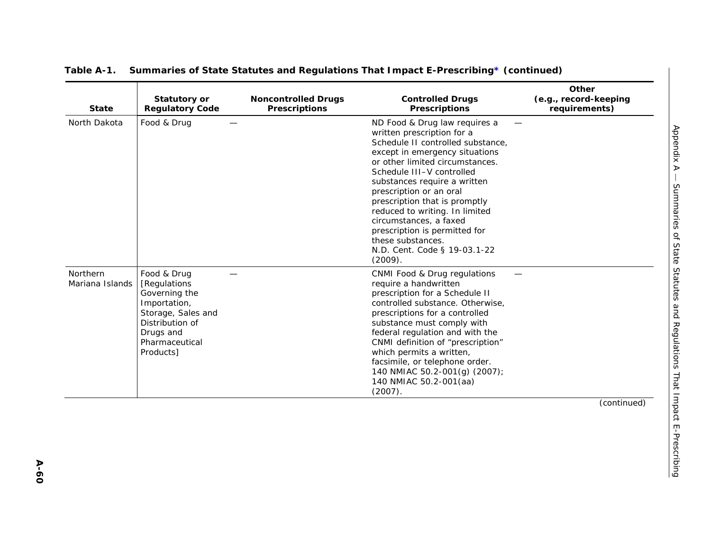| <b>State</b>                | <b>Statutory or</b><br><b>Regulatory Code</b>                                                                                                     | <b>Noncontrolled Drugs</b><br><b>Prescriptions</b> | <b>Controlled Drugs</b><br><b>Prescriptions</b>                                                                                                                                                                                                                                                                                                                                                                                                             | Other<br>(e.g., record-keeping<br>requirements)                       |
|-----------------------------|---------------------------------------------------------------------------------------------------------------------------------------------------|----------------------------------------------------|-------------------------------------------------------------------------------------------------------------------------------------------------------------------------------------------------------------------------------------------------------------------------------------------------------------------------------------------------------------------------------------------------------------------------------------------------------------|-----------------------------------------------------------------------|
| North Dakota                | Food & Drug                                                                                                                                       |                                                    | ND Food & Drug law requires a<br>written prescription for a<br>Schedule II controlled substance,<br>except in emergency situations<br>or other limited circumstances.<br>Schedule III-V controlled<br>substances require a written<br>prescription or an oral<br>prescription that is promptly<br>reduced to writing. In limited<br>circumstances, a faxed<br>prescription is permitted for<br>these substances.<br>N.D. Cent. Code § 19-03.1-22<br>(2009). | <b>Appendix A</b>                                                     |
| Northern<br>Mariana Islands | Food & Drug<br>[Regulations<br>Governing the<br>Importation,<br>Storage, Sales and<br>Distribution of<br>Drugs and<br>Pharmaceutical<br>Products] |                                                    | CNMI Food & Drug regulations<br>require a handwritten<br>prescription for a Schedule II<br>controlled substance. Otherwise,<br>prescriptions for a controlled<br>substance must comply with<br>federal regulation and with the<br>CNMI definition of "prescription"<br>which permits a written,<br>facsimile, or telephone order.<br>140 NMIAC 50.2-001(g) (2007);<br>140 NMIAC 50.2-001(aa)<br>(2007).                                                     | Summaries of State Statutes and Regulations That Impact E-Prescribing |
|                             |                                                                                                                                                   |                                                    |                                                                                                                                                                                                                                                                                                                                                                                                                                                             | (continued)                                                           |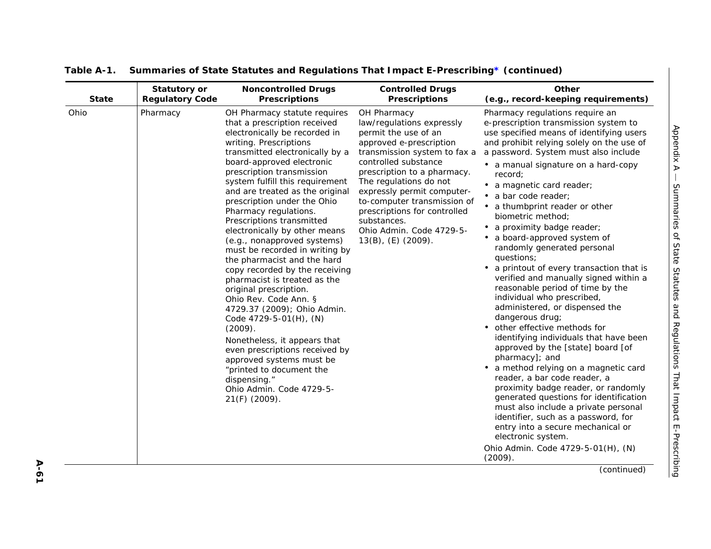| <b>State</b> | <b>Statutory or</b>    | <b>Noncontrolled Drugs</b>                                                                                                                                                                                                                                                                                                                                                                                                                                                                                                                                                                                                                                                                                                                                                                                                                                                                       | <b>Controlled Drugs</b>                                                                                                                                                                                                                                                                                                                                                       | Other                                                                                                                                                                                                                                                                                                                                                                                                                                                                                                                                                                                                                                                                                                                                                                                                                                                                                                                                                                                                                                                                                                                                                                                   |
|--------------|------------------------|--------------------------------------------------------------------------------------------------------------------------------------------------------------------------------------------------------------------------------------------------------------------------------------------------------------------------------------------------------------------------------------------------------------------------------------------------------------------------------------------------------------------------------------------------------------------------------------------------------------------------------------------------------------------------------------------------------------------------------------------------------------------------------------------------------------------------------------------------------------------------------------------------|-------------------------------------------------------------------------------------------------------------------------------------------------------------------------------------------------------------------------------------------------------------------------------------------------------------------------------------------------------------------------------|-----------------------------------------------------------------------------------------------------------------------------------------------------------------------------------------------------------------------------------------------------------------------------------------------------------------------------------------------------------------------------------------------------------------------------------------------------------------------------------------------------------------------------------------------------------------------------------------------------------------------------------------------------------------------------------------------------------------------------------------------------------------------------------------------------------------------------------------------------------------------------------------------------------------------------------------------------------------------------------------------------------------------------------------------------------------------------------------------------------------------------------------------------------------------------------------|
|              | <b>Regulatory Code</b> | <b>Prescriptions</b>                                                                                                                                                                                                                                                                                                                                                                                                                                                                                                                                                                                                                                                                                                                                                                                                                                                                             | <b>Prescriptions</b>                                                                                                                                                                                                                                                                                                                                                          | (e.g., record-keeping requirements)                                                                                                                                                                                                                                                                                                                                                                                                                                                                                                                                                                                                                                                                                                                                                                                                                                                                                                                                                                                                                                                                                                                                                     |
| Ohio         | Pharmacy               | OH Pharmacy statute requires<br>that a prescription received<br>electronically be recorded in<br>writing. Prescriptions<br>transmitted electronically by a<br>board-approved electronic<br>prescription transmission<br>system fulfill this requirement<br>and are treated as the original<br>prescription under the Ohio<br>Pharmacy regulations.<br>Prescriptions transmitted<br>electronically by other means<br>(e.g., nonapproved systems)<br>must be recorded in writing by<br>the pharmacist and the hard<br>copy recorded by the receiving<br>pharmacist is treated as the<br>original prescription.<br>Ohio Rev. Code Ann. §<br>4729.37 (2009); Ohio Admin.<br>Code 4729-5-01(H), (N)<br>(2009).<br>Nonetheless, it appears that<br>even prescriptions received by<br>approved systems must be<br>"printed to document the<br>dispensing."<br>Ohio Admin. Code 4729-5-<br>21(F) (2009). | OH Pharmacy<br>law/regulations expressly<br>permit the use of an<br>approved e-prescription<br>transmission system to fax a<br>controlled substance<br>prescription to a pharmacy.<br>The regulations do not<br>expressly permit computer-<br>to-computer transmission of<br>prescriptions for controlled<br>substances.<br>Ohio Admin. Code 4729-5-<br>$13(B)$ , (E) (2009). | Pharmacy regulations require an<br>e-prescription transmission system to<br>use specified means of identifying users<br>and prohibit relying solely on the use of<br>a password. System must also include<br>• a manual signature on a hard-copy<br>record;<br>• a magnetic card reader;<br>• a bar code reader;<br>• a thumbprint reader or other<br>biometric method;<br>• a proximity badge reader;<br>• a board-approved system of<br>randomly generated personal<br>questions;<br>• a printout of every transaction that is<br>verified and manually signed within a<br>reasonable period of time by the<br>individual who prescribed,<br>administered, or dispensed the<br>dangerous drug;<br>• other effective methods for<br>identifying individuals that have been<br>approved by the [state] board [of<br>pharmacy]; and<br>• a method relying on a magnetic card<br>reader, a bar code reader, a<br>proximity badge reader, or randomly<br>generated questions for identification<br>must also include a private personal<br>identifier, such as a password, for<br>entry into a secure mechanical or<br>electronic system.<br>Ohio Admin. Code 4729-5-01(H), (N)<br>(2009). |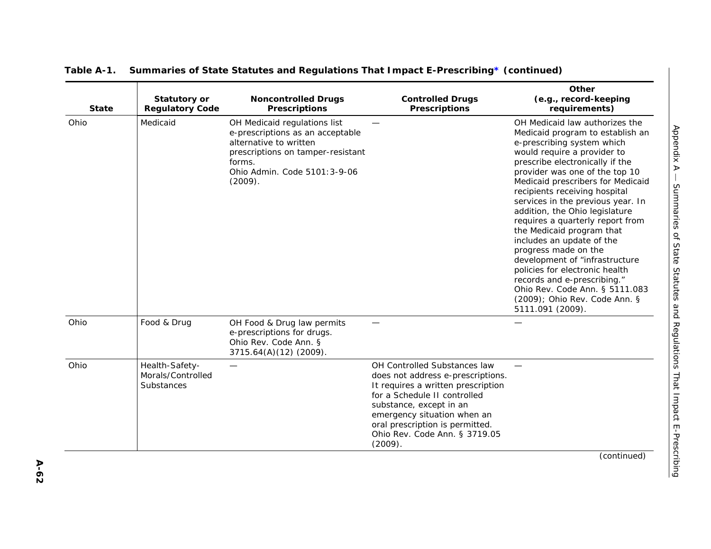| <b>State</b> | <b>Statutory or</b><br><b>Regulatory Code</b>     | <b>Noncontrolled Drugs</b><br><b>Prescriptions</b>                                                                                                                                    | <b>Controlled Drugs</b><br><b>Prescriptions</b>                                                                                                                                                                                                                                  | Other<br>(e.g., record-keeping<br>requirements)                                                                                                                                                                                                                                                                                                                                                                                                                                                                                                                                                                                                                   |
|--------------|---------------------------------------------------|---------------------------------------------------------------------------------------------------------------------------------------------------------------------------------------|----------------------------------------------------------------------------------------------------------------------------------------------------------------------------------------------------------------------------------------------------------------------------------|-------------------------------------------------------------------------------------------------------------------------------------------------------------------------------------------------------------------------------------------------------------------------------------------------------------------------------------------------------------------------------------------------------------------------------------------------------------------------------------------------------------------------------------------------------------------------------------------------------------------------------------------------------------------|
| Ohio         | Medicaid                                          | OH Medicaid regulations list<br>e-prescriptions as an acceptable<br>alternative to written<br>prescriptions on tamper-resistant<br>forms.<br>Ohio Admin. Code 5101: 3-9-06<br>(2009). |                                                                                                                                                                                                                                                                                  | OH Medicaid law authorizes the<br>Medicaid program to establish an<br>e-prescribing system which<br>would require a provider to<br>prescribe electronically if the<br>provider was one of the top 10<br>Medicaid prescribers for Medicaid<br>recipients receiving hospital<br>services in the previous year. In<br>addition, the Ohio legislature<br>requires a quarterly report from<br>the Medicaid program that<br>includes an update of the<br>progress made on the<br>development of "infrastructure<br>policies for electronic health<br>records and e-prescribing."<br>Ohio Rev. Code Ann. § 5111.083<br>(2009); Ohio Rev. Code Ann. §<br>5111.091 (2009). |
| Ohio         | Food & Drug                                       | OH Food & Drug law permits<br>e-prescriptions for drugs.<br>Ohio Rev. Code Ann. §<br>3715.64(A)(12)(2009).                                                                            |                                                                                                                                                                                                                                                                                  |                                                                                                                                                                                                                                                                                                                                                                                                                                                                                                                                                                                                                                                                   |
| Ohio         | Health-Safety-<br>Morals/Controlled<br>Substances | $\hspace{0.05cm}$                                                                                                                                                                     | OH Controlled Substances law<br>does not address e-prescriptions.<br>It requires a written prescription<br>for a Schedule II controlled<br>substance, except in an<br>emergency situation when an<br>oral prescription is permitted.<br>Ohio Rev. Code Ann. § 3719.05<br>(2009). |                                                                                                                                                                                                                                                                                                                                                                                                                                                                                                                                                                                                                                                                   |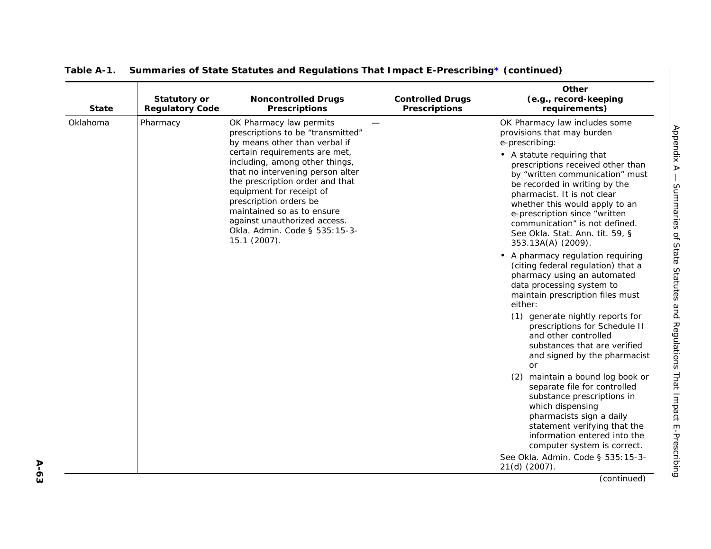| <b>State</b> | <b>Statutory or</b><br><b>Regulatory Code</b> | <b>Noncontrolled Drugs</b><br><b>Prescriptions</b>                                                                                                                                                                                                                                                          | <b>Controlled Drugs</b><br><b>Prescriptions</b> | Other<br>(e.g., record-keeping<br>requirements)                                                                                                                                                                                                                                                                                  |
|--------------|-----------------------------------------------|-------------------------------------------------------------------------------------------------------------------------------------------------------------------------------------------------------------------------------------------------------------------------------------------------------------|-------------------------------------------------|----------------------------------------------------------------------------------------------------------------------------------------------------------------------------------------------------------------------------------------------------------------------------------------------------------------------------------|
| Oklahoma     | Pharmacy                                      | OK Pharmacy law permits<br>prescriptions to be "transmitted"<br>by means other than verbal if                                                                                                                                                                                                               |                                                 | OK Pharmacy law includes some<br>provisions that may burden<br>e-prescribing:                                                                                                                                                                                                                                                    |
|              |                                               | certain requirements are met,<br>including, among other things,<br>that no intervening person alter<br>the prescription order and that<br>equipment for receipt of<br>prescription orders be<br>maintained so as to ensure<br>against unauthorized access.<br>Okla. Admin. Code § 535:15-3-<br>15.1 (2007). |                                                 | • A statute requiring that<br>prescriptions received other than<br>by "written communication" must<br>be recorded in writing by the<br>pharmacist. It is not clear<br>whether this would apply to an<br>e-prescription since "written<br>communication" is not defined.<br>See Okla. Stat. Ann. tit. 59, §<br>353.13A(A) (2009). |
|              |                                               |                                                                                                                                                                                                                                                                                                             |                                                 | • A pharmacy regulation requiring<br>(citing federal regulation) that a<br>pharmacy using an automated<br>data processing system to<br>maintain prescription files must<br>either:                                                                                                                                               |
|              |                                               |                                                                                                                                                                                                                                                                                                             |                                                 | (1) generate nightly reports for<br>prescriptions for Schedule II<br>and other controlled<br>substances that are verified<br>and signed by the pharmacist<br><b>or</b>                                                                                                                                                           |
|              |                                               |                                                                                                                                                                                                                                                                                                             |                                                 | maintain a bound log book or<br>(2)<br>separate file for controlled<br>substance prescriptions in<br>which dispensing<br>pharmacists sign a daily<br>statement verifying that the<br>information entered into the<br>computer system is correct.                                                                                 |
|              |                                               |                                                                                                                                                                                                                                                                                                             |                                                 | See Okla. Admin. Code § 535:15-3-<br>21(d) (2007).                                                                                                                                                                                                                                                                               |
|              |                                               |                                                                                                                                                                                                                                                                                                             |                                                 | (continued)                                                                                                                                                                                                                                                                                                                      |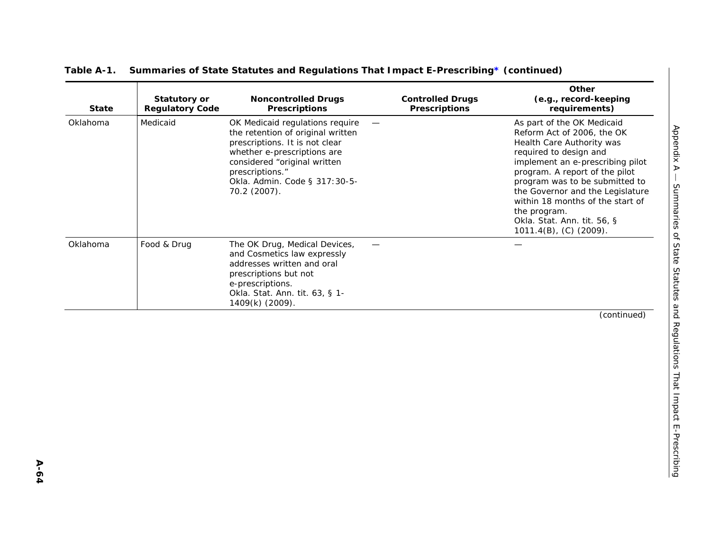|  |  | Table A-1. Summaries of State Statutes and Regulations That Impact E-Prescribing* (continued) |
|--|--|-----------------------------------------------------------------------------------------------|
|  |  |                                                                                               |

| <b>State</b> | Statutory or<br><b>Regulatory Code</b> | <b>Noncontrolled Drugs</b><br><b>Prescriptions</b>                                                                                                                                                                                                                    | <b>Controlled Drugs</b><br><b>Prescriptions</b> | Other<br>(e.g., record-keeping<br>requirements)                                                                                                                                                                                                                                                                                                                             |
|--------------|----------------------------------------|-----------------------------------------------------------------------------------------------------------------------------------------------------------------------------------------------------------------------------------------------------------------------|-------------------------------------------------|-----------------------------------------------------------------------------------------------------------------------------------------------------------------------------------------------------------------------------------------------------------------------------------------------------------------------------------------------------------------------------|
| Oklahoma     | Medicaid                               | OK Medicaid regulations require<br>$\overline{\phantom{m}}$<br>the retention of original written<br>prescriptions. It is not clear<br>whether e-prescriptions are<br>considered "original written<br>prescriptions."<br>Okla. Admin. Code § 317:30-5-<br>70.2 (2007). |                                                 | As part of the OK Medicaid<br>Reform Act of 2006, the OK<br>Health Care Authority was<br>required to design and<br>implement an e-prescribing pilot<br>program. A report of the pilot<br>program was to be submitted to<br>the Governor and the Legislature<br>within 18 months of the start of<br>the program.<br>Okla. Stat. Ann. tit. 56, §<br>$1011.4(B)$ , (C) (2009). |
| Oklahoma     | Food & Drug                            | The OK Drug, Medical Devices,<br>and Cosmetics law expressly<br>addresses written and oral<br>prescriptions but not<br>e-prescriptions.<br>Okla. Stat. Ann. tit. 63, § 1-<br>1409(k) (2009).                                                                          |                                                 |                                                                                                                                                                                                                                                                                                                                                                             |
|              |                                        |                                                                                                                                                                                                                                                                       |                                                 | (continued)                                                                                                                                                                                                                                                                                                                                                                 |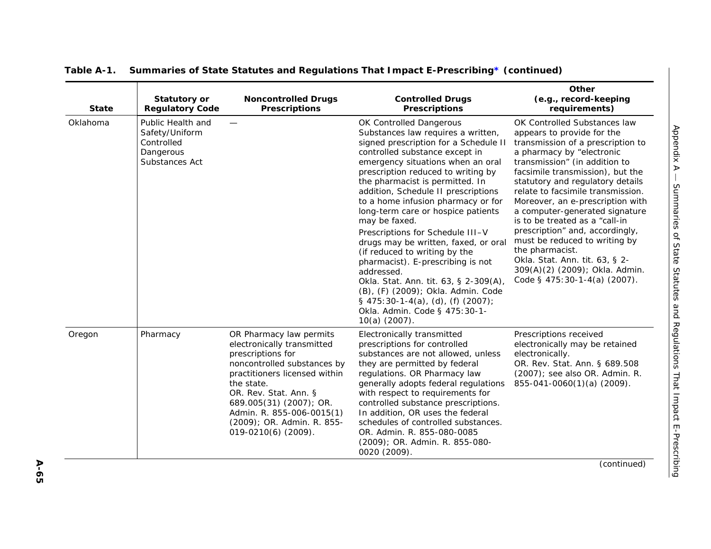| <b>State</b> | <b>Statutory or</b><br><b>Regulatory Code</b>                                    | <b>Noncontrolled Drugs</b><br><b>Prescriptions</b>                                                                                                                                                                                                                                             | <b>Controlled Drugs</b><br><b>Prescriptions</b>                                                                                                                                                                                                                                                                                                                                                                                                                                                                                                                                                                                                                                                                                     | Other<br>(e.g., record-keeping<br>requirements)                                                                                                                                                                                                                                                                                                                                                                                                                                                                                                                                |
|--------------|----------------------------------------------------------------------------------|------------------------------------------------------------------------------------------------------------------------------------------------------------------------------------------------------------------------------------------------------------------------------------------------|-------------------------------------------------------------------------------------------------------------------------------------------------------------------------------------------------------------------------------------------------------------------------------------------------------------------------------------------------------------------------------------------------------------------------------------------------------------------------------------------------------------------------------------------------------------------------------------------------------------------------------------------------------------------------------------------------------------------------------------|--------------------------------------------------------------------------------------------------------------------------------------------------------------------------------------------------------------------------------------------------------------------------------------------------------------------------------------------------------------------------------------------------------------------------------------------------------------------------------------------------------------------------------------------------------------------------------|
| Oklahoma     | Public Health and<br>Safety/Uniform<br>Controlled<br>Dangerous<br>Substances Act |                                                                                                                                                                                                                                                                                                | OK Controlled Dangerous<br>Substances law requires a written,<br>signed prescription for a Schedule II<br>controlled substance except in<br>emergency situations when an oral<br>prescription reduced to writing by<br>the pharmacist is permitted. In<br>addition, Schedule II prescriptions<br>to a home infusion pharmacy or for<br>long-term care or hospice patients<br>may be faxed.<br>Prescriptions for Schedule III-V<br>drugs may be written, faxed, or oral<br>(if reduced to writing by the<br>pharmacist). E-prescribing is not<br>addressed.<br>Okla. Stat. Ann. tit. 63, § 2-309(A),<br>(B), (F) (2009); Okla. Admin. Code<br>$\S$ 475:30-1-4(a), (d), (f) (2007);<br>Okla. Admin. Code § 475:30-1-<br>10(a) (2007). | OK Controlled Substances law<br>appears to provide for the<br>transmission of a prescription to<br>a pharmacy by "electronic<br>transmission" (in addition to<br>facsimile transmission), but the<br>statutory and regulatory details<br>relate to facsimile transmission.<br>Moreover, an e-prescription with<br>a computer-generated signature<br>is to be treated as a "call-in"<br>prescription" and, accordingly,<br>must be reduced to writing by<br>the pharmacist.<br>Okla. Stat. Ann. tit. 63, § 2-<br>309(A)(2) (2009); Okla. Admin.<br>Code § 475:30-1-4(a) (2007). |
| Oregon       | Pharmacy                                                                         | OR Pharmacy law permits<br>electronically transmitted<br>prescriptions for<br>noncontrolled substances by<br>practitioners licensed within<br>the state.<br>OR. Rev. Stat. Ann. §<br>689.005(31) (2007); OR.<br>Admin. R. 855-006-0015(1)<br>(2009); OR. Admin. R. 855-<br>019-0210(6) (2009). | Electronically transmitted<br>prescriptions for controlled<br>substances are not allowed, unless<br>they are permitted by federal<br>regulations. OR Pharmacy law<br>generally adopts federal regulations<br>with respect to requirements for<br>controlled substance prescriptions.<br>In addition, OR uses the federal<br>schedules of controlled substances.<br>OR. Admin. R. 855-080-0085<br>(2009); OR. Admin. R. 855-080-<br>0020 (2009).                                                                                                                                                                                                                                                                                     | Prescriptions received<br>electronically may be retained<br>electronically.<br>OR. Rev. Stat. Ann. § 689.508<br>(2007); see also OR. Admin. R.<br>855-041-0060(1)(a) (2009).                                                                                                                                                                                                                                                                                                                                                                                                   |
|              |                                                                                  |                                                                                                                                                                                                                                                                                                |                                                                                                                                                                                                                                                                                                                                                                                                                                                                                                                                                                                                                                                                                                                                     | (continued)                                                                                                                                                                                                                                                                                                                                                                                                                                                                                                                                                                    |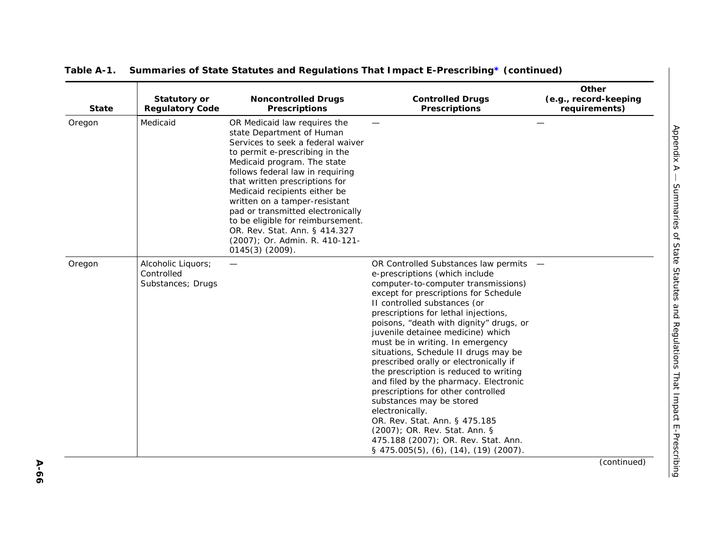| <b>State</b> | <b>Statutory or</b><br><b>Regulatory Code</b>         | <b>Noncontrolled Drugs</b><br><b>Prescriptions</b>                                                                                                                                                                                                                                                                                                                                                                                                                        | <b>Controlled Drugs</b><br><b>Prescriptions</b>                                                                                                                                                                                                                                                                                                                                                                                                                                                                                                                                                                                                                                                                                                                     | <b>Other</b><br>(e.g., record-keeping<br>requirements) |
|--------------|-------------------------------------------------------|---------------------------------------------------------------------------------------------------------------------------------------------------------------------------------------------------------------------------------------------------------------------------------------------------------------------------------------------------------------------------------------------------------------------------------------------------------------------------|---------------------------------------------------------------------------------------------------------------------------------------------------------------------------------------------------------------------------------------------------------------------------------------------------------------------------------------------------------------------------------------------------------------------------------------------------------------------------------------------------------------------------------------------------------------------------------------------------------------------------------------------------------------------------------------------------------------------------------------------------------------------|--------------------------------------------------------|
| Oregon       | Medicaid                                              | OR Medicaid law requires the<br>state Department of Human<br>Services to seek a federal waiver<br>to permit e-prescribing in the<br>Medicaid program. The state<br>follows federal law in requiring<br>that written prescriptions for<br>Medicaid recipients either be<br>written on a tamper-resistant<br>pad or transmitted electronically<br>to be eligible for reimbursement.<br>OR. Rev. Stat. Ann. § 414.327<br>(2007); Or. Admin. R. 410-121-<br>$0145(3)$ (2009). |                                                                                                                                                                                                                                                                                                                                                                                                                                                                                                                                                                                                                                                                                                                                                                     |                                                        |
| Oregon       | Alcoholic Liquors;<br>Controlled<br>Substances; Drugs |                                                                                                                                                                                                                                                                                                                                                                                                                                                                           | OR Controlled Substances law permits -<br>e-prescriptions (which include<br>computer-to-computer transmissions)<br>except for prescriptions for Schedule<br>II controlled substances (or<br>prescriptions for lethal injections,<br>poisons, "death with dignity" drugs, or<br>juvenile detainee medicine) which<br>must be in writing. In emergency<br>situations, Schedule II drugs may be<br>prescribed orally or electronically if<br>the prescription is reduced to writing<br>and filed by the pharmacy. Electronic<br>prescriptions for other controlled<br>substances may be stored<br>electronically.<br>OR. Rev. Stat. Ann. § 475.185<br>(2007); OR. Rev. Stat. Ann. §<br>475.188 (2007); OR. Rev. Stat. Ann.<br>$\S$ 475.005(5), (6), (14), (19) (2007). |                                                        |
|              |                                                       |                                                                                                                                                                                                                                                                                                                                                                                                                                                                           |                                                                                                                                                                                                                                                                                                                                                                                                                                                                                                                                                                                                                                                                                                                                                                     | (continued)                                            |

**A-66**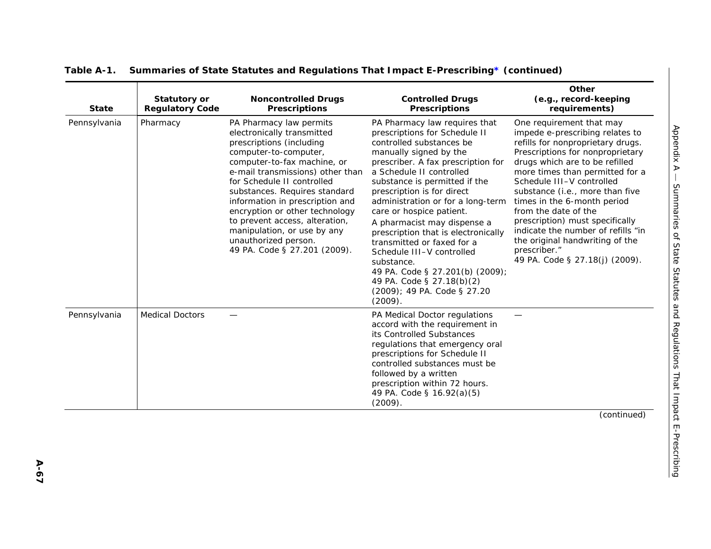| <b>State</b> | <b>Statutory or</b><br><b>Regulatory Code</b> | <b>Noncontrolled Drugs</b><br><b>Prescriptions</b>                                                                                                                                                                                                                                                                                                                                                                                         | <b>Controlled Drugs</b><br><b>Prescriptions</b>                                                                                                                                                                                                                                                                                                                                                                                                                                                                                                                                 | Other<br>(e.g., record-keeping<br>requirements)                                                                                                                                                                                                                                                                                                                                                                                                                                                |
|--------------|-----------------------------------------------|--------------------------------------------------------------------------------------------------------------------------------------------------------------------------------------------------------------------------------------------------------------------------------------------------------------------------------------------------------------------------------------------------------------------------------------------|---------------------------------------------------------------------------------------------------------------------------------------------------------------------------------------------------------------------------------------------------------------------------------------------------------------------------------------------------------------------------------------------------------------------------------------------------------------------------------------------------------------------------------------------------------------------------------|------------------------------------------------------------------------------------------------------------------------------------------------------------------------------------------------------------------------------------------------------------------------------------------------------------------------------------------------------------------------------------------------------------------------------------------------------------------------------------------------|
| Pennsylvania | Pharmacy                                      | PA Pharmacy law permits<br>electronically transmitted<br>prescriptions (including<br>computer-to-computer,<br>computer-to-fax machine, or<br>e-mail transmissions) other than<br>for Schedule II controlled<br>substances. Requires standard<br>information in prescription and<br>encryption or other technology<br>to prevent access, alteration,<br>manipulation, or use by any<br>unauthorized person.<br>49 PA. Code § 27.201 (2009). | PA Pharmacy law requires that<br>prescriptions for Schedule II<br>controlled substances be<br>manually signed by the<br>prescriber. A fax prescription for<br>a Schedule II controlled<br>substance is permitted if the<br>prescription is for direct<br>administration or for a long-term<br>care or hospice patient.<br>A pharmacist may dispense a<br>prescription that is electronically<br>transmitted or faxed for a<br>Schedule III-V controlled<br>substance.<br>49 PA. Code § 27.201(b) (2009);<br>49 PA. Code § 27.18(b)(2)<br>(2009); 49 PA. Code § 27.20<br>(2009). | One requirement that may<br>impede e-prescribing relates to<br>refills for nonproprietary drugs.<br>Prescriptions for nonproprietary<br>drugs which are to be refilled<br>more times than permitted for a<br>Schedule III-V controlled<br>substance (i.e., more than five<br>times in the 6-month period<br>from the date of the<br>prescription) must specifically<br>indicate the number of refills "in<br>the original handwriting of the<br>prescriber."<br>49 PA. Code § 27.18(j) (2009). |
| Pennsylvania | <b>Medical Doctors</b>                        |                                                                                                                                                                                                                                                                                                                                                                                                                                            | PA Medical Doctor regulations<br>accord with the requirement in<br>its Controlled Substances<br>regulations that emergency oral<br>prescriptions for Schedule II<br>controlled substances must be<br>followed by a written<br>prescription within 72 hours.<br>49 PA. Code § 16.92(a)(5)<br>(2009).                                                                                                                                                                                                                                                                             |                                                                                                                                                                                                                                                                                                                                                                                                                                                                                                |
|              |                                               |                                                                                                                                                                                                                                                                                                                                                                                                                                            |                                                                                                                                                                                                                                                                                                                                                                                                                                                                                                                                                                                 | (continued)                                                                                                                                                                                                                                                                                                                                                                                                                                                                                    |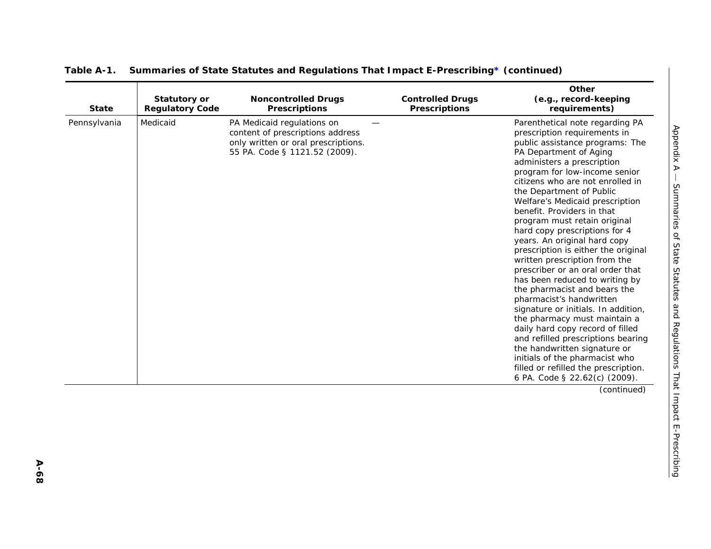| <b>State</b> | <b>Statutory or</b><br><b>Regulatory Code</b> | <b>Noncontrolled Drugs</b><br><b>Prescriptions</b>                                                                                     | <b>Controlled Drugs</b><br><b>Prescriptions</b> | Other<br>(e.g., record-keeping<br>requirements)                                                                                                                                                                                                                                                                                                                                                                                                                                                                                                                                                                                                                                                                                                                                                                                                                                                                                     |
|--------------|-----------------------------------------------|----------------------------------------------------------------------------------------------------------------------------------------|-------------------------------------------------|-------------------------------------------------------------------------------------------------------------------------------------------------------------------------------------------------------------------------------------------------------------------------------------------------------------------------------------------------------------------------------------------------------------------------------------------------------------------------------------------------------------------------------------------------------------------------------------------------------------------------------------------------------------------------------------------------------------------------------------------------------------------------------------------------------------------------------------------------------------------------------------------------------------------------------------|
| Pennsylvania | Medicaid                                      | PA Medicaid regulations on<br>content of prescriptions address<br>only written or oral prescriptions.<br>55 PA. Code § 1121.52 (2009). |                                                 | Parenthetical note regarding PA<br>prescription requirements in<br>public assistance programs: The<br>PA Department of Aging<br>administers a prescription<br>program for low-income senior<br>citizens who are not enrolled in<br>the Department of Public<br>Welfare's Medicaid prescription<br>benefit. Providers in that<br>program must retain original<br>hard copy prescriptions for 4<br>years. An original hard copy<br>prescription is either the original<br>written prescription from the<br>prescriber or an oral order that<br>has been reduced to writing by<br>the pharmacist and bears the<br>pharmacist's handwritten<br>signature or initials. In addition,<br>the pharmacy must maintain a<br>daily hard copy record of filled<br>and refilled prescriptions bearing<br>the handwritten signature or<br>initials of the pharmacist who<br>filled or refilled the prescription.<br>6 PA. Code § 22.62(c) (2009). |
|              |                                               |                                                                                                                                        |                                                 | (continued)                                                                                                                                                                                                                                                                                                                                                                                                                                                                                                                                                                                                                                                                                                                                                                                                                                                                                                                         |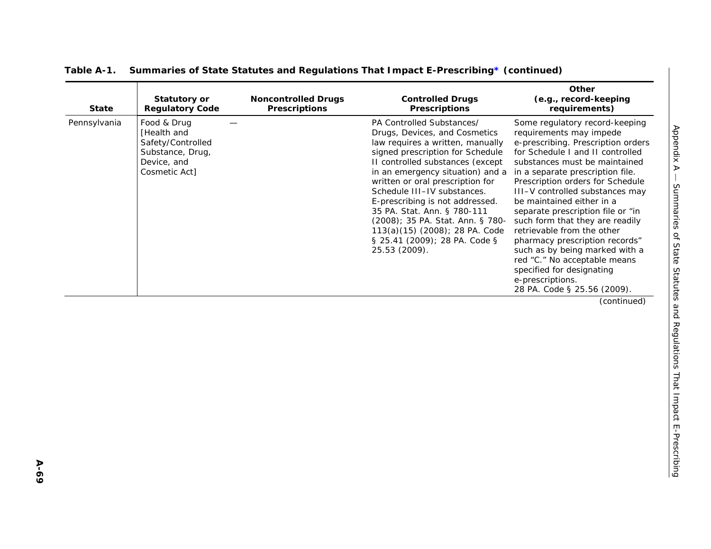| <b>State</b> | <b>Statutory or</b><br><b>Regulatory Code</b>                                                       | <b>Noncontrolled Drugs</b><br><b>Prescriptions</b> | <b>Controlled Drugs</b><br><b>Prescriptions</b>                                                                                                                                                                                                                                                                                                                                                                                                                         | Other<br>(e.g., record-keeping<br>requirements)                                                                                                                                                                                                                                                                                                                                                                                                                                                                                                                                                                                                                                                                 |
|--------------|-----------------------------------------------------------------------------------------------------|----------------------------------------------------|-------------------------------------------------------------------------------------------------------------------------------------------------------------------------------------------------------------------------------------------------------------------------------------------------------------------------------------------------------------------------------------------------------------------------------------------------------------------------|-----------------------------------------------------------------------------------------------------------------------------------------------------------------------------------------------------------------------------------------------------------------------------------------------------------------------------------------------------------------------------------------------------------------------------------------------------------------------------------------------------------------------------------------------------------------------------------------------------------------------------------------------------------------------------------------------------------------|
| Pennsylvania | Food & Drug<br>[Health and<br>Safety/Controlled<br>Substance, Drug,<br>Device, and<br>Cosmetic Act] |                                                    | PA Controlled Substances/<br>Drugs, Devices, and Cosmetics<br>law requires a written, manually<br>signed prescription for Schedule<br>II controlled substances (except<br>in an emergency situation) and a<br>written or oral prescription for<br>Schedule III-IV substances.<br>E-prescribing is not addressed.<br>35 PA. Stat. Ann. § 780-111<br>(2008); 35 PA. Stat. Ann. § 780-<br>113(a)(15) (2008); 28 PA. Code<br>§ 25.41 (2009); 28 PA. Code §<br>25.53 (2009). | Some regulatory record-keeping<br>Appendix A<br>requirements may impede<br>e-prescribing. Prescription orders<br>for Schedule I and II controlled<br>substances must be maintained<br>in a separate prescription file.<br>Prescription orders for Schedule<br>Summaries<br>III-V controlled substances may<br>be maintained either in a<br>separate prescription file or "in<br>such form that they are readily<br>retrievable from the other<br>of State Statutes and Regulations That Impact E-Prescribing<br>pharmacy prescription records"<br>such as by being marked with a<br>red "C." No acceptable means<br>specified for designating<br>e-prescriptions.<br>28 PA. Code § 25.56 (2009).<br>(continued) |
|              |                                                                                                     |                                                    |                                                                                                                                                                                                                                                                                                                                                                                                                                                                         |                                                                                                                                                                                                                                                                                                                                                                                                                                                                                                                                                                                                                                                                                                                 |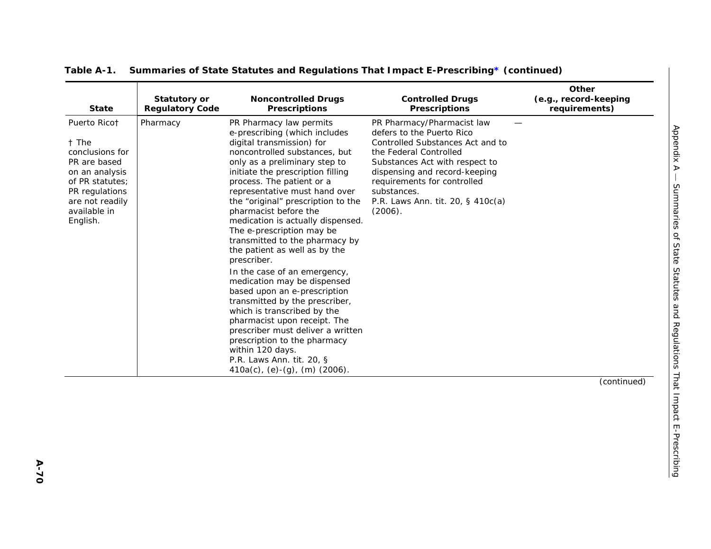| <b>State</b>                                                                                                                                                   | <b>Statutory or</b><br><b>Regulatory Code</b> | <b>Noncontrolled Drugs</b><br><b>Prescriptions</b>                                                                                                                                                                                                                                                                                                                                                                                                                                                                                                                                                                                                                                                                                                                                                                                   | <b>Controlled Drugs</b><br><b>Prescriptions</b>                                                                                                                                                                                                                                        | Other<br>(e.g., record-keeping<br>requirements) |
|----------------------------------------------------------------------------------------------------------------------------------------------------------------|-----------------------------------------------|--------------------------------------------------------------------------------------------------------------------------------------------------------------------------------------------------------------------------------------------------------------------------------------------------------------------------------------------------------------------------------------------------------------------------------------------------------------------------------------------------------------------------------------------------------------------------------------------------------------------------------------------------------------------------------------------------------------------------------------------------------------------------------------------------------------------------------------|----------------------------------------------------------------------------------------------------------------------------------------------------------------------------------------------------------------------------------------------------------------------------------------|-------------------------------------------------|
| Puerto Ricot<br>t The<br>conclusions for<br>PR are based<br>on an analysis<br>of PR statutes;<br>PR regulations<br>are not readily<br>available in<br>English. | Pharmacy                                      | PR Pharmacy law permits<br>e-prescribing (which includes<br>digital transmission) for<br>noncontrolled substances, but<br>only as a preliminary step to<br>initiate the prescription filling<br>process. The patient or a<br>representative must hand over<br>the "original" prescription to the<br>pharmacist before the<br>medication is actually dispensed.<br>The e-prescription may be<br>transmitted to the pharmacy by<br>the patient as well as by the<br>prescriber.<br>In the case of an emergency,<br>medication may be dispensed<br>based upon an e-prescription<br>transmitted by the prescriber,<br>which is transcribed by the<br>pharmacist upon receipt. The<br>prescriber must deliver a written<br>prescription to the pharmacy<br>within 120 days.<br>P.R. Laws Ann. tit. 20, §<br>410a(c), (e)-(g), (m) (2006). | PR Pharmacy/Pharmacist law<br>defers to the Puerto Rico<br>Controlled Substances Act and to<br>the Federal Controlled<br>Substances Act with respect to<br>dispensing and record-keeping<br>requirements for controlled<br>substances.<br>P.R. Laws Ann. tit. 20, § 410c(a)<br>(2006). |                                                 |
|                                                                                                                                                                |                                               |                                                                                                                                                                                                                                                                                                                                                                                                                                                                                                                                                                                                                                                                                                                                                                                                                                      |                                                                                                                                                                                                                                                                                        | (continued)                                     |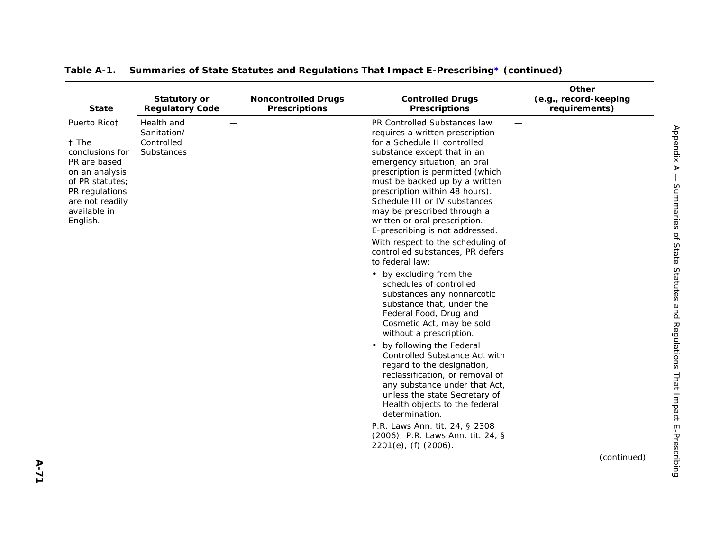| <b>State</b>                                                                                                                                                   | <b>Statutory or</b><br><b>Regulatory Code</b>         | <b>Noncontrolled Drugs</b><br><b>Prescriptions</b> | <b>Controlled Drugs</b><br><b>Prescriptions</b>                                                                                                                                                                                                                                                                                                                                                                                                                                                                                                                                                                                                                                                                                                                                                                                                                                                                                                                | Other<br>(e.g., record-keeping<br>requirements) |
|----------------------------------------------------------------------------------------------------------------------------------------------------------------|-------------------------------------------------------|----------------------------------------------------|----------------------------------------------------------------------------------------------------------------------------------------------------------------------------------------------------------------------------------------------------------------------------------------------------------------------------------------------------------------------------------------------------------------------------------------------------------------------------------------------------------------------------------------------------------------------------------------------------------------------------------------------------------------------------------------------------------------------------------------------------------------------------------------------------------------------------------------------------------------------------------------------------------------------------------------------------------------|-------------------------------------------------|
| Puerto Ricot<br>† The<br>conclusions for<br>PR are based<br>on an analysis<br>of PR statutes;<br>PR regulations<br>are not readily<br>available in<br>English. | Health and<br>Sanitation/<br>Controlled<br>Substances |                                                    | PR Controlled Substances law<br>requires a written prescription<br>for a Schedule II controlled<br>substance except that in an<br>emergency situation, an oral<br>prescription is permitted (which<br>must be backed up by a written<br>prescription within 48 hours).<br>Schedule III or IV substances<br>may be prescribed through a<br>written or oral prescription.<br>E-prescribing is not addressed.<br>With respect to the scheduling of<br>controlled substances, PR defers<br>to federal law:<br>• by excluding from the<br>schedules of controlled<br>substances any nonnarcotic<br>substance that, under the<br>Federal Food, Drug and<br>Cosmetic Act, may be sold<br>without a prescription.<br>• by following the Federal<br>Controlled Substance Act with<br>regard to the designation,<br>reclassification, or removal of<br>any substance under that Act,<br>unless the state Secretary of<br>Health objects to the federal<br>determination. |                                                 |
|                                                                                                                                                                |                                                       |                                                    | P.R. Laws Ann. tit. 24, § 2308<br>(2006); P.R. Laws Ann. tit. 24, §<br>$2201(e)$ , (f) $(2006)$ .                                                                                                                                                                                                                                                                                                                                                                                                                                                                                                                                                                                                                                                                                                                                                                                                                                                              |                                                 |
|                                                                                                                                                                |                                                       |                                                    |                                                                                                                                                                                                                                                                                                                                                                                                                                                                                                                                                                                                                                                                                                                                                                                                                                                                                                                                                                | (continued)                                     |

*Appendix A —*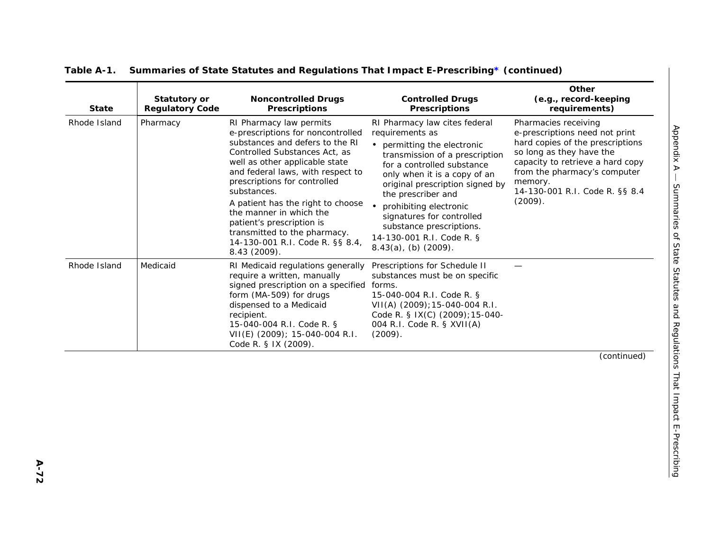| <b>State</b> | <b>Statutory or</b><br><b>Regulatory Code</b> | <b>Noncontrolled Drugs</b><br><b>Prescriptions</b>                                                                                                                                                                                                                                                                                                                                                                                     | <b>Controlled Drugs</b><br><b>Prescriptions</b>                                                                                                                                                                                                                                                                                                                                        | Other<br>(e.g., record-keeping<br>requirements)                                                                                                                                                                                                    |
|--------------|-----------------------------------------------|----------------------------------------------------------------------------------------------------------------------------------------------------------------------------------------------------------------------------------------------------------------------------------------------------------------------------------------------------------------------------------------------------------------------------------------|----------------------------------------------------------------------------------------------------------------------------------------------------------------------------------------------------------------------------------------------------------------------------------------------------------------------------------------------------------------------------------------|----------------------------------------------------------------------------------------------------------------------------------------------------------------------------------------------------------------------------------------------------|
| Rhode Island | Pharmacy                                      | RI Pharmacy law permits<br>e-prescriptions for noncontrolled<br>substances and defers to the RI<br>Controlled Substances Act, as<br>well as other applicable state<br>and federal laws, with respect to<br>prescriptions for controlled<br>substances.<br>A patient has the right to choose<br>the manner in which the<br>patient's prescription is<br>transmitted to the pharmacy.<br>14-130-001 R.I. Code R. §§ 8.4,<br>8.43 (2009). | RI Pharmacy law cites federal<br>requirements as<br>• permitting the electronic<br>transmission of a prescription<br>for a controlled substance<br>only when it is a copy of an<br>original prescription signed by<br>the prescriber and<br>prohibiting electronic<br>signatures for controlled<br>substance prescriptions.<br>14-130-001 R.I. Code R. §<br>$8.43(a)$ , (b) $(2009)$ . | Pharmacies receiving<br>e-prescriptions need not print<br>hard copies of the prescriptions<br>so long as they have the<br>capacity to retrieve a hard copy<br>from the pharmacy's computer<br>memory.<br>14-130-001 R.I. Code R. §§ 8.4<br>(2009). |
| Rhode Island | Medicaid                                      | RI Medicaid regulations generally<br>require a written, manually<br>signed prescription on a specified forms.<br>form (MA-509) for drugs<br>dispensed to a Medicaid<br>recipient.<br>15-040-004 R.I. Code R. §<br>VII(E) (2009); 15-040-004 R.I.<br>Code R. § IX (2009).                                                                                                                                                               | Prescriptions for Schedule II<br>substances must be on specific<br>15-040-004 R.I. Code R. §<br>VII(A) (2009); 15-040-004 R.I.<br>Code R. § IX(C) (2009); 15-040-<br>004 R.I. Code R. § XVII(A)<br>(2009).                                                                                                                                                                             |                                                                                                                                                                                                                                                    |
|              |                                               |                                                                                                                                                                                                                                                                                                                                                                                                                                        |                                                                                                                                                                                                                                                                                                                                                                                        | (continued)                                                                                                                                                                                                                                        |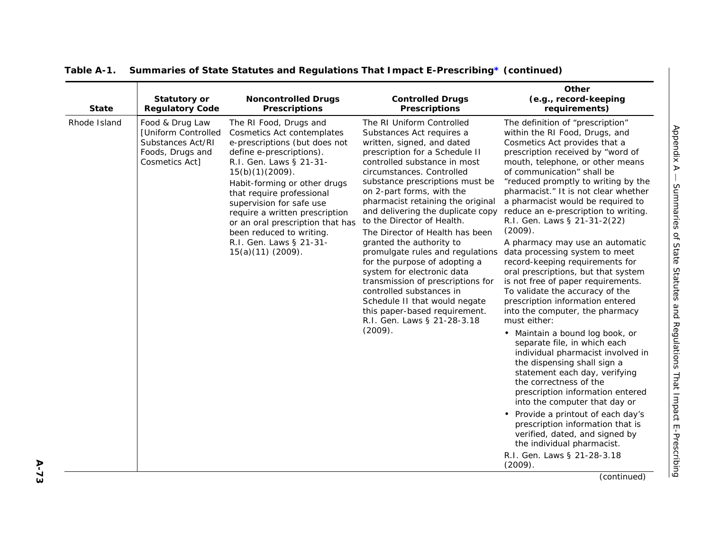| $\overline{\phantom{a}}$                                                                                                                                                                                                                   |
|--------------------------------------------------------------------------------------------------------------------------------------------------------------------------------------------------------------------------------------------|
|                                                                                                                                                                                                                                            |
|                                                                                                                                                                                                                                            |
|                                                                                                                                                                                                                                            |
|                                                                                                                                                                                                                                            |
| י<br>דונד<br>דונד                                                                                                                                                                                                                          |
|                                                                                                                                                                                                                                            |
| *> ワ+フ+:++>> フェフユ ロフィ:                                                                                                                                                                                                                     |
|                                                                                                                                                                                                                                            |
|                                                                                                                                                                                                                                            |
|                                                                                                                                                                                                                                            |
| $\frac{1}{2}$                                                                                                                                                                                                                              |
| ivitation in the form of the contract of the state of the contract of the contract of the contract of the contract of the contract of the contract of the contract of the contract of the contract of the contract of the cont<br>りょう<br>5 |
| .<br>ישני הוא                                                                                                                                                                                                                              |
|                                                                                                                                                                                                                                            |
|                                                                                                                                                                                                                                            |
|                                                                                                                                                                                                                                            |
| ı                                                                                                                                                                                                                                          |

| <b>State</b> | Statutory or<br><b>Regulatory Code</b>                                                            | <b>Noncontrolled Drugs</b><br><b>Prescriptions</b>                                                                                                                                                                                                                                                                                                                                                              | <b>Controlled Drugs</b><br><b>Prescriptions</b>                                                                                                                                                                                                                                                                                                                                                                                                                                                                                                                                                                                                                                                            | Other<br>(e.g., record-keeping<br>requirements)                                                                                                                                                                                                                                                                                                                                                                                                                                                                                                                                                                                                                                                                                                                                                                                                                                                                                                                                                                                                                                                                                                                                             |
|--------------|---------------------------------------------------------------------------------------------------|-----------------------------------------------------------------------------------------------------------------------------------------------------------------------------------------------------------------------------------------------------------------------------------------------------------------------------------------------------------------------------------------------------------------|------------------------------------------------------------------------------------------------------------------------------------------------------------------------------------------------------------------------------------------------------------------------------------------------------------------------------------------------------------------------------------------------------------------------------------------------------------------------------------------------------------------------------------------------------------------------------------------------------------------------------------------------------------------------------------------------------------|---------------------------------------------------------------------------------------------------------------------------------------------------------------------------------------------------------------------------------------------------------------------------------------------------------------------------------------------------------------------------------------------------------------------------------------------------------------------------------------------------------------------------------------------------------------------------------------------------------------------------------------------------------------------------------------------------------------------------------------------------------------------------------------------------------------------------------------------------------------------------------------------------------------------------------------------------------------------------------------------------------------------------------------------------------------------------------------------------------------------------------------------------------------------------------------------|
| Rhode Island | Food & Drug Law<br>[Uniform Controlled<br>Substances Act/RI<br>Foods, Drugs and<br>Cosmetics Act] | The RI Food, Drugs and<br>Cosmetics Act contemplates<br>e-prescriptions (but does not<br>define e-prescriptions).<br>R.I. Gen. Laws § 21-31-<br>$15(b)(1)(2009)$ .<br>Habit-forming or other drugs<br>that require professional<br>supervision for safe use<br>require a written prescription<br>or an oral prescription that has<br>been reduced to writing.<br>R.I. Gen. Laws § 21-31-<br>$15(a)(11)(2009)$ . | The RI Uniform Controlled<br>Substances Act requires a<br>written, signed, and dated<br>prescription for a Schedule II<br>controlled substance in most<br>circumstances. Controlled<br>substance prescriptions must be<br>on 2-part forms, with the<br>pharmacist retaining the original<br>and delivering the duplicate copy<br>to the Director of Health.<br>The Director of Health has been<br>granted the authority to<br>promulgate rules and regulations<br>for the purpose of adopting a<br>system for electronic data<br>transmission of prescriptions for<br>controlled substances in<br>Schedule II that would negate<br>this paper-based requirement.<br>R.I. Gen. Laws § 21-28-3.18<br>(2009). | The definition of "prescription"<br>within the RI Food, Drugs, and<br>Cosmetics Act provides that a<br>prescription received by "word of<br>mouth, telephone, or other means<br>of communication" shall be<br>"reduced promptly to writing by the<br>pharmacist." It is not clear whether<br>a pharmacist would be required to<br>reduce an e-prescription to writing.<br>R.I. Gen. Laws § 21-31-2(22)<br>(2009).<br>A pharmacy may use an automatic<br>data processing system to meet<br>record-keeping requirements for<br>oral prescriptions, but that system<br>is not free of paper requirements.<br>To validate the accuracy of the<br>prescription information entered<br>into the computer, the pharmacy<br>must either:<br>• Maintain a bound log book, or<br>separate file, in which each<br>individual pharmacist involved in<br>the dispensing shall sign a<br>statement each day, verifying<br>the correctness of the<br>prescription information entered<br>into the computer that day or<br>• Provide a printout of each day's<br>prescription information that is<br>verified, dated, and signed by<br>the individual pharmacist.<br>R.I. Gen. Laws § 21-28-3.18<br>(2009). |
|              |                                                                                                   |                                                                                                                                                                                                                                                                                                                                                                                                                 |                                                                                                                                                                                                                                                                                                                                                                                                                                                                                                                                                                                                                                                                                                            | (continued)                                                                                                                                                                                                                                                                                                                                                                                                                                                                                                                                                                                                                                                                                                                                                                                                                                                                                                                                                                                                                                                                                                                                                                                 |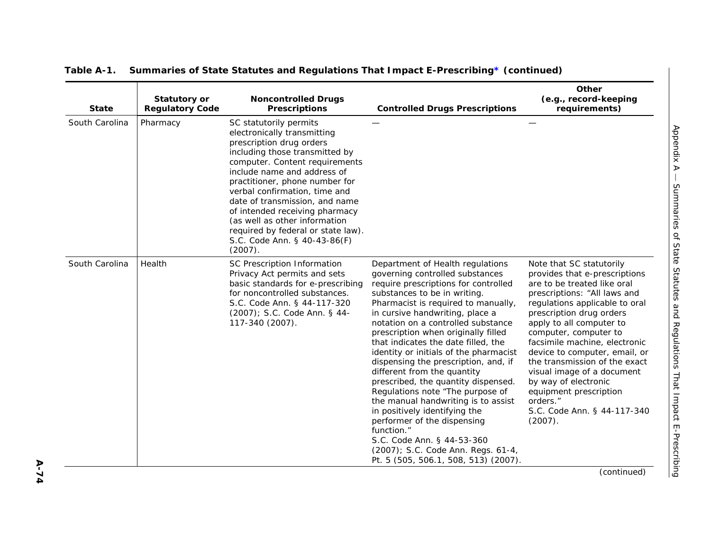| <b>State</b>   | Statutory or<br><b>Regulatory Code</b> | <b>Noncontrolled Drugs</b><br><b>Prescriptions</b>                                                                                                                                                                                                                                                                                                                                                                                            | <b>Controlled Drugs Prescriptions</b>                                                                                                                                                                                                                                                                                                                                                                                                                                                                                                                                                                                                                                                                                                                                  | Other<br>(e.g., record-keeping<br>requirements)                                                                                                                                                                                                                                                                                                                                                                                                                                      |
|----------------|----------------------------------------|-----------------------------------------------------------------------------------------------------------------------------------------------------------------------------------------------------------------------------------------------------------------------------------------------------------------------------------------------------------------------------------------------------------------------------------------------|------------------------------------------------------------------------------------------------------------------------------------------------------------------------------------------------------------------------------------------------------------------------------------------------------------------------------------------------------------------------------------------------------------------------------------------------------------------------------------------------------------------------------------------------------------------------------------------------------------------------------------------------------------------------------------------------------------------------------------------------------------------------|--------------------------------------------------------------------------------------------------------------------------------------------------------------------------------------------------------------------------------------------------------------------------------------------------------------------------------------------------------------------------------------------------------------------------------------------------------------------------------------|
| South Carolina | Pharmacy                               | SC statutorily permits<br>electronically transmitting<br>prescription drug orders<br>including those transmitted by<br>computer. Content requirements<br>include name and address of<br>practitioner, phone number for<br>verbal confirmation, time and<br>date of transmission, and name<br>of intended receiving pharmacy<br>(as well as other information<br>required by federal or state law).<br>S.C. Code Ann. § 40-43-86(F)<br>(2007). |                                                                                                                                                                                                                                                                                                                                                                                                                                                                                                                                                                                                                                                                                                                                                                        |                                                                                                                                                                                                                                                                                                                                                                                                                                                                                      |
| South Carolina | Health                                 | SC Prescription Information<br>Privacy Act permits and sets<br>basic standards for e-prescribing<br>for noncontrolled substances.<br>S.C. Code Ann. § 44-117-320<br>(2007); S.C. Code Ann. § 44-<br>117-340 (2007).                                                                                                                                                                                                                           | Department of Health regulations<br>governing controlled substances<br>require prescriptions for controlled<br>substances to be in writing.<br>Pharmacist is required to manually,<br>in cursive handwriting, place a<br>notation on a controlled substance<br>prescription when originally filled<br>that indicates the date filled, the<br>identity or initials of the pharmacist<br>dispensing the prescription, and, if<br>different from the quantity<br>prescribed, the quantity dispensed.<br>Regulations note "The purpose of<br>the manual handwriting is to assist<br>in positively identifying the<br>performer of the dispensing<br>function."<br>S.C. Code Ann. § 44-53-360<br>(2007); S.C. Code Ann. Regs. 61-4,<br>Pt. 5 (505, 506.1, 508, 513) (2007). | Note that SC statutorily<br>provides that e-prescriptions<br>are to be treated like oral<br>prescriptions: "All laws and<br>regulations applicable to oral<br>prescription drug orders<br>apply to all computer to<br>computer, computer to<br>facsimile machine, electronic<br>device to computer, email, or<br>the transmission of the exact<br>visual image of a document<br>by way of electronic<br>equipment prescription<br>orders."<br>S.C. Code Ann. § 44-117-340<br>(2007). |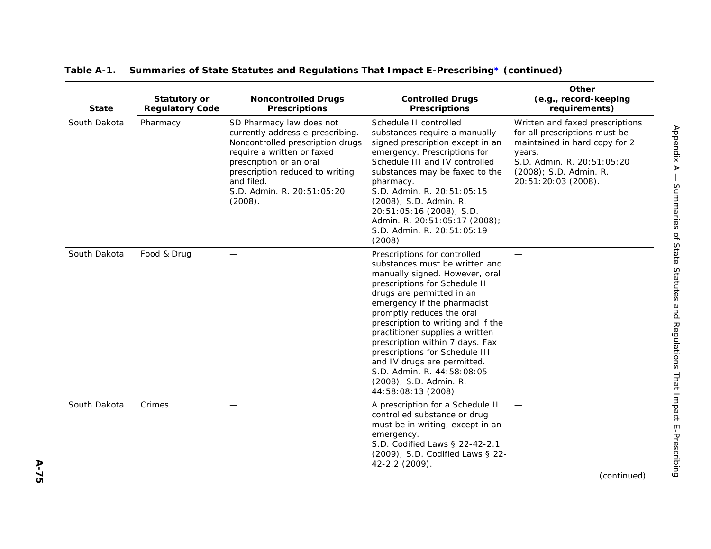| <b>State</b> | <b>Statutory or</b><br><b>Regulatory Code</b> | <b>Noncontrolled Drugs</b><br><b>Prescriptions</b>                                                                                                                                                                                                  | <b>Controlled Drugs</b><br><b>Prescriptions</b>                                                                                                                                                                                                                                                                                                                                                                                                                                        | Other<br>(e.g., record-keeping<br>requirements)                                                                                                                                            |
|--------------|-----------------------------------------------|-----------------------------------------------------------------------------------------------------------------------------------------------------------------------------------------------------------------------------------------------------|----------------------------------------------------------------------------------------------------------------------------------------------------------------------------------------------------------------------------------------------------------------------------------------------------------------------------------------------------------------------------------------------------------------------------------------------------------------------------------------|--------------------------------------------------------------------------------------------------------------------------------------------------------------------------------------------|
| South Dakota | Pharmacy                                      | SD Pharmacy law does not<br>currently address e-prescribing.<br>Noncontrolled prescription drugs<br>require a written or faxed<br>prescription or an oral<br>prescription reduced to writing<br>and filed.<br>S.D. Admin. R. 20:51:05:20<br>(2008). | Schedule II controlled<br>substances require a manually<br>signed prescription except in an<br>emergency. Prescriptions for<br>Schedule III and IV controlled<br>substances may be faxed to the<br>pharmacy.<br>S.D. Admin. R. 20:51:05:15<br>(2008); S.D. Admin. R.<br>20:51:05:16 (2008); S.D.<br>Admin. R. 20:51:05:17 (2008);<br>S.D. Admin. R. 20:51:05:19<br>(2008).                                                                                                             | Written and faxed prescriptions<br>for all prescriptions must be<br>maintained in hard copy for 2<br>years.<br>S.D. Admin. R. 20:51:05:20<br>(2008); S.D. Admin. R.<br>20:51:20:03 (2008). |
| South Dakota | Food & Drug                                   |                                                                                                                                                                                                                                                     | Prescriptions for controlled<br>substances must be written and<br>manually signed. However, oral<br>prescriptions for Schedule II<br>drugs are permitted in an<br>emergency if the pharmacist<br>promptly reduces the oral<br>prescription to writing and if the<br>practitioner supplies a written<br>prescription within 7 days. Fax<br>prescriptions for Schedule III<br>and IV drugs are permitted.<br>S.D. Admin. R. 44:58:08:05<br>(2008); S.D. Admin. R.<br>44:58:08:13 (2008). |                                                                                                                                                                                            |
| South Dakota | Crimes                                        |                                                                                                                                                                                                                                                     | A prescription for a Schedule II<br>controlled substance or drug<br>must be in writing, except in an<br>emergency.<br>S.D. Codified Laws § 22-42-2.1<br>(2009); S.D. Codified Laws § 22-<br>42-2.2 (2009).                                                                                                                                                                                                                                                                             |                                                                                                                                                                                            |
|              |                                               |                                                                                                                                                                                                                                                     |                                                                                                                                                                                                                                                                                                                                                                                                                                                                                        | (continued)                                                                                                                                                                                |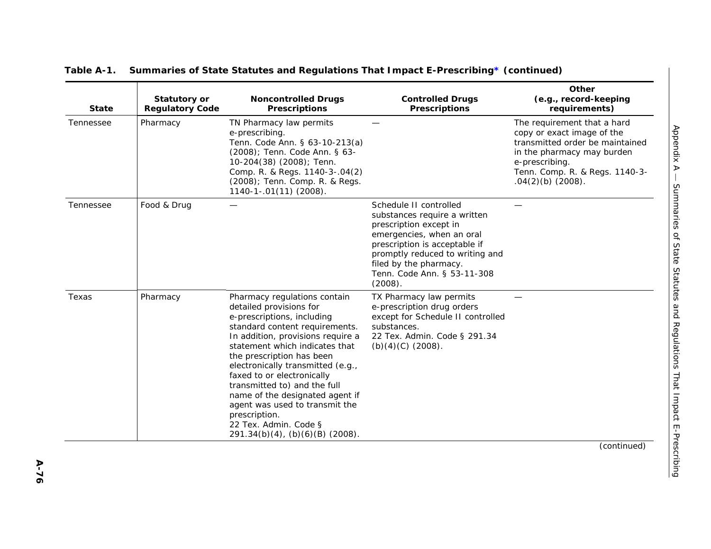| <b>State</b> | <b>Statutory or</b><br><b>Regulatory Code</b> | <b>Noncontrolled Drugs</b><br><b>Prescriptions</b>                                                                                                                                                                                                                                                                                                                                                                                                                               | <b>Controlled Drugs</b><br><b>Prescriptions</b>                                                                                                                                                                                                       | Other<br>(e.g., record-keeping<br>requirements)                                                                                                                                                       |
|--------------|-----------------------------------------------|----------------------------------------------------------------------------------------------------------------------------------------------------------------------------------------------------------------------------------------------------------------------------------------------------------------------------------------------------------------------------------------------------------------------------------------------------------------------------------|-------------------------------------------------------------------------------------------------------------------------------------------------------------------------------------------------------------------------------------------------------|-------------------------------------------------------------------------------------------------------------------------------------------------------------------------------------------------------|
| Tennessee    | Pharmacy                                      | TN Pharmacy law permits<br>e-prescribing.<br>Tenn. Code Ann. § 63-10-213(a)<br>(2008); Tenn. Code Ann. § 63-<br>10-204(38) (2008); Tenn.<br>Comp. R. & Regs. 1140-3-.04(2)<br>(2008); Tenn. Comp. R. & Regs.<br>1140-1-.01(11) (2008).                                                                                                                                                                                                                                           |                                                                                                                                                                                                                                                       | The requirement that a hard<br>copy or exact image of the<br>transmitted order be maintained<br>in the pharmacy may burden<br>e-prescribing.<br>Tenn. Comp. R. & Regs. 1140-3-<br>$.04(2)(b)$ (2008). |
| Tennessee    | Food & Drug                                   |                                                                                                                                                                                                                                                                                                                                                                                                                                                                                  | Schedule II controlled<br>substances require a written<br>prescription except in<br>emergencies, when an oral<br>prescription is acceptable if<br>promptly reduced to writing and<br>filed by the pharmacy.<br>Tenn. Code Ann. § 53-11-308<br>(2008). |                                                                                                                                                                                                       |
| Texas        | Pharmacy                                      | Pharmacy regulations contain<br>detailed provisions for<br>e-prescriptions, including<br>standard content requirements.<br>In addition, provisions require a<br>statement which indicates that<br>the prescription has been<br>electronically transmitted (e.g.,<br>faxed to or electronically<br>transmitted to) and the full<br>name of the designated agent if<br>agent was used to transmit the<br>prescription.<br>22 Tex. Admin. Code §<br>291.34(b)(4), (b)(6)(B) (2008). | TX Pharmacy law permits<br>e-prescription drug orders<br>except for Schedule II controlled<br>substances.<br>22 Tex. Admin. Code § 291.34<br>$(b)(4)(C)$ (2008).                                                                                      |                                                                                                                                                                                                       |
|              |                                               |                                                                                                                                                                                                                                                                                                                                                                                                                                                                                  |                                                                                                                                                                                                                                                       | (continued)                                                                                                                                                                                           |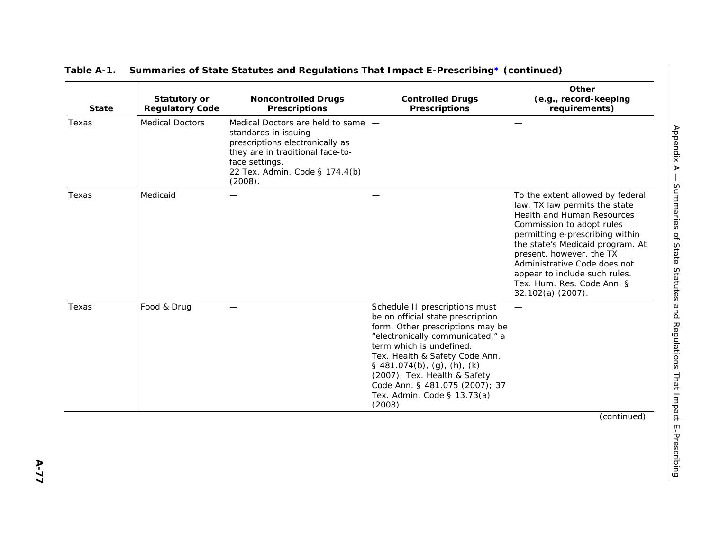| <b>State</b> | Statutory or<br><b>Regulatory Code</b> | <b>Noncontrolled Drugs</b><br><b>Prescriptions</b>                                                                                                                                               | <b>Controlled Drugs</b><br><b>Prescriptions</b>                                                                                                                                                                                                                                                                                                     | Other<br>(e.g., record-keeping<br>requirements)                                                                                                                                                                                                                                                                                                     |
|--------------|----------------------------------------|--------------------------------------------------------------------------------------------------------------------------------------------------------------------------------------------------|-----------------------------------------------------------------------------------------------------------------------------------------------------------------------------------------------------------------------------------------------------------------------------------------------------------------------------------------------------|-----------------------------------------------------------------------------------------------------------------------------------------------------------------------------------------------------------------------------------------------------------------------------------------------------------------------------------------------------|
| Texas        | <b>Medical Doctors</b>                 | Medical Doctors are held to same -<br>standards in issuing<br>prescriptions electronically as<br>they are in traditional face-to-<br>face settings.<br>22 Tex. Admin. Code § 174.4(b)<br>(2008). |                                                                                                                                                                                                                                                                                                                                                     |                                                                                                                                                                                                                                                                                                                                                     |
| Texas        | Medicaid                               |                                                                                                                                                                                                  |                                                                                                                                                                                                                                                                                                                                                     | To the extent allowed by federal<br>law, TX law permits the state<br>Health and Human Resources<br>Commission to adopt rules<br>permitting e-prescribing within<br>the state's Medicaid program. At<br>present, however, the TX<br>Administrative Code does not<br>appear to include such rules.<br>Tex. Hum. Res. Code Ann. §<br>32.102(a) (2007). |
| Texas        | Food & Drug                            |                                                                                                                                                                                                  | Schedule II prescriptions must<br>be on official state prescription<br>form. Other prescriptions may be<br>"electronically communicated," a<br>term which is undefined.<br>Tex. Health & Safety Code Ann.<br>§ 481.074(b), (g), (h), (k)<br>(2007); Tex. Health & Safety<br>Code Ann. § 481.075 (2007); 37<br>Tex. Admin. Code § 13.73(a)<br>(2008) |                                                                                                                                                                                                                                                                                                                                                     |
|              |                                        |                                                                                                                                                                                                  |                                                                                                                                                                                                                                                                                                                                                     | (continued)                                                                                                                                                                                                                                                                                                                                         |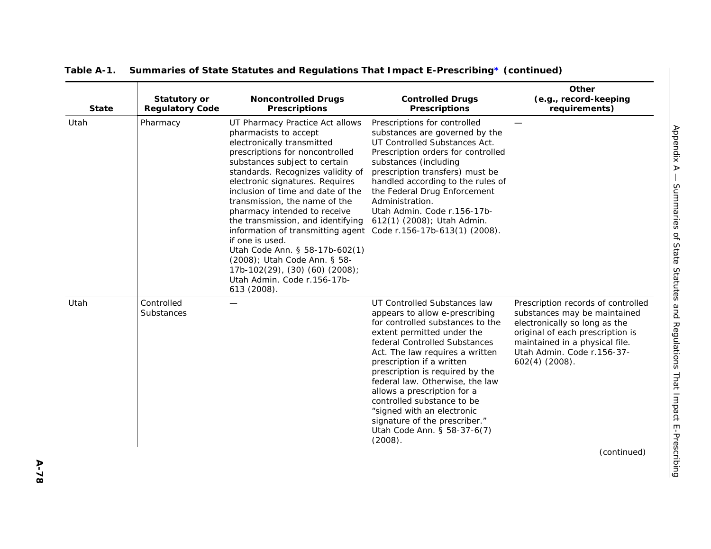| <b>State</b> | <b>Statutory or</b><br><b>Regulatory Code</b> | <b>Noncontrolled Drugs</b><br><b>Prescriptions</b>                                                                                                                                                                                                                                                                                                                                                                                                                                                                                                                                                                    | <b>Controlled Drugs</b><br><b>Prescriptions</b>                                                                                                                                                                                                                                                                                                                                                                                                                               | Other<br>(e.g., record-keeping<br>requirements)                                                                                                                                                                             |
|--------------|-----------------------------------------------|-----------------------------------------------------------------------------------------------------------------------------------------------------------------------------------------------------------------------------------------------------------------------------------------------------------------------------------------------------------------------------------------------------------------------------------------------------------------------------------------------------------------------------------------------------------------------------------------------------------------------|-------------------------------------------------------------------------------------------------------------------------------------------------------------------------------------------------------------------------------------------------------------------------------------------------------------------------------------------------------------------------------------------------------------------------------------------------------------------------------|-----------------------------------------------------------------------------------------------------------------------------------------------------------------------------------------------------------------------------|
| Utah         | Pharmacy                                      | UT Pharmacy Practice Act allows<br>pharmacists to accept<br>electronically transmitted<br>prescriptions for noncontrolled<br>substances subject to certain<br>standards. Recognizes validity of<br>electronic signatures. Requires<br>inclusion of time and date of the<br>transmission, the name of the<br>pharmacy intended to receive<br>the transmission, and identifying<br>information of transmitting agent Code r.156-17b-613(1) (2008).<br>if one is used.<br>Utah Code Ann. § 58-17b-602(1)<br>(2008); Utah Code Ann. § 58-<br>17b-102(29), (30) (60) (2008);<br>Utah Admin. Code r.156-17b-<br>613 (2008). | Prescriptions for controlled<br>substances are governed by the<br>UT Controlled Substances Act.<br>Prescription orders for controlled<br>substances (including<br>prescription transfers) must be<br>handled according to the rules of<br>the Federal Drug Enforcement<br>Administration.<br>Utah Admin. Code r.156-17b-<br>612(1) (2008); Utah Admin.                                                                                                                        |                                                                                                                                                                                                                             |
| Utah         | Controlled<br>Substances                      |                                                                                                                                                                                                                                                                                                                                                                                                                                                                                                                                                                                                                       | UT Controlled Substances law<br>appears to allow e-prescribing<br>for controlled substances to the<br>extent permitted under the<br>federal Controlled Substances<br>Act. The law requires a written<br>prescription if a written<br>prescription is required by the<br>federal law. Otherwise, the law<br>allows a prescription for a<br>controlled substance to be<br>"signed with an electronic<br>signature of the prescriber."<br>Utah Code Ann. § 58-37-6(7)<br>(2008). | Prescription records of controlled<br>substances may be maintained<br>electronically so long as the<br>original of each prescription is<br>maintained in a physical file.<br>Utah Admin. Code r.156-37-<br>$602(4)$ (2008). |
|              |                                               |                                                                                                                                                                                                                                                                                                                                                                                                                                                                                                                                                                                                                       |                                                                                                                                                                                                                                                                                                                                                                                                                                                                               | (continued)                                                                                                                                                                                                                 |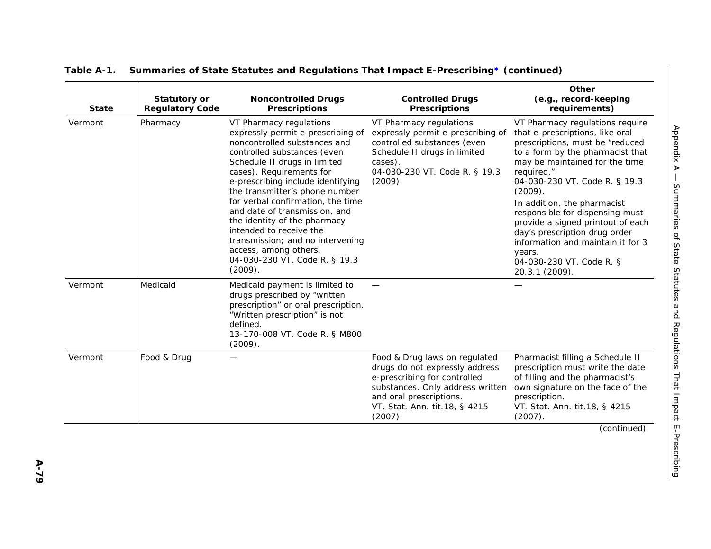| <b>State</b> | <b>Statutory or</b><br><b>Regulatory Code</b> | <b>Noncontrolled Drugs</b><br><b>Prescriptions</b>                                                                                                                                                                                                                                                                                                                                                                                                                                                       | <b>Controlled Drugs</b><br><b>Prescriptions</b>                                                                                                                                                            | Other<br>(e.g., record-keeping<br>requirements)                                                                                                                                                                                                                                                                                                                                                                                                                            |
|--------------|-----------------------------------------------|----------------------------------------------------------------------------------------------------------------------------------------------------------------------------------------------------------------------------------------------------------------------------------------------------------------------------------------------------------------------------------------------------------------------------------------------------------------------------------------------------------|------------------------------------------------------------------------------------------------------------------------------------------------------------------------------------------------------------|----------------------------------------------------------------------------------------------------------------------------------------------------------------------------------------------------------------------------------------------------------------------------------------------------------------------------------------------------------------------------------------------------------------------------------------------------------------------------|
| Vermont      | Pharmacy                                      | VT Pharmacy regulations<br>expressly permit e-prescribing of<br>noncontrolled substances and<br>controlled substances (even<br>Schedule II drugs in limited<br>cases). Requirements for<br>e-prescribing include identifying<br>the transmitter's phone number<br>for verbal confirmation, the time<br>and date of transmission, and<br>the identity of the pharmacy<br>intended to receive the<br>transmission; and no intervening<br>access, among others.<br>04-030-230 VT. Code R. § 19.3<br>(2009). | VT Pharmacy regulations<br>expressly permit e-prescribing of<br>controlled substances (even<br>Schedule II drugs in limited<br>cases).<br>04-030-230 VT. Code R. § 19.3<br>(2009).                         | VT Pharmacy regulations require<br>that e-prescriptions, like oral<br>prescriptions, must be "reduced<br>to a form by the pharmacist that<br>may be maintained for the time<br>required."<br>04-030-230 VT. Code R. § 19.3<br>(2009).<br>In addition, the pharmacist<br>responsible for dispensing must<br>provide a signed printout of each<br>day's prescription drug order<br>information and maintain it for 3<br>years.<br>04-030-230 VT. Code R. §<br>20.3.1 (2009). |
| Vermont      | Medicaid                                      | Medicaid payment is limited to<br>drugs prescribed by "written<br>prescription" or oral prescription.<br>"Written prescription" is not<br>defined.<br>13-170-008 VT. Code R. § M800<br>(2009).                                                                                                                                                                                                                                                                                                           |                                                                                                                                                                                                            |                                                                                                                                                                                                                                                                                                                                                                                                                                                                            |
| Vermont      | Food & Drug                                   |                                                                                                                                                                                                                                                                                                                                                                                                                                                                                                          | Food & Drug laws on regulated<br>drugs do not expressly address<br>e-prescribing for controlled<br>substances. Only address written<br>and oral prescriptions.<br>VT. Stat. Ann. tit.18, § 4215<br>(2007). | Pharmacist filling a Schedule II<br>prescription must write the date<br>of filling and the pharmacist's<br>own signature on the face of the<br>prescription.<br>VT. Stat. Ann. tit.18, § 4215<br>(2007).                                                                                                                                                                                                                                                                   |
|              |                                               |                                                                                                                                                                                                                                                                                                                                                                                                                                                                                                          |                                                                                                                                                                                                            | (continued)                                                                                                                                                                                                                                                                                                                                                                                                                                                                |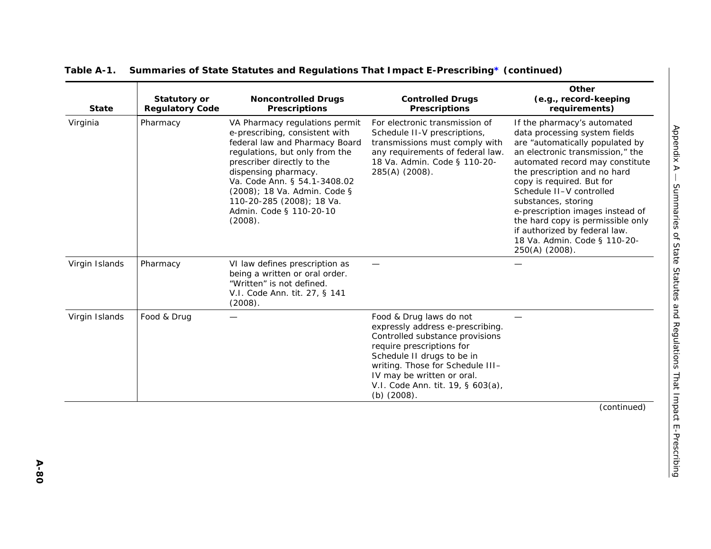| <b>State</b>   | <b>Statutory or</b><br><b>Regulatory Code</b> | <b>Noncontrolled Drugs</b><br><b>Prescriptions</b>                                                                                                                                                                                                                                                                            | <b>Controlled Drugs</b><br><b>Prescriptions</b>                                                                                                                                                                                                                                      | Other<br>(e.g., record-keeping<br>requirements)                                                                                                                                                                                                                                                                                                                                                                                                    |
|----------------|-----------------------------------------------|-------------------------------------------------------------------------------------------------------------------------------------------------------------------------------------------------------------------------------------------------------------------------------------------------------------------------------|--------------------------------------------------------------------------------------------------------------------------------------------------------------------------------------------------------------------------------------------------------------------------------------|----------------------------------------------------------------------------------------------------------------------------------------------------------------------------------------------------------------------------------------------------------------------------------------------------------------------------------------------------------------------------------------------------------------------------------------------------|
| Virginia       | Pharmacy                                      | VA Pharmacy regulations permit<br>e-prescribing, consistent with<br>federal law and Pharmacy Board<br>regulations, but only from the<br>prescriber directly to the<br>dispensing pharmacy.<br>Va. Code Ann. § 54.1-3408.02<br>(2008); 18 Va. Admin. Code §<br>110-20-285 (2008); 18 Va.<br>Admin. Code § 110-20-10<br>(2008). | For electronic transmission of<br>Schedule II-V prescriptions,<br>transmissions must comply with<br>any requirements of federal law.<br>18 Va. Admin. Code § 110-20-<br>285(A) (2008).                                                                                               | If the pharmacy's automated<br>data processing system fields<br>are "automatically populated by<br>an electronic transmission," the<br>automated record may constitute<br>the prescription and no hard<br>copy is required. But for<br>Schedule II-V controlled<br>substances, storing<br>e-prescription images instead of<br>the hard copy is permissible only<br>if authorized by federal law.<br>18 Va. Admin. Code § 110-20-<br>250(A) (2008). |
| Virgin Islands | Pharmacy                                      | VI law defines prescription as<br>being a written or oral order.<br>"Written" is not defined.<br>V.I. Code Ann. tit. 27, § 141<br>(2008).                                                                                                                                                                                     |                                                                                                                                                                                                                                                                                      |                                                                                                                                                                                                                                                                                                                                                                                                                                                    |
| Virgin Islands | Food & Drug                                   |                                                                                                                                                                                                                                                                                                                               | Food & Drug laws do not<br>expressly address e-prescribing.<br>Controlled substance provisions<br>require prescriptions for<br>Schedule II drugs to be in<br>writing. Those for Schedule III-<br>IV may be written or oral.<br>V.I. Code Ann. tit. 19, § 603(a),<br>$(b)$ $(2008)$ . |                                                                                                                                                                                                                                                                                                                                                                                                                                                    |
|                |                                               |                                                                                                                                                                                                                                                                                                                               |                                                                                                                                                                                                                                                                                      | (continued)                                                                                                                                                                                                                                                                                                                                                                                                                                        |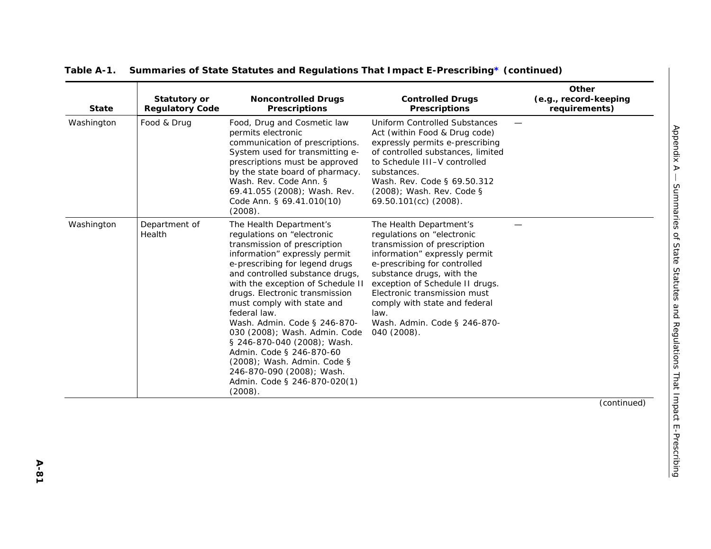| <b>State</b> | <b>Statutory or</b><br><b>Regulatory Code</b> | <b>Noncontrolled Drugs</b><br><b>Prescriptions</b>                                                                                                                                                                                                                                                                                                                                                                                                                                                                                                  | <b>Controlled Drugs</b><br><b>Prescriptions</b>                                                                                                                                                                                                                                                                                                | Other<br>(e.g., record-keeping<br>requirements) |
|--------------|-----------------------------------------------|-----------------------------------------------------------------------------------------------------------------------------------------------------------------------------------------------------------------------------------------------------------------------------------------------------------------------------------------------------------------------------------------------------------------------------------------------------------------------------------------------------------------------------------------------------|------------------------------------------------------------------------------------------------------------------------------------------------------------------------------------------------------------------------------------------------------------------------------------------------------------------------------------------------|-------------------------------------------------|
| Washington   | Food & Drug                                   | Food, Drug and Cosmetic law<br>permits electronic<br>communication of prescriptions.<br>System used for transmitting e-<br>prescriptions must be approved<br>by the state board of pharmacy.<br>Wash. Rev. Code Ann. §<br>69.41.055 (2008); Wash. Rev.<br>Code Ann. § 69.41.010(10)<br>(2008).                                                                                                                                                                                                                                                      | <b>Uniform Controlled Substances</b><br>Act (within Food & Drug code)<br>expressly permits e-prescribing<br>of controlled substances, limited<br>to Schedule III-V controlled<br>substances.<br>Wash. Rev. Code § 69.50.312<br>(2008); Wash. Rev. Code §<br>69.50.101(cc) (2008).                                                              |                                                 |
| Washington   | Department of<br>Health                       | The Health Department's<br>regulations on "electronic<br>transmission of prescription<br>information" expressly permit<br>e-prescribing for legend drugs<br>and controlled substance drugs,<br>with the exception of Schedule II<br>drugs. Electronic transmission<br>must comply with state and<br>federal law.<br>Wash. Admin. Code § 246-870-<br>030 (2008); Wash. Admin. Code<br>§ 246-870-040 (2008); Wash.<br>Admin. Code § 246-870-60<br>(2008); Wash. Admin. Code §<br>246-870-090 (2008); Wash.<br>Admin. Code § 246-870-020(1)<br>(2008). | The Health Department's<br>regulations on "electronic<br>transmission of prescription<br>information" expressly permit<br>e-prescribing for controlled<br>substance drugs, with the<br>exception of Schedule II drugs.<br>Electronic transmission must<br>comply with state and federal<br>law.<br>Wash. Admin. Code § 246-870-<br>040 (2008). |                                                 |
|              |                                               |                                                                                                                                                                                                                                                                                                                                                                                                                                                                                                                                                     |                                                                                                                                                                                                                                                                                                                                                | (continued)                                     |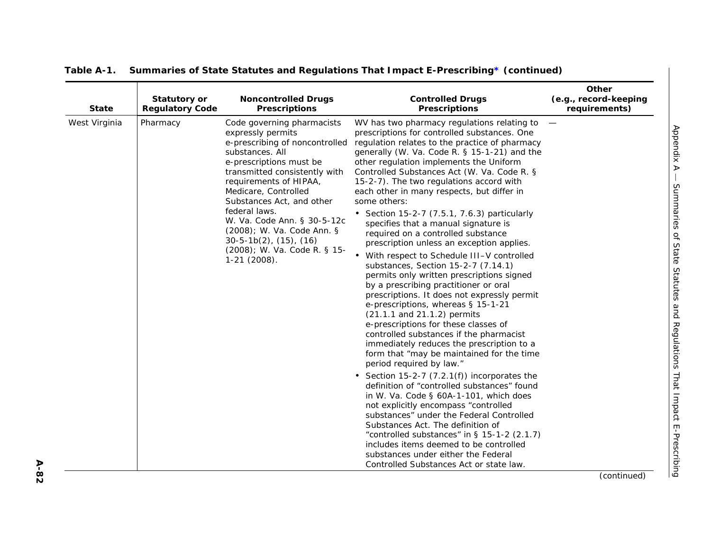| <b>State</b>  | <b>Statutory or</b><br><b>Regulatory Code</b> | <b>Noncontrolled Drugs</b><br><b>Prescriptions</b>                                                                                                                                                                                                                                                                                                                                                                | <b>Controlled Drugs</b><br><b>Prescriptions</b>                                                                                                                                                                                                                                                                                                                                                                                                                                                                                                                                                                                                                                                                                                                                                                                                                                                                                                                                                                                                                                                                                                                                                                                                                                                                        | Other<br>(e.g., record-keeping<br>requirements) |
|---------------|-----------------------------------------------|-------------------------------------------------------------------------------------------------------------------------------------------------------------------------------------------------------------------------------------------------------------------------------------------------------------------------------------------------------------------------------------------------------------------|------------------------------------------------------------------------------------------------------------------------------------------------------------------------------------------------------------------------------------------------------------------------------------------------------------------------------------------------------------------------------------------------------------------------------------------------------------------------------------------------------------------------------------------------------------------------------------------------------------------------------------------------------------------------------------------------------------------------------------------------------------------------------------------------------------------------------------------------------------------------------------------------------------------------------------------------------------------------------------------------------------------------------------------------------------------------------------------------------------------------------------------------------------------------------------------------------------------------------------------------------------------------------------------------------------------------|-------------------------------------------------|
| West Virginia | Pharmacy                                      | Code governing pharmacists<br>expressly permits<br>e-prescribing of noncontrolled<br>substances. All<br>e-prescriptions must be<br>transmitted consistently with<br>requirements of HIPAA,<br>Medicare, Controlled<br>Substances Act, and other<br>federal laws.<br>W. Va. Code Ann. § 30-5-12c<br>(2008); W. Va. Code Ann. §<br>$30-5-1b(2)$ , $(15)$ , $(16)$<br>(2008); W. Va. Code R. § 15-<br>$1-21$ (2008). | WV has two pharmacy regulations relating to $-$<br>prescriptions for controlled substances. One<br>regulation relates to the practice of pharmacy<br>generally (W. Va. Code R. § 15-1-21) and the<br>other regulation implements the Uniform<br>Controlled Substances Act (W. Va. Code R. §<br>15-2-7). The two regulations accord with<br>each other in many respects, but differ in<br>some others:<br>• Section 15-2-7 (7.5.1, 7.6.3) particularly<br>specifies that a manual signature is<br>required on a controlled substance<br>prescription unless an exception applies.<br>• With respect to Schedule III-V controlled<br>substances, Section 15-2-7 (7.14.1)<br>permits only written prescriptions signed<br>by a prescribing practitioner or oral<br>prescriptions. It does not expressly permit<br>e-prescriptions, whereas § 15-1-21<br>(21.1.1 and 21.1.2) permits<br>e-prescriptions for these classes of<br>controlled substances if the pharmacist<br>immediately reduces the prescription to a<br>form that "may be maintained for the time<br>period required by law."<br>• Section 15-2-7 (7.2.1(f)) incorporates the<br>definition of "controlled substances" found<br>in W. Va. Code § 60A-1-101, which does<br>not explicitly encompass "controlled<br>substances" under the Federal Controlled |                                                 |
|               |                                               |                                                                                                                                                                                                                                                                                                                                                                                                                   | Substances Act. The definition of<br>"controlled substances" in $\S$ 15-1-2 (2.1.7)<br>includes items deemed to be controlled<br>substances under either the Federal<br>Controlled Substances Act or state law.                                                                                                                                                                                                                                                                                                                                                                                                                                                                                                                                                                                                                                                                                                                                                                                                                                                                                                                                                                                                                                                                                                        |                                                 |
|               |                                               |                                                                                                                                                                                                                                                                                                                                                                                                                   |                                                                                                                                                                                                                                                                                                                                                                                                                                                                                                                                                                                                                                                                                                                                                                                                                                                                                                                                                                                                                                                                                                                                                                                                                                                                                                                        | (continued)                                     |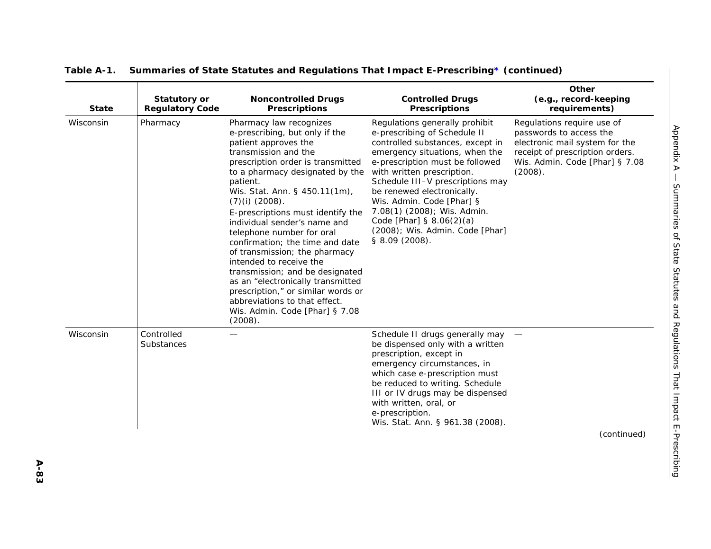| <b>State</b> | <b>Statutory or</b><br><b>Regulatory Code</b> | <b>Noncontrolled Drugs</b><br><b>Prescriptions</b>                                                                                                                                                                                                                                                                                                                                                                                                                                                                                                                                                                                              | <b>Controlled Drugs</b><br><b>Prescriptions</b>                                                                                                                                                                                                                                                                                                                                                                        | Other<br>(e.g., record-keeping<br>requirements)                                                                                                                         |
|--------------|-----------------------------------------------|-------------------------------------------------------------------------------------------------------------------------------------------------------------------------------------------------------------------------------------------------------------------------------------------------------------------------------------------------------------------------------------------------------------------------------------------------------------------------------------------------------------------------------------------------------------------------------------------------------------------------------------------------|------------------------------------------------------------------------------------------------------------------------------------------------------------------------------------------------------------------------------------------------------------------------------------------------------------------------------------------------------------------------------------------------------------------------|-------------------------------------------------------------------------------------------------------------------------------------------------------------------------|
| Wisconsin    | Pharmacy                                      | Pharmacy law recognizes<br>e-prescribing, but only if the<br>patient approves the<br>transmission and the<br>prescription order is transmitted<br>to a pharmacy designated by the<br>patient.<br>Wis. Stat. Ann. § 450.11(1m),<br>$(7)(i)$ (2008).<br>E-prescriptions must identify the<br>individual sender's name and<br>telephone number for oral<br>confirmation; the time and date<br>of transmission; the pharmacy<br>intended to receive the<br>transmission; and be designated<br>as an "electronically transmitted<br>prescription," or similar words or<br>abbreviations to that effect.<br>Wis. Admin. Code [Phar] § 7.08<br>(2008). | Regulations generally prohibit<br>e-prescribing of Schedule II<br>controlled substances, except in<br>emergency situations, when the<br>e-prescription must be followed<br>with written prescription.<br>Schedule III-V prescriptions may<br>be renewed electronically.<br>Wis. Admin. Code [Phar] §<br>7.08(1) (2008); Wis. Admin.<br>Code [Phar] $§ 8.06(2)(a)$<br>(2008); Wis. Admin. Code [Phar]<br>§ 8.09 (2008). | Regulations require use of<br>passwords to access the<br>electronic mail system for the<br>receipt of prescription orders.<br>Wis. Admin. Code [Phar] § 7.08<br>(2008). |
| Wisconsin    | Controlled<br>Substances                      |                                                                                                                                                                                                                                                                                                                                                                                                                                                                                                                                                                                                                                                 | Schedule II drugs generally may -<br>be dispensed only with a written<br>prescription, except in<br>emergency circumstances, in<br>which case e-prescription must<br>be reduced to writing. Schedule<br>III or IV drugs may be dispensed<br>with written, oral, or<br>e-prescription.<br>Wis. Stat. Ann. § 961.38 (2008).                                                                                              |                                                                                                                                                                         |
|              |                                               |                                                                                                                                                                                                                                                                                                                                                                                                                                                                                                                                                                                                                                                 |                                                                                                                                                                                                                                                                                                                                                                                                                        | (continued)                                                                                                                                                             |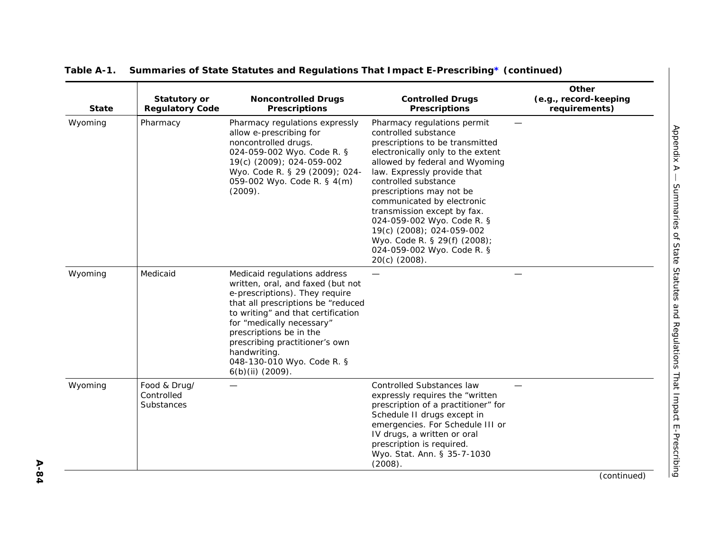| Other<br>(e.g., record-keeping<br>requirements) | <b>Controlled Drugs</b><br><b>Prescriptions</b>                                                                                                                                                                                                                                                                                                                                                                                                         | <b>Noncontrolled Drugs</b><br><b>Prescriptions</b>                                                                                                                                                                                                                                                                                          | <b>Statutory or</b><br><b>Regulatory Code</b>   | <b>State</b> |
|-------------------------------------------------|---------------------------------------------------------------------------------------------------------------------------------------------------------------------------------------------------------------------------------------------------------------------------------------------------------------------------------------------------------------------------------------------------------------------------------------------------------|---------------------------------------------------------------------------------------------------------------------------------------------------------------------------------------------------------------------------------------------------------------------------------------------------------------------------------------------|-------------------------------------------------|--------------|
|                                                 | Pharmacy regulations permit<br>controlled substance<br>prescriptions to be transmitted<br>electronically only to the extent<br>allowed by federal and Wyoming<br>law. Expressly provide that<br>controlled substance<br>prescriptions may not be<br>communicated by electronic<br>transmission except by fax.<br>024-059-002 Wyo. Code R. §<br>19(c) (2008); 024-059-002<br>Wyo. Code R. § 29(f) (2008);<br>024-059-002 Wyo. Code R. §<br>20(c) (2008). | Pharmacy regulations expressly<br>allow e-prescribing for<br>noncontrolled drugs.<br>024-059-002 Wyo. Code R. §<br>19(c) (2009); 024-059-002<br>Wyo. Code R. § 29 (2009); 024-<br>059-002 Wyo. Code R. § 4(m)<br>(2009).                                                                                                                    | Pharmacy                                        | Wyoming      |
|                                                 |                                                                                                                                                                                                                                                                                                                                                                                                                                                         | Medicaid regulations address<br>written, oral, and faxed (but not<br>e-prescriptions). They require<br>that all prescriptions be "reduced<br>to writing" and that certification<br>for "medically necessary"<br>prescriptions be in the<br>prescribing practitioner's own<br>handwriting.<br>048-130-010 Wyo. Code R. §<br>6(b)(ii) (2009). | Medicaid                                        | Wyoming      |
|                                                 | <b>Controlled Substances law</b><br>expressly requires the "written<br>prescription of a practitioner" for<br>Schedule II drugs except in<br>emergencies. For Schedule III or<br>IV drugs, a written or oral<br>prescription is required.<br>Wyo. Stat. Ann. § 35-7-1030<br>(2008).                                                                                                                                                                     |                                                                                                                                                                                                                                                                                                                                             | Food & Drug/<br>Controlled<br><b>Substances</b> | Wyoming      |
|                                                 |                                                                                                                                                                                                                                                                                                                                                                                                                                                         |                                                                                                                                                                                                                                                                                                                                             |                                                 |              |